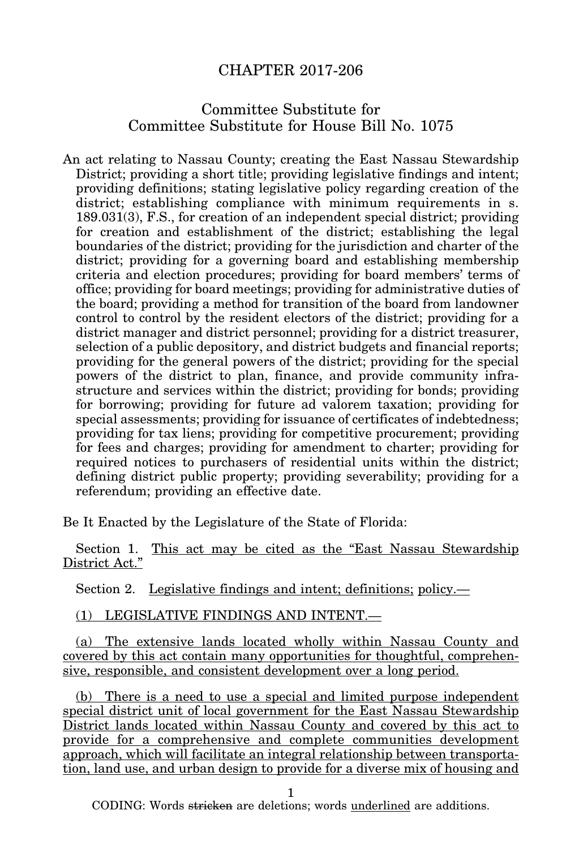# CHAPTER 2017-206

# Committee Substitute for Committee Substitute for House Bill No. 1075

An act relating to Nassau County; creating the East Nassau Stewardship District; providing a short title; providing legislative findings and intent; providing definitions; stating legislative policy regarding creation of the district; establishing compliance with minimum requirements in s. 189.031(3), F.S., for creation of an independent special district; providing for creation and establishment of the district; establishing the legal boundaries of the district; providing for the jurisdiction and charter of the district; providing for a governing board and establishing membership criteria and election procedures; providing for board members' terms of office; providing for board meetings; providing for administrative duties of the board; providing a method for transition of the board from landowner control to control by the resident electors of the district; providing for a district manager and district personnel; providing for a district treasurer, selection of a public depository, and district budgets and financial reports; providing for the general powers of the district; providing for the special powers of the district to plan, finance, and provide community infrastructure and services within the district; providing for bonds; providing for borrowing; providing for future ad valorem taxation; providing for special assessments; providing for issuance of certificates of indebtedness; providing for tax liens; providing for competitive procurement; providing for fees and charges; providing for amendment to charter; providing for required notices to purchasers of residential units within the district; defining district public property; providing severability; providing for a referendum; providing an effective date.

Be It Enacted by the Legislature of the State of Florida:

Section 1. This act may be cited as the "East Nassau Stewardship District Act."

Section 2. Legislative findings and intent; definitions; policy.—

### (1) LEGISLATIVE FINDINGS AND INTENT.—

(a) The extensive lands located wholly within Nassau County and covered by this act contain many opportunities for thoughtful, comprehensive, responsible, and consistent development over a long period.

(b) There is a need to use a special and limited purpose independent special district unit of local government for the East Nassau Stewardship District lands located within Nassau County and covered by this act to provide for a comprehensive and complete communities development approach, which will facilitate an integral relationship between transportation, land use, and urban design to provide for a diverse mix of housing and

1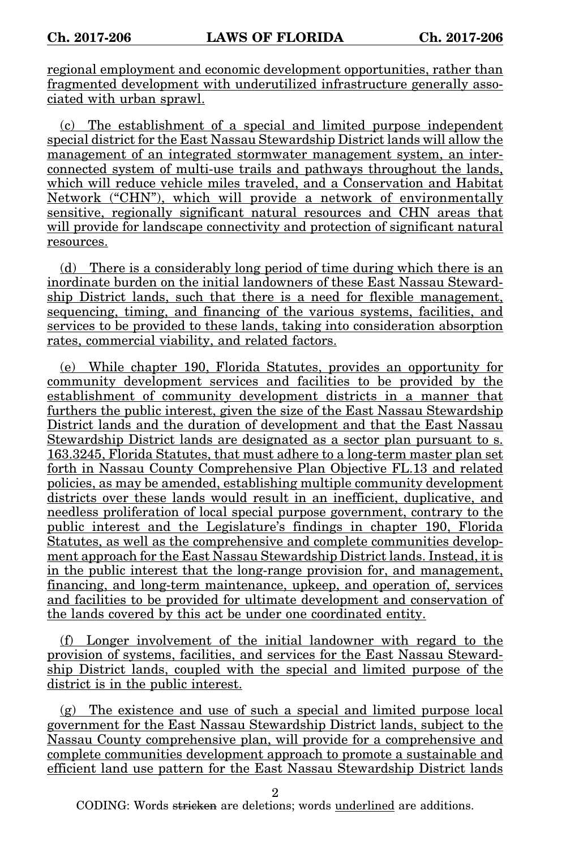regional employment and economic development opportunities, rather than fragmented development with underutilized infrastructure generally associated with urban sprawl.

(c) The establishment of a special and limited purpose independent special district for the East Nassau Stewardship District lands will allow the management of an integrated stormwater management system, an interconnected system of multi-use trails and pathways throughout the lands, which will reduce vehicle miles traveled, and a Conservation and Habitat Network ("CHN"), which will provide a network of environmentally sensitive, regionally significant natural resources and CHN areas that will provide for landscape connectivity and protection of significant natural resources.

(d) There is a considerably long period of time during which there is an inordinate burden on the initial landowners of these East Nassau Stewardship District lands, such that there is a need for flexible management, sequencing, timing, and financing of the various systems, facilities, and services to be provided to these lands, taking into consideration absorption rates, commercial viability, and related factors.

(e) While chapter 190, Florida Statutes, provides an opportunity for community development services and facilities to be provided by the establishment of community development districts in a manner that furthers the public interest, given the size of the East Nassau Stewardship District lands and the duration of development and that the East Nassau Stewardship District lands are designated as a sector plan pursuant to s. 163.3245, Florida Statutes, that must adhere to a long-term master plan set forth in Nassau County Comprehensive Plan Objective FL.13 and related policies, as may be amended, establishing multiple community development districts over these lands would result in an inefficient, duplicative, and needless proliferation of local special purpose government, contrary to the public interest and the Legislature's findings in chapter 190, Florida Statutes, as well as the comprehensive and complete communities development approach for the East Nassau Stewardship District lands. Instead, it is in the public interest that the long-range provision for, and management, financing, and long-term maintenance, upkeep, and operation of, services and facilities to be provided for ultimate development and conservation of the lands covered by this act be under one coordinated entity.

(f) Longer involvement of the initial landowner with regard to the provision of systems, facilities, and services for the East Nassau Stewardship District lands, coupled with the special and limited purpose of the district is in the public interest.

(g) The existence and use of such a special and limited purpose local government for the East Nassau Stewardship District lands, subject to the Nassau County comprehensive plan, will provide for a comprehensive and complete communities development approach to promote a sustainable and efficient land use pattern for the East Nassau Stewardship District lands

2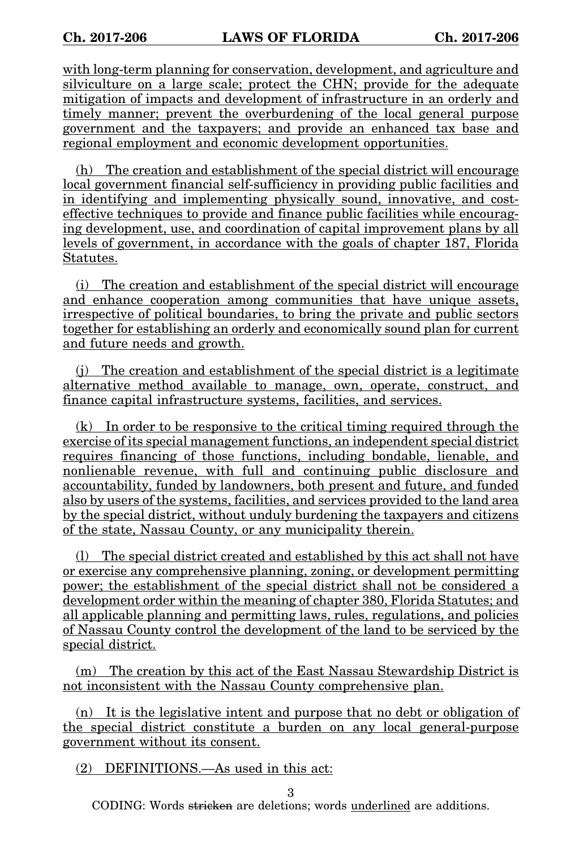with long-term planning for conservation, development, and agriculture and silviculture on a large scale; protect the CHN; provide for the adequate mitigation of impacts and development of infrastructure in an orderly and timely manner; prevent the overburdening of the local general purpose government and the taxpayers; and provide an enhanced tax base and regional employment and economic development opportunities.

(h) The creation and establishment of the special district will encourage local government financial self-sufficiency in providing public facilities and in identifying and implementing physically sound, innovative, and costeffective techniques to provide and finance public facilities while encouraging development, use, and coordination of capital improvement plans by all levels of government, in accordance with the goals of chapter 187, Florida Statutes.

(i) The creation and establishment of the special district will encourage and enhance cooperation among communities that have unique assets, irrespective of political boundaries, to bring the private and public sectors together for establishing an orderly and economically sound plan for current and future needs and growth.

(j) The creation and establishment of the special district is a legitimate alternative method available to manage, own, operate, construct, and finance capital infrastructure systems, facilities, and services.

(k) In order to be responsive to the critical timing required through the exercise of its special management functions, an independent special district requires financing of those functions, including bondable, lienable, and nonlienable revenue, with full and continuing public disclosure and accountability, funded by landowners, both present and future, and funded also by users of the systems, facilities, and services provided to the land area by the special district, without unduly burdening the taxpayers and citizens of the state, Nassau County, or any municipality therein.

(l) The special district created and established by this act shall not have or exercise any comprehensive planning, zoning, or development permitting power; the establishment of the special district shall not be considered a development order within the meaning of chapter 380, Florida Statutes; and all applicable planning and permitting laws, rules, regulations, and policies of Nassau County control the development of the land to be serviced by the special district.

(m) The creation by this act of the East Nassau Stewardship District is not inconsistent with the Nassau County comprehensive plan.

(n) It is the legislative intent and purpose that no debt or obligation of the special district constitute a burden on any local general-purpose government without its consent.

(2) DEFINITIONS.—As used in this act:

3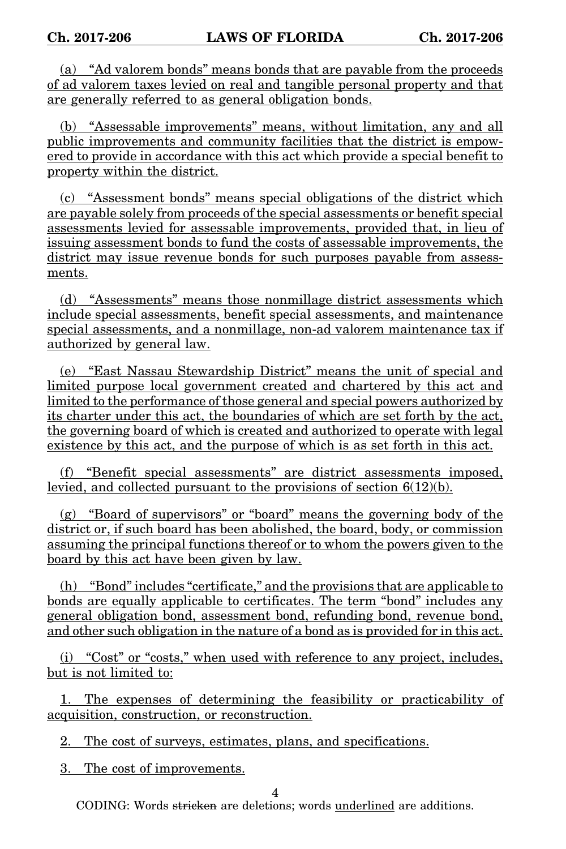(a) "Ad valorem bonds" means bonds that are payable from the proceeds of ad valorem taxes levied on real and tangible personal property and that are generally referred to as general obligation bonds.

(b) "Assessable improvements" means, without limitation, any and all public improvements and community facilities that the district is empowered to provide in accordance with this act which provide a special benefit to property within the district.

(c) "Assessment bonds" means special obligations of the district which are payable solely from proceeds of the special assessments or benefit special assessments levied for assessable improvements, provided that, in lieu of issuing assessment bonds to fund the costs of assessable improvements, the district may issue revenue bonds for such purposes payable from assessments.

(d) "Assessments" means those nonmillage district assessments which include special assessments, benefit special assessments, and maintenance special assessments, and a nonmillage, non-ad valorem maintenance tax if authorized by general law.

(e) "East Nassau Stewardship District" means the unit of special and limited purpose local government created and chartered by this act and limited to the performance of those general and special powers authorized by its charter under this act, the boundaries of which are set forth by the act, the governing board of which is created and authorized to operate with legal existence by this act, and the purpose of which is as set forth in this act.

(f) "Benefit special assessments" are district assessments imposed, levied, and collected pursuant to the provisions of section 6(12)(b).

(g) "Board of supervisors" or "board" means the governing body of the district or, if such board has been abolished, the board, body, or commission assuming the principal functions thereof or to whom the powers given to the board by this act have been given by law.

(h) "Bond" includes "certificate," and the provisions that are applicable to bonds are equally applicable to certificates. The term "bond" includes any general obligation bond, assessment bond, refunding bond, revenue bond, and other such obligation in the nature of a bond as is provided for in this act.

(i) "Cost" or "costs," when used with reference to any project, includes, but is not limited to:

1. The expenses of determining the feasibility or practicability of acquisition, construction, or reconstruction.

2. The cost of surveys, estimates, plans, and specifications.

3. The cost of improvements.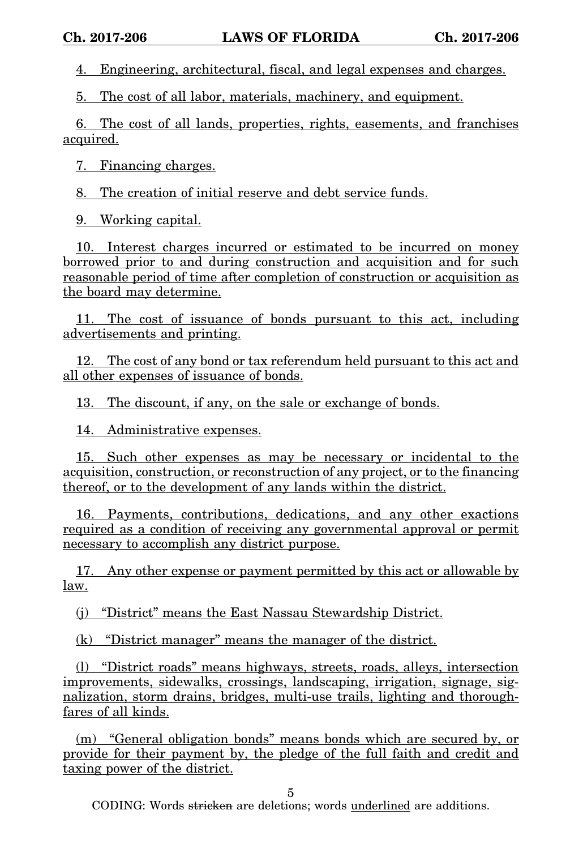4. Engineering, architectural, fiscal, and legal expenses and charges.

5. The cost of all labor, materials, machinery, and equipment.

6. The cost of all lands, properties, rights, easements, and franchises acquired.

7. Financing charges.

8. The creation of initial reserve and debt service funds.

9. Working capital.

10. Interest charges incurred or estimated to be incurred on money borrowed prior to and during construction and acquisition and for such reasonable period of time after completion of construction or acquisition as the board may determine.

11. The cost of issuance of bonds pursuant to this act, including advertisements and printing.

12. The cost of any bond or tax referendum held pursuant to this act and all other expenses of issuance of bonds.

13. The discount, if any, on the sale or exchange of bonds.

14. Administrative expenses.

15. Such other expenses as may be necessary or incidental to the acquisition, construction, or reconstruction of any project, or to the financing thereof, or to the development of any lands within the district.

16. Payments, contributions, dedications, and any other exactions required as a condition of receiving any governmental approval or permit necessary to accomplish any district purpose.

17. Any other expense or payment permitted by this act or allowable by law.

(j) "District" means the East Nassau Stewardship District.

(k) "District manager" means the manager of the district.

(l) "District roads" means highways, streets, roads, alleys, intersection improvements, sidewalks, crossings, landscaping, irrigation, signage, signalization, storm drains, bridges, multi-use trails, lighting and thoroughfares of all kinds.

(m) "General obligation bonds" means bonds which are secured by, or provide for their payment by, the pledge of the full faith and credit and taxing power of the district.

5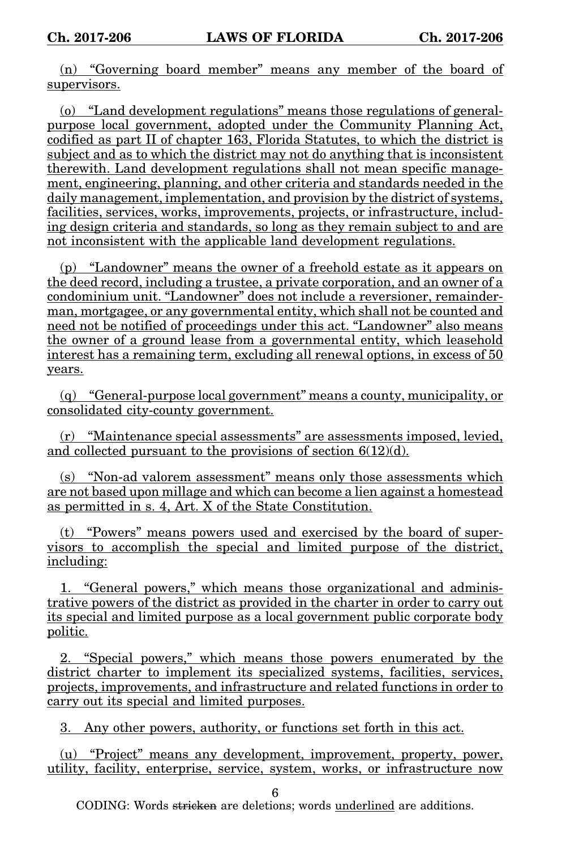(n) "Governing board member" means any member of the board of supervisors.

(o) "Land development regulations" means those regulations of generalpurpose local government, adopted under the Community Planning Act, codified as part II of chapter 163, Florida Statutes, to which the district is subject and as to which the district may not do anything that is inconsistent therewith. Land development regulations shall not mean specific management, engineering, planning, and other criteria and standards needed in the daily management, implementation, and provision by the district of systems, facilities, services, works, improvements, projects, or infrastructure, including design criteria and standards, so long as they remain subject to and are not inconsistent with the applicable land development regulations.

(p) "Landowner" means the owner of a freehold estate as it appears on the deed record, including a trustee, a private corporation, and an owner of a condominium unit. "Landowner" does not include a reversioner, remainderman, mortgagee, or any governmental entity, which shall not be counted and need not be notified of proceedings under this act. "Landowner" also means the owner of a ground lease from a governmental entity, which leasehold interest has a remaining term, excluding all renewal options, in excess of 50 years.

(q) "General-purpose local government" means a county, municipality, or consolidated city-county government.

(r) "Maintenance special assessments" are assessments imposed, levied, and collected pursuant to the provisions of section 6(12)(d).

(s) "Non-ad valorem assessment" means only those assessments which are not based upon millage and which can become a lien against a homestead as permitted in s. 4, Art. X of the State Constitution.

(t) "Powers" means powers used and exercised by the board of supervisors to accomplish the special and limited purpose of the district, including:

1. "General powers," which means those organizational and administrative powers of the district as provided in the charter in order to carry out its special and limited purpose as a local government public corporate body politic.

2. "Special powers," which means those powers enumerated by the district charter to implement its specialized systems, facilities, services, projects, improvements, and infrastructure and related functions in order to carry out its special and limited purposes.

3. Any other powers, authority, or functions set forth in this act.

(u) "Project" means any development, improvement, property, power, utility, facility, enterprise, service, system, works, or infrastructure now

6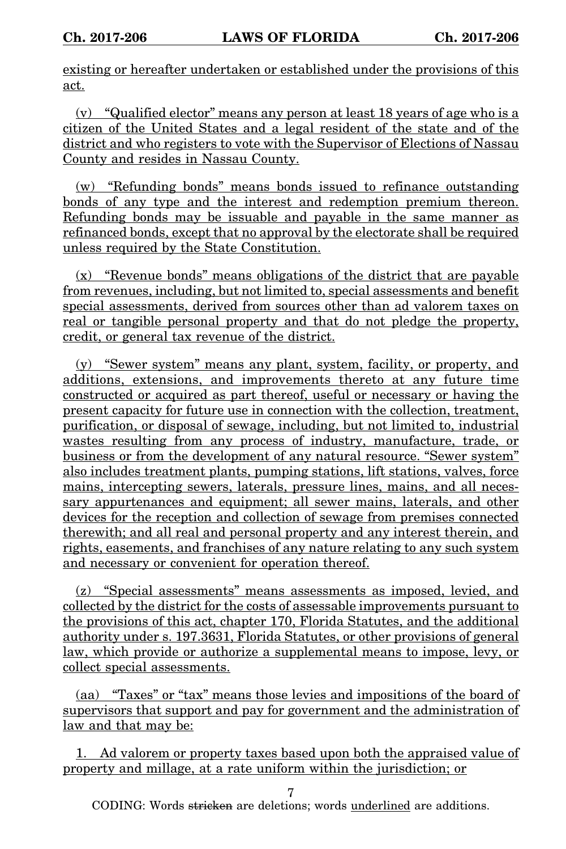existing or hereafter undertaken or established under the provisions of this act.

(v) "Qualified elector" means any person at least 18 years of age who is a citizen of the United States and a legal resident of the state and of the district and who registers to vote with the Supervisor of Elections of Nassau County and resides in Nassau County.

(w) "Refunding bonds" means bonds issued to refinance outstanding bonds of any type and the interest and redemption premium thereon. Refunding bonds may be issuable and payable in the same manner as refinanced bonds, except that no approval by the electorate shall be required unless required by the State Constitution.

(x) "Revenue bonds" means obligations of the district that are payable from revenues, including, but not limited to, special assessments and benefit special assessments, derived from sources other than ad valorem taxes on real or tangible personal property and that do not pledge the property, credit, or general tax revenue of the district.

(y) "Sewer system" means any plant, system, facility, or property, and additions, extensions, and improvements thereto at any future time constructed or acquired as part thereof, useful or necessary or having the present capacity for future use in connection with the collection, treatment, purification, or disposal of sewage, including, but not limited to, industrial wastes resulting from any process of industry, manufacture, trade, or business or from the development of any natural resource. "Sewer system" also includes treatment plants, pumping stations, lift stations, valves, force mains, intercepting sewers, laterals, pressure lines, mains, and all necessary appurtenances and equipment; all sewer mains, laterals, and other devices for the reception and collection of sewage from premises connected therewith; and all real and personal property and any interest therein, and rights, easements, and franchises of any nature relating to any such system and necessary or convenient for operation thereof.

(z) "Special assessments" means assessments as imposed, levied, and collected by the district for the costs of assessable improvements pursuant to the provisions of this act, chapter 170, Florida Statutes, and the additional authority under s. 197.3631, Florida Statutes, or other provisions of general law, which provide or authorize a supplemental means to impose, levy, or collect special assessments.

(aa) "Taxes" or "tax" means those levies and impositions of the board of supervisors that support and pay for government and the administration of law and that may be:

1. Ad valorem or property taxes based upon both the appraised value of property and millage, at a rate uniform within the jurisdiction; or

7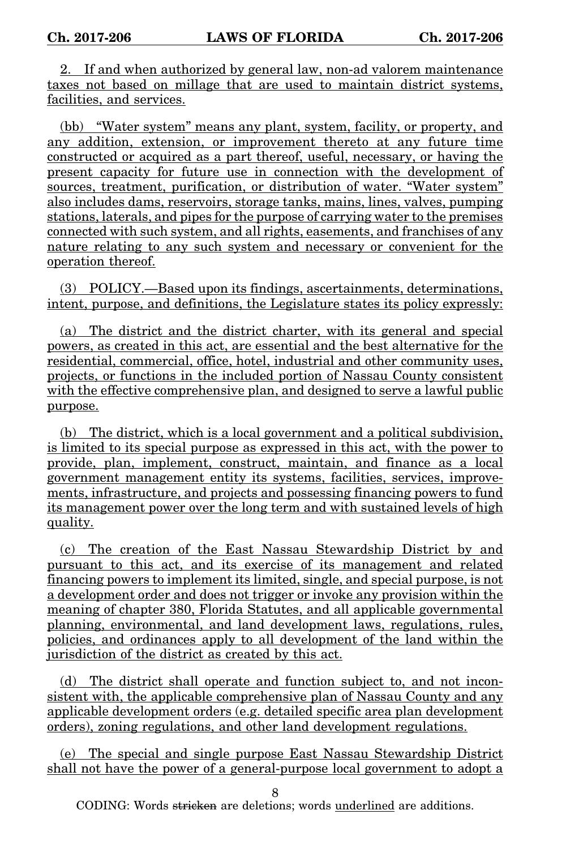2. If and when authorized by general law, non-ad valorem maintenance taxes not based on millage that are used to maintain district systems, facilities, and services.

(bb) "Water system" means any plant, system, facility, or property, and any addition, extension, or improvement thereto at any future time constructed or acquired as a part thereof, useful, necessary, or having the present capacity for future use in connection with the development of sources, treatment, purification, or distribution of water. "Water system" also includes dams, reservoirs, storage tanks, mains, lines, valves, pumping stations, laterals, and pipes for the purpose of carrying water to the premises connected with such system, and all rights, easements, and franchises of any nature relating to any such system and necessary or convenient for the operation thereof.

(3) POLICY.—Based upon its findings, ascertainments, determinations, intent, purpose, and definitions, the Legislature states its policy expressly:

(a) The district and the district charter, with its general and special powers, as created in this act, are essential and the best alternative for the residential, commercial, office, hotel, industrial and other community uses, projects, or functions in the included portion of Nassau County consistent with the effective comprehensive plan, and designed to serve a lawful public purpose.

(b) The district, which is a local government and a political subdivision, is limited to its special purpose as expressed in this act, with the power to provide, plan, implement, construct, maintain, and finance as a local government management entity its systems, facilities, services, improvements, infrastructure, and projects and possessing financing powers to fund its management power over the long term and with sustained levels of high quality.

(c) The creation of the East Nassau Stewardship District by and pursuant to this act, and its exercise of its management and related financing powers to implement its limited, single, and special purpose, is not a development order and does not trigger or invoke any provision within the meaning of chapter 380, Florida Statutes, and all applicable governmental planning, environmental, and land development laws, regulations, rules, policies, and ordinances apply to all development of the land within the jurisdiction of the district as created by this act.

(d) The district shall operate and function subject to, and not inconsistent with, the applicable comprehensive plan of Nassau County and any applicable development orders (e.g. detailed specific area plan development orders), zoning regulations, and other land development regulations.

(e) The special and single purpose East Nassau Stewardship District shall not have the power of a general-purpose local government to adopt a

8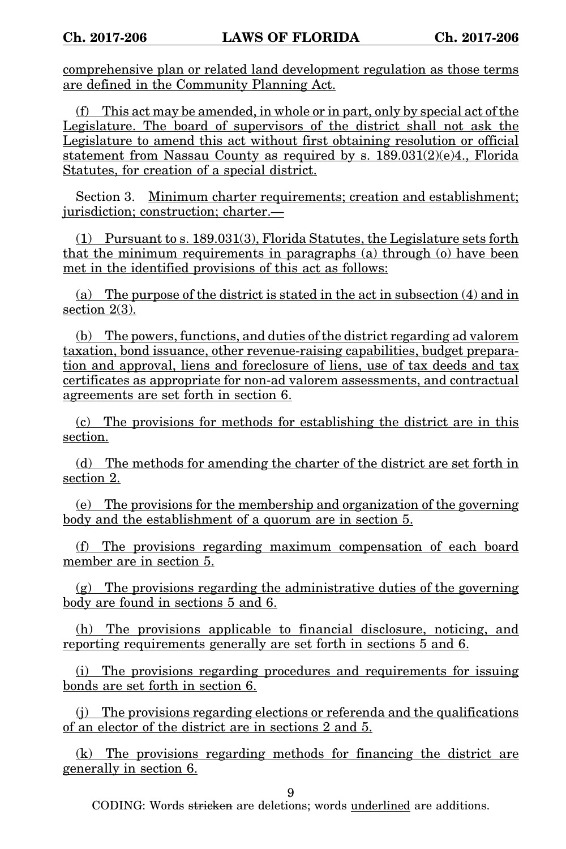comprehensive plan or related land development regulation as those terms are defined in the Community Planning Act.

(f) This act may be amended, in whole or in part, only by special act of the Legislature. The board of supervisors of the district shall not ask the Legislature to amend this act without first obtaining resolution or official statement from Nassau County as required by s. 189.031(2)(e)4., Florida Statutes, for creation of a special district.

Section 3. Minimum charter requirements; creation and establishment; jurisdiction; construction; charter.—

(1) Pursuant to s. 189.031(3), Florida Statutes, the Legislature sets forth that the minimum requirements in paragraphs (a) through (o) have been met in the identified provisions of this act as follows:

(a) The purpose of the district is stated in the act in subsection (4) and in section  $2(3)$ .

(b) The powers, functions, and duties of the district regarding ad valorem taxation, bond issuance, other revenue-raising capabilities, budget preparation and approval, liens and foreclosure of liens, use of tax deeds and tax certificates as appropriate for non-ad valorem assessments, and contractual agreements are set forth in section 6.

(c) The provisions for methods for establishing the district are in this section.

(d) The methods for amending the charter of the district are set forth in section 2.

(e) The provisions for the membership and organization of the governing body and the establishment of a quorum are in section 5.

(f) The provisions regarding maximum compensation of each board member are in section 5.

(g) The provisions regarding the administrative duties of the governing body are found in sections 5 and 6.

(h) The provisions applicable to financial disclosure, noticing, and reporting requirements generally are set forth in sections 5 and 6.

(i) The provisions regarding procedures and requirements for issuing bonds are set forth in section 6.

(j) The provisions regarding elections or referenda and the qualifications of an elector of the district are in sections 2 and 5.

(k) The provisions regarding methods for financing the district are generally in section 6.

9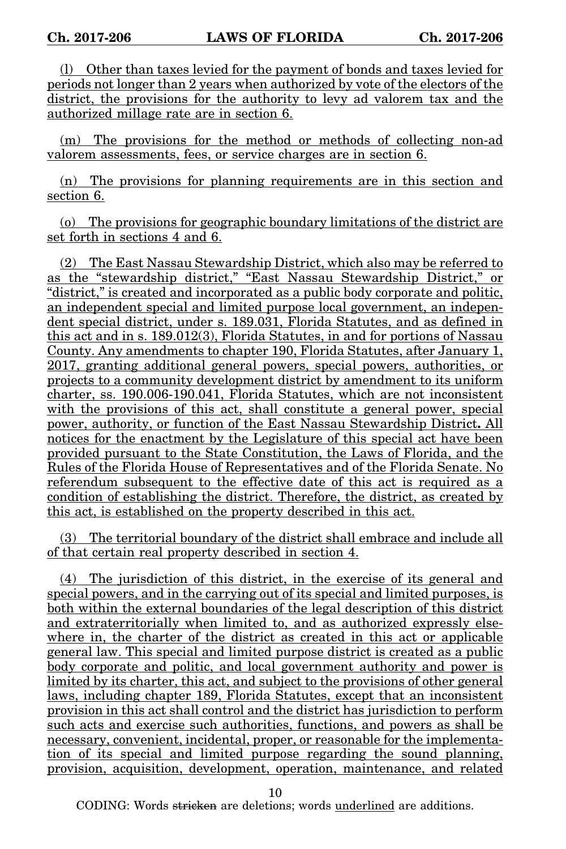(l) Other than taxes levied for the payment of bonds and taxes levied for periods not longer than 2 years when authorized by vote of the electors of the district, the provisions for the authority to levy ad valorem tax and the authorized millage rate are in section 6.

(m) The provisions for the method or methods of collecting non-ad valorem assessments, fees, or service charges are in section 6.

(n) The provisions for planning requirements are in this section and section 6.

(o) The provisions for geographic boundary limitations of the district are set forth in sections 4 and 6.

(2) The East Nassau Stewardship District, which also may be referred to as the "stewardship district," "East Nassau Stewardship District," or "district," is created and incorporated as a public body corporate and politic, an independent special and limited purpose local government, an independent special district, under s. 189.031, Florida Statutes, and as defined in this act and in s. 189.012(3), Florida Statutes, in and for portions of Nassau County. Any amendments to chapter 190, Florida Statutes, after January 1, 2017, granting additional general powers, special powers, authorities, or projects to a community development district by amendment to its uniform charter, ss. 190.006-190.041, Florida Statutes, which are not inconsistent with the provisions of this act, shall constitute a general power, special power, authority, or function of the East Nassau Stewardship District**.** All notices for the enactment by the Legislature of this special act have been provided pursuant to the State Constitution, the Laws of Florida, and the Rules of the Florida House of Representatives and of the Florida Senate. No referendum subsequent to the effective date of this act is required as a condition of establishing the district. Therefore, the district, as created by this act, is established on the property described in this act.

(3) The territorial boundary of the district shall embrace and include all of that certain real property described in section 4.

(4) The jurisdiction of this district, in the exercise of its general and special powers, and in the carrying out of its special and limited purposes, is both within the external boundaries of the legal description of this district and extraterritorially when limited to, and as authorized expressly elsewhere in, the charter of the district as created in this act or applicable general law. This special and limited purpose district is created as a public body corporate and politic, and local government authority and power is limited by its charter, this act, and subject to the provisions of other general laws, including chapter 189, Florida Statutes, except that an inconsistent provision in this act shall control and the district has jurisdiction to perform such acts and exercise such authorities, functions, and powers as shall be necessary, convenient, incidental, proper, or reasonable for the implementation of its special and limited purpose regarding the sound planning, provision, acquisition, development, operation, maintenance, and related

10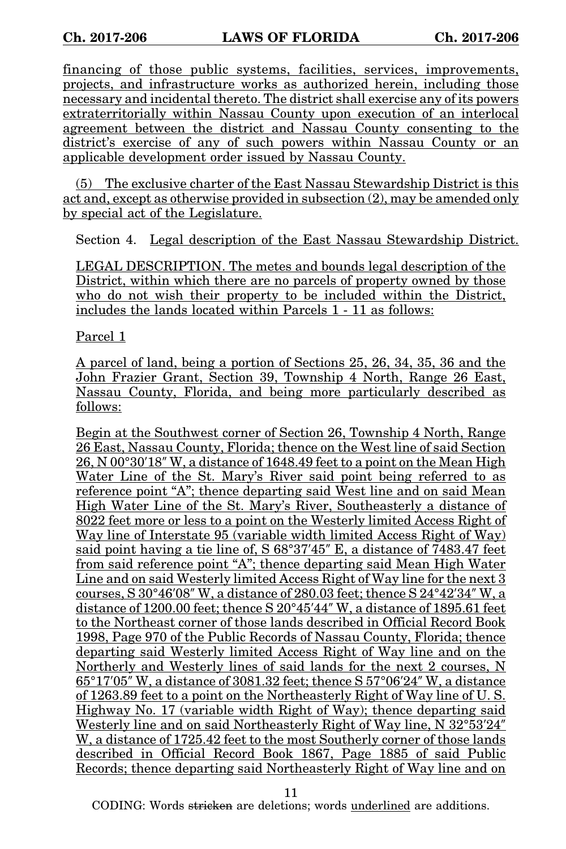financing of those public systems, facilities, services, improvements, projects, and infrastructure works as authorized herein, including those necessary and incidental thereto. The district shall exercise any of its powers extraterritorially within Nassau County upon execution of an interlocal agreement between the district and Nassau County consenting to the district's exercise of any of such powers within Nassau County or an applicable development order issued by Nassau County.

(5) The exclusive charter of the East Nassau Stewardship District is this act and, except as otherwise provided in subsection (2), may be amended only by special act of the Legislature.

Section 4. Legal description of the East Nassau Stewardship District.

LEGAL DESCRIPTION. The metes and bounds legal description of the District, within which there are no parcels of property owned by those who do not wish their property to be included within the District, includes the lands located within Parcels 1 - 11 as follows:

Parcel 1

A parcel of land, being a portion of Sections 25, 26, 34, 35, 36 and the John Frazier Grant, Section 39, Township 4 North, Range 26 East, Nassau County, Florida, and being more particularly described as follows:

Begin at the Southwest corner of Section 26, Township 4 North, Range 26 East, Nassau County, Florida; thence on the West line of said Section 26, N 00°30′18″ W, a distance of 1648.49 feet to a point on the Mean High Water Line of the St. Mary's River said point being referred to as reference point "A"; thence departing said West line and on said Mean High Water Line of the St. Mary's River, Southeasterly a distance of 8022 feet more or less to a point on the Westerly limited Access Right of Way line of Interstate 95 (variable width limited Access Right of Way) said point having a tie line of,  $S 68°37'45''$  E, a distance of  $7483.47$  feet from said reference point "A"; thence departing said Mean High Water Line and on said Westerly limited Access Right of Way line for the next 3 courses, S 30°46′08″ W, a distance of 280.03 feet; thence S 24°42′34″ W, a distance of 1200.00 feet; thence S 20°45′44″ W, a distance of 1895.61 feet to the Northeast corner of those lands described in Official Record Book 1998, Page 970 of the Public Records of Nassau County, Florida; thence departing said Westerly limited Access Right of Way line and on the Northerly and Westerly lines of said lands for the next 2 courses, N 65°17′05″ W, a distance of 3081.32 feet; thence S 57°06′24″ W, a distance of 1263.89 feet to a point on the Northeasterly Right of Way line of U. S. Highway No. 17 (variable width Right of Way); thence departing said Westerly line and on said Northeasterly Right of Way line, N 32°53′24″ W, a distance of 1725.42 feet to the most Southerly corner of those lands described in Official Record Book 1867, Page 1885 of said Public Records; thence departing said Northeasterly Right of Way line and on

11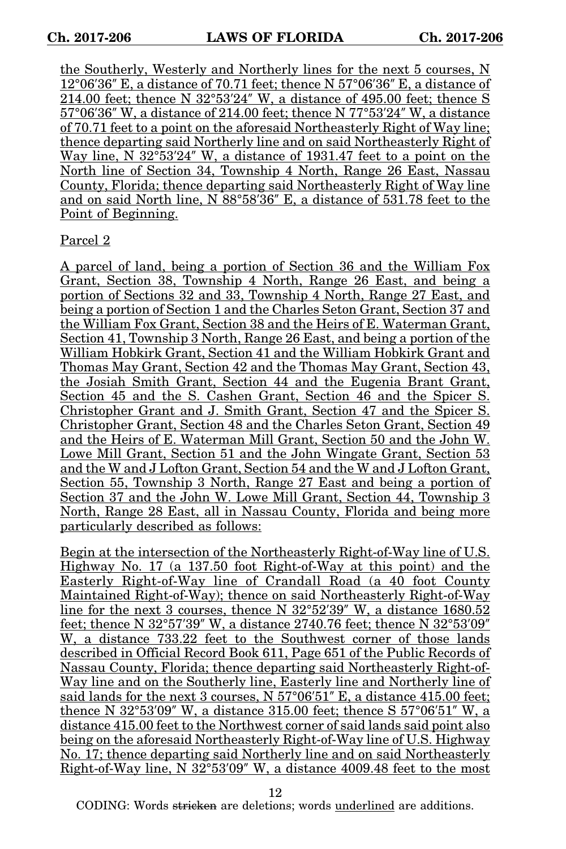the Southerly, Westerly and Northerly lines for the next 5 courses, N 12°06′36″ E, a distance of 70.71 feet; thence N 57°06′36″ E, a distance of 214.00 feet; thence N 32°53′24″ W, a distance of 495.00 feet; thence S 57°06′36″ W, a distance of 214.00 feet; thence N 77°53′24″ W, a distance of 70.71 feet to a point on the aforesaid Northeasterly Right of Way line; thence departing said Northerly line and on said Northeasterly Right of Way line, N 32°53′24″ W, a distance of 1931.47 feet to a point on the North line of Section 34, Township 4 North, Range 26 East, Nassau County, Florida; thence departing said Northeasterly Right of Way line and on said North line, N 88°58′36″ E, a distance of 531.78 feet to the Point of Beginning.

### Parcel 2

A parcel of land, being a portion of Section 36 and the William Fox Grant, Section 38, Township 4 North, Range 26 East, and being a portion of Sections 32 and 33, Township 4 North, Range 27 East, and being a portion of Section 1 and the Charles Seton Grant, Section 37 and the William Fox Grant, Section 38 and the Heirs of E. Waterman Grant, Section 41, Township 3 North, Range 26 East, and being a portion of the William Hobkirk Grant, Section 41 and the William Hobkirk Grant and Thomas May Grant, Section 42 and the Thomas May Grant, Section 43, the Josiah Smith Grant, Section 44 and the Eugenia Brant Grant, Section 45 and the S. Cashen Grant, Section 46 and the Spicer S. Christopher Grant and J. Smith Grant, Section 47 and the Spicer S. Christopher Grant, Section 48 and the Charles Seton Grant, Section 49 and the Heirs of E. Waterman Mill Grant, Section 50 and the John W. Lowe Mill Grant, Section 51 and the John Wingate Grant, Section 53 and the W and J Lofton Grant, Section 54 and the W and J Lofton Grant, Section 55, Township 3 North, Range 27 East and being a portion of Section 37 and the John W. Lowe Mill Grant, Section 44, Township 3 North, Range 28 East, all in Nassau County, Florida and being more particularly described as follows:

Begin at the intersection of the Northeasterly Right-of-Way line of U.S. Highway No. 17 (a 137.50 foot Right-of-Way at this point) and the Easterly Right-of-Way line of Crandall Road (a 40 foot County Maintained Right-of-Way); thence on said Northeasterly Right-of-Way line for the next 3 courses, thence N 32°52′39″ W, a distance 1680.52 feet; thence N 32°57′39″ W, a distance 2740.76 feet; thence N 32°53′09″ W, a distance 733.22 feet to the Southwest corner of those lands described in Official Record Book 611, Page 651 of the Public Records of Nassau County, Florida; thence departing said Northeasterly Right-of-Way line and on the Southerly line, Easterly line and Northerly line of said lands for the next 3 courses, N 57°06′51″ E, a distance 415.00 feet; thence N 32°53′09″ W, a distance 315.00 feet; thence S 57°06′51″ W, a distance 415.00 feet to the Northwest corner of said lands said point also being on the aforesaid Northeasterly Right-of-Way line of U.S. Highway No. 17; thence departing said Northerly line and on said Northeasterly Right-of-Way line, N 32°53′09″ W, a distance 4009.48 feet to the most

12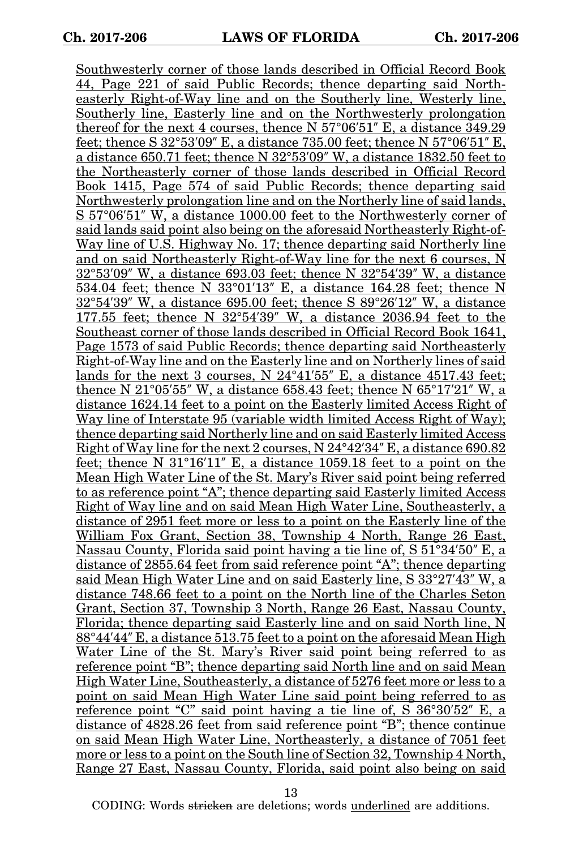Southwesterly corner of those lands described in Official Record Book 44, Page 221 of said Public Records; thence departing said Northeasterly Right-of-Way line and on the Southerly line, Westerly line, Southerly line, Easterly line and on the Northwesterly prolongation thereof for the next 4 courses, thence N 57°06′51″ E, a distance 349.29 feet; thence S 32°53′09″ E, a distance 735.00 feet; thence N 57°06′51″ E, a distance 650.71 feet; thence N 32°53′09″ W, a distance 1832.50 feet to the Northeasterly corner of those lands described in Official Record Book 1415, Page 574 of said Public Records; thence departing said Northwesterly prolongation line and on the Northerly line of said lands, S 57°06′51″ W, a distance 1000.00 feet to the Northwesterly corner of said lands said point also being on the aforesaid Northeasterly Right-of-Way line of U.S. Highway No. 17; thence departing said Northerly line and on said Northeasterly Right-of-Way line for the next 6 courses, N 32°53′09″ W, a distance 693.03 feet; thence N 32°54′39″ W, a distance 534.04 feet; thence N 33°01′13″ E, a distance 164.28 feet; thence N 32°54′39″ W, a distance 695.00 feet; thence S 89°26′12″ W, a distance 177.55 feet; thence N 32°54′39″ W, a distance 2036.94 feet to the Southeast corner of those lands described in Official Record Book 1641, Page 1573 of said Public Records; thence departing said Northeasterly Right-of-Way line and on the Easterly line and on Northerly lines of said lands for the next 3 courses,  $N \frac{24^{\circ}41'55''}{N}$  E, a distance 4517.43 feet; thence N 21°05′55″ W, a distance 658.43 feet; thence N 65°17′21″ W, a distance 1624.14 feet to a point on the Easterly limited Access Right of Way line of Interstate 95 (variable width limited Access Right of Way); thence departing said Northerly line and on said Easterly limited Access Right of Way line for the next 2 courses, N 24°42′34″ E, a distance 690.82 feet; thence N 31°16′11″ E, a distance 1059.18 feet to a point on the Mean High Water Line of the St. Mary's River said point being referred to as reference point "A"; thence departing said Easterly limited Access Right of Way line and on said Mean High Water Line, Southeasterly, a distance of 2951 feet more or less to a point on the Easterly line of the William Fox Grant, Section 38, Township 4 North, Range 26 East, Nassau County, Florida said point having a tie line of, S 51°34′50″ E, a distance of 2855.64 feet from said reference point "A"; thence departing said Mean High Water Line and on said Easterly line, S 33°27′43″ W, a distance 748.66 feet to a point on the North line of the Charles Seton Grant, Section 37, Township 3 North, Range 26 East, Nassau County, Florida; thence departing said Easterly line and on said North line, N 88°44′44″ E, a distance 513.75 feet to a point on the aforesaid Mean High Water Line of the St. Mary's River said point being referred to as reference point "B"; thence departing said North line and on said Mean High Water Line, Southeasterly, a distance of 5276 feet more or less to a point on said Mean High Water Line said point being referred to as reference point "C" said point having a tie line of, S 36°30′52″ E, a distance of 4828.26 feet from said reference point "B"; thence continue on said Mean High Water Line, Northeasterly, a distance of 7051 feet more or less to a point on the South line of Section 32, Township 4 North, Range 27 East, Nassau County, Florida, said point also being on said

13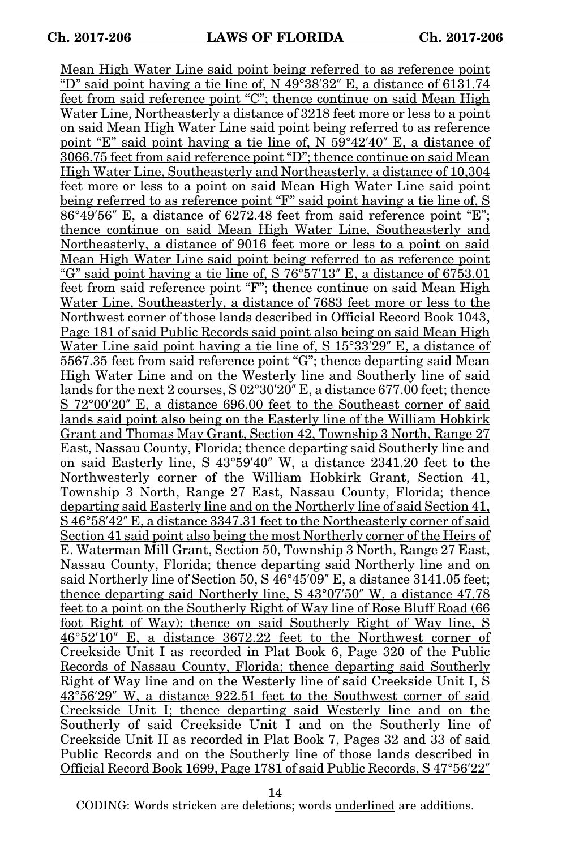Mean High Water Line said point being referred to as reference point "D" said point having a tie line of, N  $49^{\circ}38'32''$  E, a distance of 6131.74 feet from said reference point "C"; thence continue on said Mean High Water Line, Northeasterly a distance of 3218 feet more or less to a point on said Mean High Water Line said point being referred to as reference point "E" said point having a tie line of, N 59°42′40″ E, a distance of 3066.75 feet from said reference point "D"; thence continue on said Mean High Water Line, Southeasterly and Northeasterly, a distance of 10,304 feet more or less to a point on said Mean High Water Line said point being referred to as reference point "F" said point having a tie line of, S 86°49′56″ E, a distance of 6272.48 feet from said reference point "E"; thence continue on said Mean High Water Line, Southeasterly and Northeasterly, a distance of 9016 feet more or less to a point on said Mean High Water Line said point being referred to as reference point "G" said point having a tie line of, S 76°57′13″ E, a distance of 6753.01 feet from said reference point "F"; thence continue on said Mean High Water Line, Southeasterly, a distance of 7683 feet more or less to the Northwest corner of those lands described in Official Record Book 1043, Page 181 of said Public Records said point also being on said Mean High Water Line said point having a tie line of, S 15°33′29″ E, a distance of 5567.35 feet from said reference point "G"; thence departing said Mean High Water Line and on the Westerly line and Southerly line of said lands for the next 2 courses, S 02°30′20″ E, a distance 677.00 feet; thence S 72°00′20″ E, a distance 696.00 feet to the Southeast corner of said lands said point also being on the Easterly line of the William Hobkirk Grant and Thomas May Grant, Section 42, Township 3 North, Range 27 East, Nassau County, Florida; thence departing said Southerly line and on said Easterly line, S 43°59′40″ W, a distance 2341.20 feet to the Northwesterly corner of the William Hobkirk Grant, Section 41, Township 3 North, Range 27 East, Nassau County, Florida; thence departing said Easterly line and on the Northerly line of said Section 41, S 46°58′42″ E, a distance 3347.31 feet to the Northeasterly corner of said Section 41 said point also being the most Northerly corner of the Heirs of E. Waterman Mill Grant, Section 50, Township 3 North, Range 27 East, Nassau County, Florida; thence departing said Northerly line and on said Northerly line of Section 50, S 46°45'09" E, a distance 3141.05 feet: thence departing said Northerly line, S 43°07′50″ W, a distance 47.78 feet to a point on the Southerly Right of Way line of Rose Bluff Road (66 foot Right of Way); thence on said Southerly Right of Way line, S 46°52′10″ E, a distance 3672.22 feet to the Northwest corner of Creekside Unit I as recorded in Plat Book 6, Page 320 of the Public Records of Nassau County, Florida; thence departing said Southerly Right of Way line and on the Westerly line of said Creekside Unit I, S 43°56′29″ W, a distance 922.51 feet to the Southwest corner of said Creekside Unit I; thence departing said Westerly line and on the Southerly of said Creekside Unit I and on the Southerly line of Creekside Unit II as recorded in Plat Book 7, Pages 32 and 33 of said Public Records and on the Southerly line of those lands described in Official Record Book 1699, Page 1781 of said Public Records, S 47°56′22″

14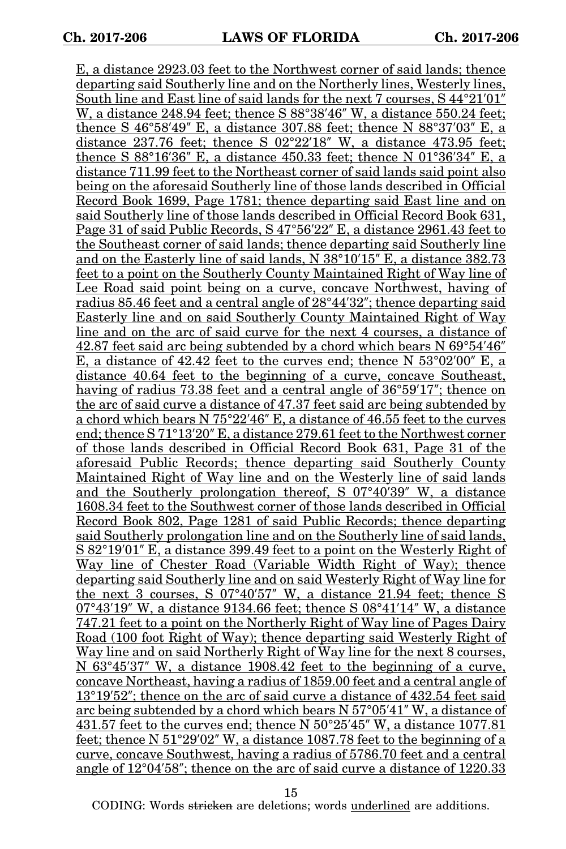E, a distance 2923.03 feet to the Northwest corner of said lands; thence departing said Southerly line and on the Northerly lines, Westerly lines, South line and East line of said lands for the next 7 courses, S 44°21′01″ W, a distance 248.94 feet; thence S 88°38′46″ W, a distance 550.24 feet; thence S 46°58′49″ E, a distance 307.88 feet; thence N 88°37′03″ E, a distance 237.76 feet; thence S  $02^{\circ}22'18''$  W, a distance 473.95 feet; thence S 88°16′36″ E, a distance 450.33 feet; thence N 01°36′34″ E, a distance 711.99 feet to the Northeast corner of said lands said point also being on the aforesaid Southerly line of those lands described in Official Record Book 1699, Page 1781; thence departing said East line and on said Southerly line of those lands described in Official Record Book 631, Page 31 of said Public Records, S 47°56′22″ E, a distance 2961.43 feet to the Southeast corner of said lands; thence departing said Southerly line and on the Easterly line of said lands, N 38°10′15″ E, a distance 382.73 feet to a point on the Southerly County Maintained Right of Way line of Lee Road said point being on a curve, concave Northwest, having of radius 85.46 feet and a central angle of 28°44′32″; thence departing said Easterly line and on said Southerly County Maintained Right of Way line and on the arc of said curve for the next 4 courses, a distance of 42.87 feet said arc being subtended by a chord which bears N 69°54′46″ E, a distance of 42.42 feet to the curves end; thence N 53°02′00″ E, a distance 40.64 feet to the beginning of a curve, concave Southeast, having of radius 73.38 feet and a central angle of 36°59′17″; thence on the arc of said curve a distance of 47.37 feet said arc being subtended by a chord which bears N 75°22′46″ E, a distance of 46.55 feet to the curves end; thence S 71°13′20″ E, a distance 279.61 feet to the Northwest corner of those lands described in Official Record Book 631, Page 31 of the aforesaid Public Records; thence departing said Southerly County Maintained Right of Way line and on the Westerly line of said lands and the Southerly prolongation thereof, S 07°40′39″ W, a distance 1608.34 feet to the Southwest corner of those lands described in Official Record Book 802, Page 1281 of said Public Records; thence departing said Southerly prolongation line and on the Southerly line of said lands, S 82°19′01″ E, a distance 399.49 feet to a point on the Westerly Right of Way line of Chester Road (Variable Width Right of Way); thence departing said Southerly line and on said Westerly Right of Way line for the next 3 courses, S 07°40′57″ W, a distance 21.94 feet; thence S 07°43′19″ W, a distance 9134.66 feet; thence S  $08^{\circ}41'14''$  W, a distance 747.21 feet to a point on the Northerly Right of Way line of Pages Dairy Road (100 foot Right of Way); thence departing said Westerly Right of Way line and on said Northerly Right of Way line for the next 8 courses, N 63°45′37″ W, a distance 1908.42 feet to the beginning of a curve, concave Northeast, having a radius of 1859.00 feet and a central angle of 13°19′52″; thence on the arc of said curve a distance of 432.54 feet said arc being subtended by a chord which bears N 57°05′41″ W, a distance of 431.57 feet to the curves end; thence N 50°25′45″ W, a distance 1077.81 feet; thence N 51°29′02″ W, a distance 1087.78 feet to the beginning of a curve, concave Southwest, having a radius of 5786.70 feet and a central angle of 12°04′58″; thence on the arc of said curve a distance of 1220.33

15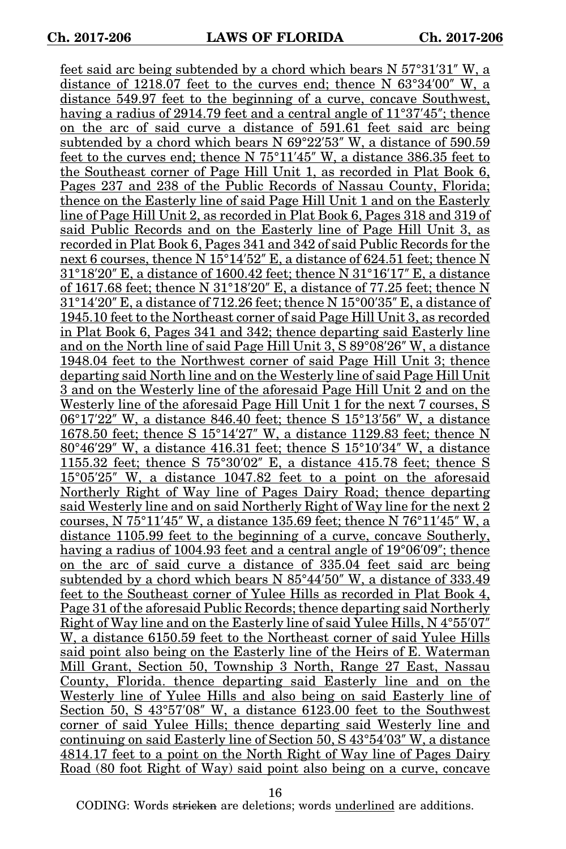feet said arc being subtended by a chord which bears N 57°31′31″ W, a distance of 1218.07 feet to the curves end; thence N 63°34′00″ W, a distance 549.97 feet to the beginning of a curve, concave Southwest, having a radius of 2914.79 feet and a central angle of 11°37′45″; thence on the arc of said curve a distance of 591.61 feet said arc being subtended by a chord which bears N 69°22′53″ W, a distance of 590.59 feet to the curves end; thence N 75°11′45″ W, a distance 386.35 feet to the Southeast corner of Page Hill Unit 1, as recorded in Plat Book 6, Pages 237 and 238 of the Public Records of Nassau County, Florida; thence on the Easterly line of said Page Hill Unit 1 and on the Easterly line of Page Hill Unit 2, as recorded in Plat Book 6, Pages 318 and 319 of said Public Records and on the Easterly line of Page Hill Unit 3, as recorded in Plat Book 6, Pages 341 and 342 of said Public Records for the next 6 courses, thence N 15°14′52″ E, a distance of 624.51 feet; thence N 31°18′20″ E, a distance of 1600.42 feet; thence N 31°16′17″ E, a distance of 1617.68 feet; thence N 31°18′20″ E, a distance of 77.25 feet; thence N 31°14′20″ E, a distance of 712.26 feet; thence N 15°00′35″ E, a distance of 1945.10 feet to the Northeast corner of said Page Hill Unit 3, as recorded in Plat Book 6, Pages 341 and 342; thence departing said Easterly line and on the North line of said Page Hill Unit 3, S 89°08′26″ W, a distance 1948.04 feet to the Northwest corner of said Page Hill Unit 3; thence departing said North line and on the Westerly line of said Page Hill Unit 3 and on the Westerly line of the aforesaid Page Hill Unit 2 and on the Westerly line of the aforesaid Page Hill Unit 1 for the next 7 courses, S 06°17′22″ W, a distance 846.40 feet; thence S 15°13′56″ W, a distance 1678.50 feet; thence S 15°14′27″ W, a distance 1129.83 feet; thence N 80°46′29″ W, a distance 416.31 feet; thence S 15°10′34″ W, a distance 1155.32 feet; thence S 75°30′02″ E, a distance 415.78 feet; thence S 15°05′25″ W, a distance 1047.82 feet to a point on the aforesaid Northerly Right of Way line of Pages Dairy Road; thence departing said Westerly line and on said Northerly Right of Way line for the next 2 courses, N 75°11′45″ W, a distance 135.69 feet; thence N 76°11′45″ W, a distance 1105.99 feet to the beginning of a curve, concave Southerly, having a radius of 1004.93 feet and a central angle of 19°06′09″; thence on the arc of said curve a distance of 335.04 feet said arc being subtended by a chord which bears N 85°44′50″ W, a distance of 333.49 feet to the Southeast corner of Yulee Hills as recorded in Plat Book 4, Page 31 of the aforesaid Public Records; thence departing said Northerly Right of Way line and on the Easterly line of said Yulee Hills, N 4°55′07″ W, a distance 6150.59 feet to the Northeast corner of said Yulee Hills said point also being on the Easterly line of the Heirs of E. Waterman Mill Grant, Section 50, Township 3 North, Range 27 East, Nassau County, Florida. thence departing said Easterly line and on the Westerly line of Yulee Hills and also being on said Easterly line of Section 50, S 43°57′08″ W, a distance 6123.00 feet to the Southwest corner of said Yulee Hills; thence departing said Westerly line and continuing on said Easterly line of Section 50, S 43°54′03″ W, a distance 4814.17 feet to a point on the North Right of Way line of Pages Dairy Road (80 foot Right of Way) said point also being on a curve, concave

16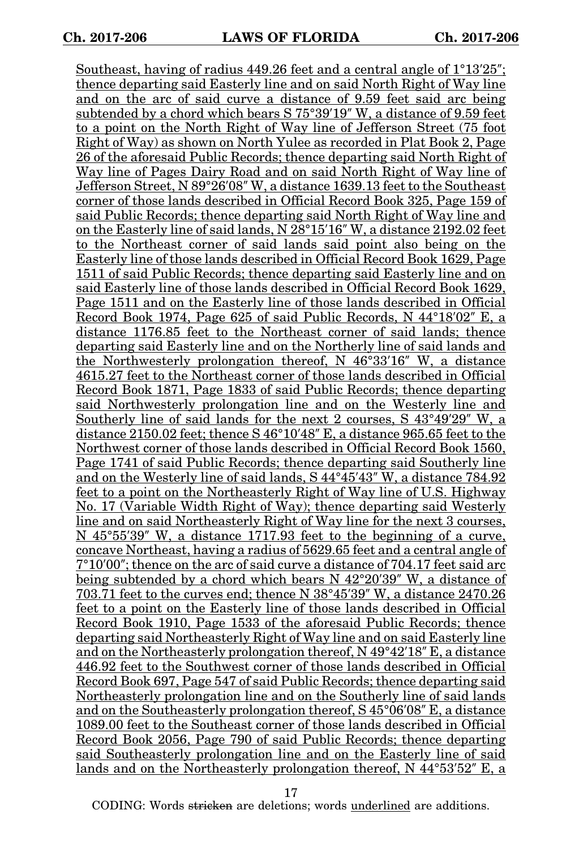Southeast, having of radius 449.26 feet and a central angle of 1°13′25″; thence departing said Easterly line and on said North Right of Way line and on the arc of said curve a distance of 9.59 feet said arc being subtended by a chord which bears S 75°39′19″ W, a distance of 9.59 feet to a point on the North Right of Way line of Jefferson Street (75 foot Right of Way) as shown on North Yulee as recorded in Plat Book 2, Page 26 of the aforesaid Public Records; thence departing said North Right of Way line of Pages Dairy Road and on said North Right of Way line of Jefferson Street, N 89°26′08″ W, a distance 1639.13 feet to the Southeast corner of those lands described in Official Record Book 325, Page 159 of said Public Records; thence departing said North Right of Way line and on the Easterly line of said lands, N 28°15′16″ W, a distance 2192.02 feet to the Northeast corner of said lands said point also being on the Easterly line of those lands described in Official Record Book 1629, Page 1511 of said Public Records; thence departing said Easterly line and on said Easterly line of those lands described in Official Record Book 1629, Page 1511 and on the Easterly line of those lands described in Official Record Book 1974, Page 625 of said Public Records, N 44°18′02″ E, a distance 1176.85 feet to the Northeast corner of said lands; thence departing said Easterly line and on the Northerly line of said lands and the Northwesterly prolongation thereof, N 46°33′16″ W, a distance 4615.27 feet to the Northeast corner of those lands described in Official Record Book 1871, Page 1833 of said Public Records; thence departing said Northwesterly prolongation line and on the Westerly line and Southerly line of said lands for the next 2 courses, S 43°49′29″ W, a distance 2150.02 feet; thence S 46°10′48″ E, a distance 965.65 feet to the Northwest corner of those lands described in Official Record Book 1560, Page 1741 of said Public Records; thence departing said Southerly line and on the Westerly line of said lands, S 44°45′43″ W, a distance 784.92 feet to a point on the Northeasterly Right of Way line of U.S. Highway No. 17 (Variable Width Right of Way); thence departing said Westerly line and on said Northeasterly Right of Way line for the next 3 courses, N 45°55′39″ W, a distance 1717.93 feet to the beginning of a curve, concave Northeast, having a radius of 5629.65 feet and a central angle of 7°10′00″; thence on the arc of said curve a distance of 704.17 feet said arc being subtended by a chord which bears  $N_{42}^{\circ}20'39''$  W, a distance of 703.71 feet to the curves end; thence N 38°45′39″ W, a distance 2470.26 feet to a point on the Easterly line of those lands described in Official Record Book 1910, Page 1533 of the aforesaid Public Records; thence departing said Northeasterly Right of Way line and on said Easterly line and on the Northeasterly prolongation thereof, N 49°42′18″ E, a distance 446.92 feet to the Southwest corner of those lands described in Official Record Book 697, Page 547 of said Public Records; thence departing said Northeasterly prolongation line and on the Southerly line of said lands and on the Southeasterly prolongation thereof, S 45°06′08″ E, a distance 1089.00 feet to the Southeast corner of those lands described in Official Record Book 2056, Page 790 of said Public Records; thence departing said Southeasterly prolongation line and on the Easterly line of said lands and on the Northeasterly prolongation thereof, N 44°53′52″ E, a

17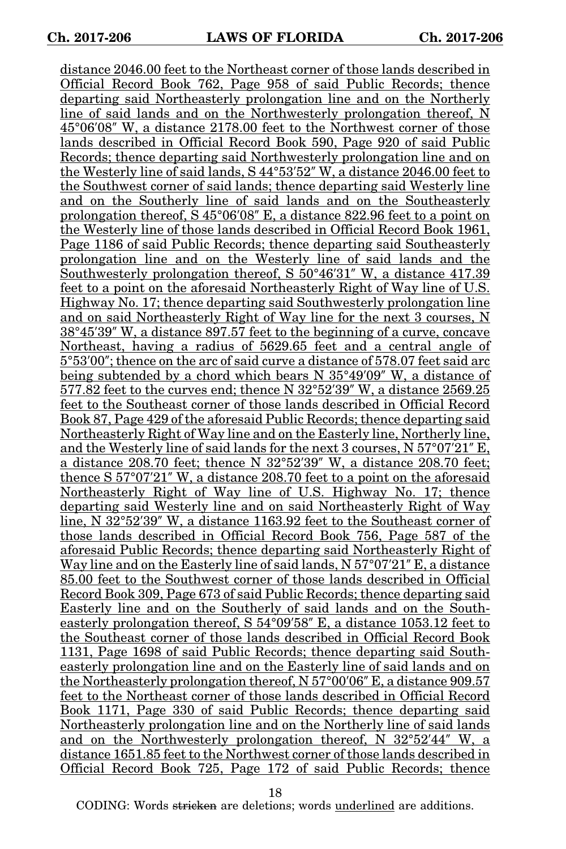distance 2046.00 feet to the Northeast corner of those lands described in Official Record Book 762, Page 958 of said Public Records; thence departing said Northeasterly prolongation line and on the Northerly line of said lands and on the Northwesterly prolongation thereof, N 45°06′08″ W, a distance 2178.00 feet to the Northwest corner of those lands described in Official Record Book 590, Page 920 of said Public Records; thence departing said Northwesterly prolongation line and on the Westerly line of said lands, S 44°53′52″ W, a distance 2046.00 feet to the Southwest corner of said lands; thence departing said Westerly line and on the Southerly line of said lands and on the Southeasterly prolongation thereof, S 45°06′08″ E, a distance 822.96 feet to a point on the Westerly line of those lands described in Official Record Book 1961, Page 1186 of said Public Records; thence departing said Southeasterly prolongation line and on the Westerly line of said lands and the Southwesterly prolongation thereof, S 50°46′31″ W, a distance 417.39 feet to a point on the aforesaid Northeasterly Right of Way line of U.S. Highway No. 17; thence departing said Southwesterly prolongation line and on said Northeasterly Right of Way line for the next 3 courses, N 38°45′39″ W, a distance 897.57 feet to the beginning of a curve, concave Northeast, having a radius of 5629.65 feet and a central angle of 5°53′00″; thence on the arc of said curve a distance of 578.07 feet said arc being subtended by a chord which bears N 35°49′09″ W, a distance of 577.82 feet to the curves end; thence N 32°52′39″ W, a distance 2569.25 feet to the Southeast corner of those lands described in Official Record Book 87, Page 429 of the aforesaid Public Records; thence departing said Northeasterly Right of Way line and on the Easterly line, Northerly line, and the Westerly line of said lands for the next 3 courses, N 57°07′21″ E, a distance 208.70 feet; thence N 32°52′39″ W, a distance 208.70 feet; thence S 57°07′21″ W, a distance 208.70 feet to a point on the aforesaid Northeasterly Right of Way line of U.S. Highway No. 17; thence departing said Westerly line and on said Northeasterly Right of Way line, N 32°52′39″ W, a distance 1163.92 feet to the Southeast corner of those lands described in Official Record Book 756, Page 587 of the aforesaid Public Records; thence departing said Northeasterly Right of Way line and on the Easterly line of said lands, N 57°07'21" E, a distance 85.00 feet to the Southwest corner of those lands described in Official Record Book 309, Page 673 of said Public Records; thence departing said Easterly line and on the Southerly of said lands and on the Southeasterly prolongation thereof, S 54°09′58″ E, a distance 1053.12 feet to the Southeast corner of those lands described in Official Record Book 1131, Page 1698 of said Public Records; thence departing said Southeasterly prolongation line and on the Easterly line of said lands and on the Northeasterly prolongation thereof, N 57°00′06″ E, a distance 909.57 feet to the Northeast corner of those lands described in Official Record Book 1171, Page 330 of said Public Records; thence departing said Northeasterly prolongation line and on the Northerly line of said lands and on the Northwesterly prolongation thereof, N 32°52′44″ W, a distance 1651.85 feet to the Northwest corner of those lands described in Official Record Book 725, Page 172 of said Public Records; thence

18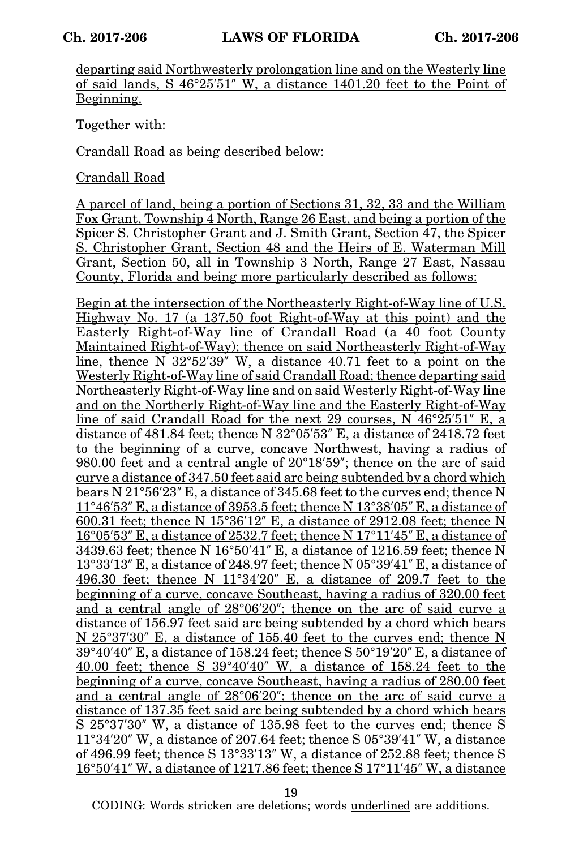departing said Northwesterly prolongation line and on the Westerly line of said lands, S 46°25′51″ W, a distance 1401.20 feet to the Point of Beginning.

Together with:

Crandall Road as being described below:

Crandall Road

A parcel of land, being a portion of Sections 31, 32, 33 and the William Fox Grant, Township 4 North, Range 26 East, and being a portion of the Spicer S. Christopher Grant and J. Smith Grant, Section 47, the Spicer S. Christopher Grant, Section 48 and the Heirs of E. Waterman Mill Grant, Section 50, all in Township 3 North, Range 27 East, Nassau County, Florida and being more particularly described as follows:

Begin at the intersection of the Northeasterly Right-of-Way line of U.S. Highway No. 17 (a 137.50 foot Right-of-Way at this point) and the Easterly Right-of-Way line of Crandall Road (a 40 foot County Maintained Right-of-Way); thence on said Northeasterly Right-of-Way line, thence  $N \frac{32^{\circ}52'39''}{W}$ , a distance 40.71 feet to a point on the Westerly Right-of-Way line of said Crandall Road; thence departing said Northeasterly Right-of-Way line and on said Westerly Right-of-Way line and on the Northerly Right-of-Way line and the Easterly Right-of-Way line of said Crandall Road for the next 29 courses, N 46°25′51″ E, a distance of 481.84 feet; thence N 32°05′53″ E, a distance of 2418.72 feet to the beginning of a curve, concave Northwest, having a radius of 980.00 feet and a central angle of 20°18′59″; thence on the arc of said curve a distance of 347.50 feet said arc being subtended by a chord which bears N 21°56′23″ E, a distance of 345.68 feet to the curves end; thence N  $11^{\circ}46'53''$  E, a distance of 3953.5 feet; thence N 13°38'05" E, a distance of 600.31 feet; thence N 15°36′12″ E, a distance of 2912.08 feet; thence N 16°05′53″ E, a distance of 2532.7 feet; thence N 17°11′45″ E, a distance of 3439.63 feet; thence N 16°50′41″ E, a distance of 1216.59 feet; thence N 13°33′13″ E, a distance of 248.97 feet; thence N 05°39′41″ E, a distance of 496.30 feet; thence N 11°34′20″ E, a distance of 209.7 feet to the beginning of a curve, concave Southeast, having a radius of 320.00 feet and a central angle of 28°06′20″; thence on the arc of said curve a distance of 156.97 feet said arc being subtended by a chord which bears N 25°37′30″ E, a distance of 155.40 feet to the curves end; thence N  $39^{\circ}40'40''$  E, a distance of 158.24 feet; thence S  $50^{\circ}19'20''$  E, a distance of 40.00 feet; thence S 39°40′40″ W, a distance of 158.24 feet to the beginning of a curve, concave Southeast, having a radius of 280.00 feet and a central angle of 28°06′20″; thence on the arc of said curve a distance of 137.35 feet said arc being subtended by a chord which bears S 25°37′30″ W, a distance of 135.98 feet to the curves end; thence S 11°34′20″ W, a distance of 207.64 feet; thence S 05°39′41″ W, a distance of 496.99 feet; thence S 13°33′13″ W, a distance of 252.88 feet; thence S 16°50′41″ W, a distance of 1217.86 feet; thence S 17°11′45″ W, a distance

19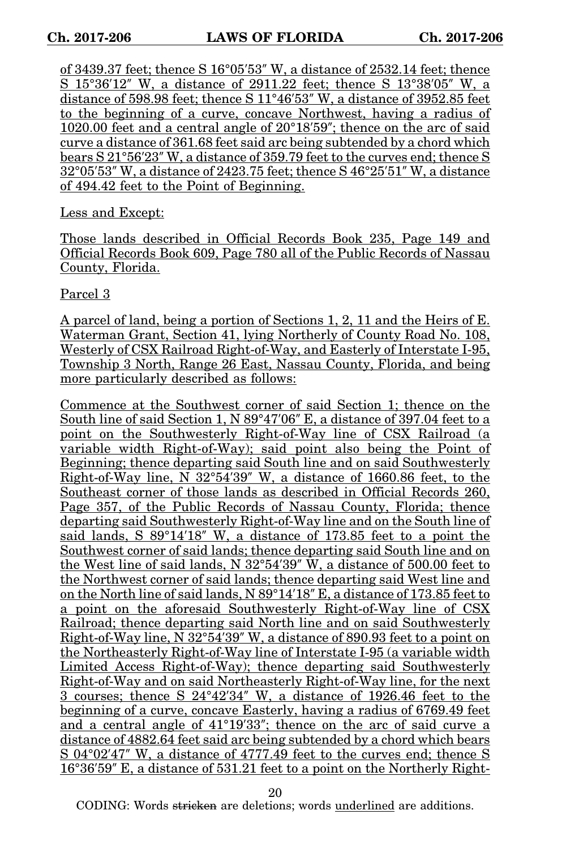of 3439.37 feet; thence S 16°05′53″ W, a distance of 2532.14 feet; thence S 15°36′12″ W, a distance of 2911.22 feet; thence S 13°38′05″ W, a distance of 598.98 feet; thence S 11°46′53″ W, a distance of 3952.85 feet to the beginning of a curve, concave Northwest, having a radius of 1020.00 feet and a central angle of 20°18′59″; thence on the arc of said curve a distance of 361.68 feet said arc being subtended by a chord which bears S 21°56′23″ W, a distance of 359.79 feet to the curves end; thence S 32°05′53″ W, a distance of 2423.75 feet; thence S 46°25′51″ W, a distance of 494.42 feet to the Point of Beginning.

Less and Except:

Those lands described in Official Records Book 235, Page 149 and Official Records Book 609, Page 780 all of the Public Records of Nassau County, Florida.

Parcel 3

A parcel of land, being a portion of Sections 1, 2, 11 and the Heirs of E. Waterman Grant, Section 41, lying Northerly of County Road No. 108, Westerly of CSX Railroad Right-of-Way, and Easterly of Interstate I-95, Township 3 North, Range 26 East, Nassau County, Florida, and being more particularly described as follows:

Commence at the Southwest corner of said Section 1; thence on the South line of said Section 1, N 89°47'06" E, a distance of 397.04 feet to a point on the Southwesterly Right-of-Way line of CSX Railroad (a variable width Right-of-Way); said point also being the Point of Beginning; thence departing said South line and on said Southwesterly Right-of-Way line, N 32°54′39″ W, a distance of 1660.86 feet, to the Southeast corner of those lands as described in Official Records 260, Page 357, of the Public Records of Nassau County, Florida; thence departing said Southwesterly Right-of-Way line and on the South line of said lands, S 89°14′18″ W, a distance of 173.85 feet to a point the Southwest corner of said lands; thence departing said South line and on the West line of said lands, N 32°54′39″ W, a distance of 500.00 feet to the Northwest corner of said lands; thence departing said West line and on the North line of said lands, N 89°14′18″ E, a distance of 173.85 feet to a point on the aforesaid Southwesterly Right-of-Way line of CSX Railroad; thence departing said North line and on said Southwesterly Right-of-Way line, N 32°54′39″ W, a distance of 890.93 feet to a point on the Northeasterly Right-of-Way line of Interstate I-95 (a variable width Limited Access Right-of-Way); thence departing said Southwesterly Right-of-Way and on said Northeasterly Right-of-Way line, for the next 3 courses; thence S 24°42′34″ W, a distance of 1926.46 feet to the beginning of a curve, concave Easterly, having a radius of 6769.49 feet and a central angle of 41°19′33″; thence on the arc of said curve a distance of 4882.64 feet said arc being subtended by a chord which bears S 04°02′47″ W, a distance of 4777.49 feet to the curves end; thence S 16°36′59″ E, a distance of 531.21 feet to a point on the Northerly Right-

20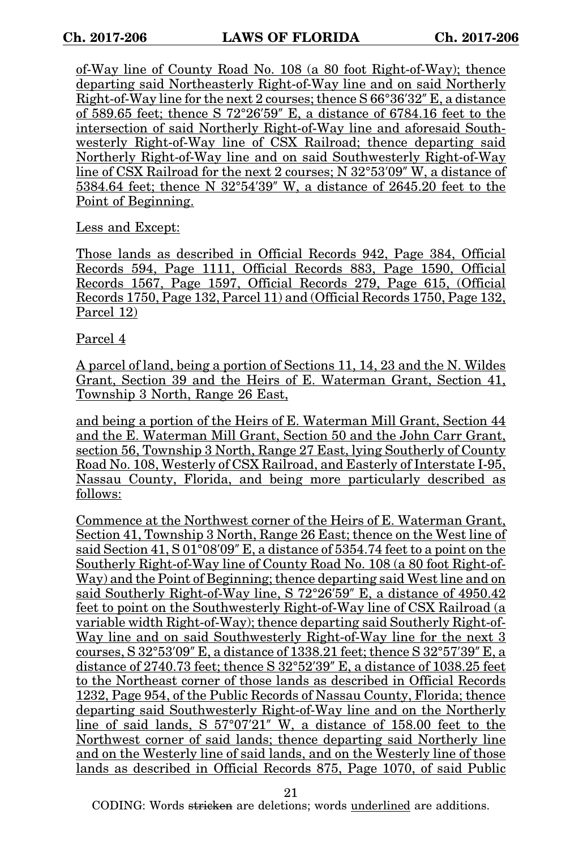of-Way line of County Road No. 108 (a 80 foot Right-of-Way); thence departing said Northeasterly Right-of-Way line and on said Northerly Right-of-Way line for the next 2 courses; thence S 66°36′32″ E, a distance of 589.65 feet; thence S 72°26′59″ E, a distance of 6784.16 feet to the intersection of said Northerly Right-of-Way line and aforesaid Southwesterly Right-of-Way line of CSX Railroad; thence departing said Northerly Right-of-Way line and on said Southwesterly Right-of-Way line of CSX Railroad for the next 2 courses; N 32°53′09″ W, a distance of 5384.64 feet; thence N 32°54′39″ W, a distance of 2645.20 feet to the Point of Beginning.

Less and Except:

Those lands as described in Official Records 942, Page 384, Official Records 594, Page 1111, Official Records 883, Page 1590, Official Records 1567, Page 1597, Official Records 279, Page 615, (Official Records 1750, Page 132, Parcel 11) and (Official Records 1750, Page 132, Parcel 12)

Parcel 4

A parcel of land, being a portion of Sections 11, 14, 23 and the N. Wildes Grant, Section 39 and the Heirs of E. Waterman Grant, Section 41, Township 3 North, Range 26 East,

and being a portion of the Heirs of E. Waterman Mill Grant, Section 44 and the E. Waterman Mill Grant, Section 50 and the John Carr Grant, section 56, Township 3 North, Range 27 East, lying Southerly of County Road No. 108, Westerly of CSX Railroad, and Easterly of Interstate I-95, Nassau County, Florida, and being more particularly described as follows:

Commence at the Northwest corner of the Heirs of E. Waterman Grant, Section 41, Township 3 North, Range 26 East; thence on the West line of said Section 41, S 01°08′09″ E, a distance of 5354.74 feet to a point on the Southerly Right-of-Way line of County Road No. 108 (a 80 foot Right-of-Way) and the Point of Beginning; thence departing said West line and on said Southerly Right-of-Way line, S 72°26′59″ E, a distance of 4950.42 feet to point on the Southwesterly Right-of-Way line of CSX Railroad (a variable width Right-of-Way); thence departing said Southerly Right-of-Way line and on said Southwesterly Right-of-Way line for the next 3 courses, S 32°53′09″ E, a distance of 1338.21 feet; thence S 32°57′39″ E, a distance of 2740.73 feet; thence S 32°52′39″ E, a distance of 1038.25 feet to the Northeast corner of those lands as described in Official Records 1232, Page 954, of the Public Records of Nassau County, Florida; thence departing said Southwesterly Right-of-Way line and on the Northerly line of said lands, S 57°07′21″ W, a distance of 158.00 feet to the Northwest corner of said lands; thence departing said Northerly line and on the Westerly line of said lands, and on the Westerly line of those lands as described in Official Records 875, Page 1070, of said Public

21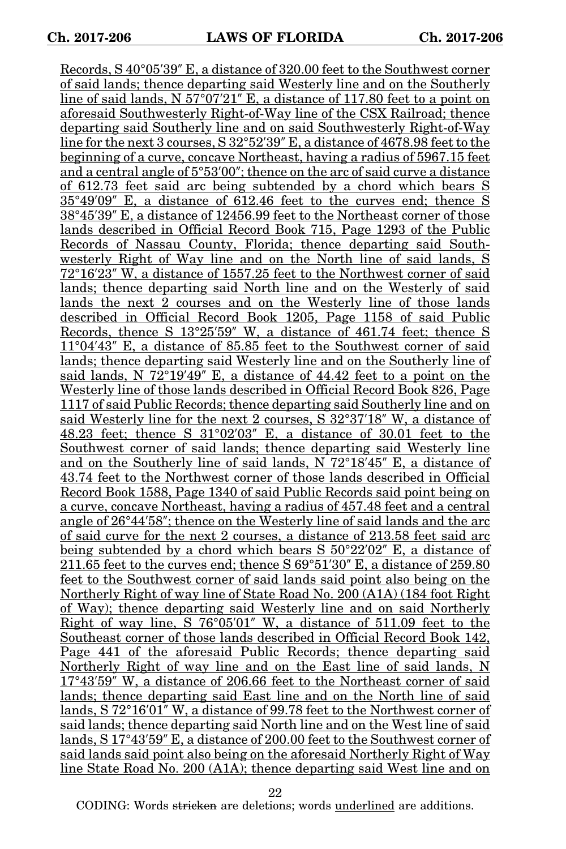Records, S 40°05′39″ E, a distance of 320.00 feet to the Southwest corner of said lands; thence departing said Westerly line and on the Southerly line of said lands,  $N 57^{\circ}07'21''$  E, a distance of 117.80 feet to a point on aforesaid Southwesterly Right-of-Way line of the CSX Railroad; thence departing said Southerly line and on said Southwesterly Right-of-Way line for the next 3 courses, S 32°52′39″ E, a distance of 4678.98 feet to the beginning of a curve, concave Northeast, having a radius of 5967.15 feet and a central angle of 5°53′00″; thence on the arc of said curve a distance of 612.73 feet said arc being subtended by a chord which bears S 35°49′09″ E, a distance of 612.46 feet to the curves end; thence S 38°45′39″ E, a distance of 12456.99 feet to the Northeast corner of those lands described in Official Record Book 715, Page 1293 of the Public Records of Nassau County, Florida; thence departing said Southwesterly Right of Way line and on the North line of said lands, S 72°16′23″ W, a distance of 1557.25 feet to the Northwest corner of said lands; thence departing said North line and on the Westerly of said lands the next 2 courses and on the Westerly line of those lands described in Official Record Book 1205, Page 1158 of said Public Records, thence S 13°25′59″ W, a distance of 461.74 feet; thence S 11°04′43″ E, a distance of 85.85 feet to the Southwest corner of said lands; thence departing said Westerly line and on the Southerly line of said lands, N 72°19′49″ E, a distance of 44.42 feet to a point on the Westerly line of those lands described in Official Record Book 826, Page 1117 of said Public Records; thence departing said Southerly line and on said Westerly line for the next 2 courses, S 32°37′18″ W, a distance of 48.23 feet; thence S 31°02′03″ E, a distance of 30.01 feet to the Southwest corner of said lands; thence departing said Westerly line and on the Southerly line of said lands, N 72°18′45″ E, a distance of 43.74 feet to the Northwest corner of those lands described in Official Record Book 1588, Page 1340 of said Public Records said point being on a curve, concave Northeast, having a radius of 457.48 feet and a central angle of 26°44′58″; thence on the Westerly line of said lands and the arc of said curve for the next 2 courses, a distance of 213.58 feet said arc being subtended by a chord which bears S 50°22′02″ E, a distance of 211.65 feet to the curves end; thence S 69°51′30″ E, a distance of 259.80 feet to the Southwest corner of said lands said point also being on the Northerly Right of way line of State Road No. 200 (A1A) (184 foot Right of Way); thence departing said Westerly line and on said Northerly Right of way line, S 76°05′01″ W, a distance of 511.09 feet to the Southeast corner of those lands described in Official Record Book 142, Page 441 of the aforesaid Public Records; thence departing said Northerly Right of way line and on the East line of said lands, N 17°43′59″ W, a distance of 206.66 feet to the Northeast corner of said lands; thence departing said East line and on the North line of said lands, S 72°16′01″ W, a distance of 99.78 feet to the Northwest corner of said lands; thence departing said North line and on the West line of said lands, S 17°43′59″ E, a distance of 200.00 feet to the Southwest corner of said lands said point also being on the aforesaid Northerly Right of Way line State Road No. 200 (A1A); thence departing said West line and on

22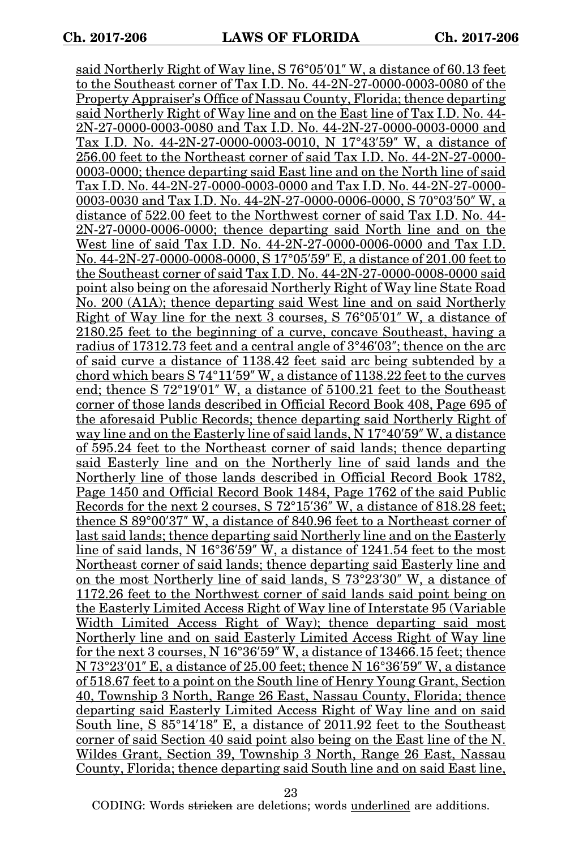said Northerly Right of Way line, S 76°05′01″ W, a distance of 60.13 feet to the Southeast corner of Tax I.D. No. 44-2N-27-0000-0003-0080 of the Property Appraiser's Office of Nassau County, Florida; thence departing said Northerly Right of Way line and on the East line of Tax I.D. No. 44- 2N-27-0000-0003-0080 and Tax I.D. No. 44-2N-27-0000-0003-0000 and Tax I.D. No. 44-2N-27-0000-0003-0010, N 17°43′59″ W, a distance of 256.00 feet to the Northeast corner of said Tax I.D. No. 44-2N-27-0000- 0003-0000; thence departing said East line and on the North line of said Tax I.D. No. 44-2N-27-0000-0003-0000 and Tax I.D. No. 44-2N-27-0000- 0003-0030 and Tax I.D. No. 44-2N-27-0000-0006-0000, S 70°03′50″ W, a distance of 522.00 feet to the Northwest corner of said Tax I.D. No. 44- 2N-27-0000-0006-0000; thence departing said North line and on the West line of said Tax I.D. No. 44-2N-27-0000-0006-0000 and Tax I.D. No. 44-2N-27-0000-0008-0000, S 17°05′59″ E, a distance of 201.00 feet to the Southeast corner of said Tax I.D. No. 44-2N-27-0000-0008-0000 said point also being on the aforesaid Northerly Right of Way line State Road No. 200 (A1A); thence departing said West line and on said Northerly Right of Way line for the next 3 courses, S 76°05′01″ W, a distance of 2180.25 feet to the beginning of a curve, concave Southeast, having a radius of 17312.73 feet and a central angle of 3°46′03″; thence on the arc of said curve a distance of 1138.42 feet said arc being subtended by a chord which bears S 74°11′59″ W, a distance of 1138.22 feet to the curves end; thence S 72°19′01″ W, a distance of 5100.21 feet to the Southeast corner of those lands described in Official Record Book 408, Page 695 of the aforesaid Public Records; thence departing said Northerly Right of way line and on the Easterly line of said lands, N 17°40′59″ W, a distance of 595.24 feet to the Northeast corner of said lands; thence departing said Easterly line and on the Northerly line of said lands and the Northerly line of those lands described in Official Record Book 1782, Page 1450 and Official Record Book 1484, Page 1762 of the said Public Records for the next 2 courses, S 72°15′36″ W, a distance of 818.28 feet; thence S 89°00′37″ W, a distance of 840.96 feet to a Northeast corner of last said lands; thence departing said Northerly line and on the Easterly line of said lands, N 16°36′59″ W, a distance of 1241.54 feet to the most Northeast corner of said lands; thence departing said Easterly line and on the most Northerly line of said lands, S 73°23′30″ W, a distance of 1172.26 feet to the Northwest corner of said lands said point being on the Easterly Limited Access Right of Way line of Interstate 95 (Variable Width Limited Access Right of Way); thence departing said most Northerly line and on said Easterly Limited Access Right of Way line for the next 3 courses, N 16°36′59″ W, a distance of 13466.15 feet; thence N 73°23′01″ E, a distance of 25.00 feet; thence N 16°36′59″ W, a distance of 518.67 feet to a point on the South line of Henry Young Grant, Section 40, Township 3 North, Range 26 East, Nassau County, Florida; thence departing said Easterly Limited Access Right of Way line and on said South line, S 85°14′18″ E, a distance of 2011.92 feet to the Southeast corner of said Section 40 said point also being on the East line of the N. Wildes Grant, Section 39, Township 3 North, Range 26 East, Nassau County, Florida; thence departing said South line and on said East line,

23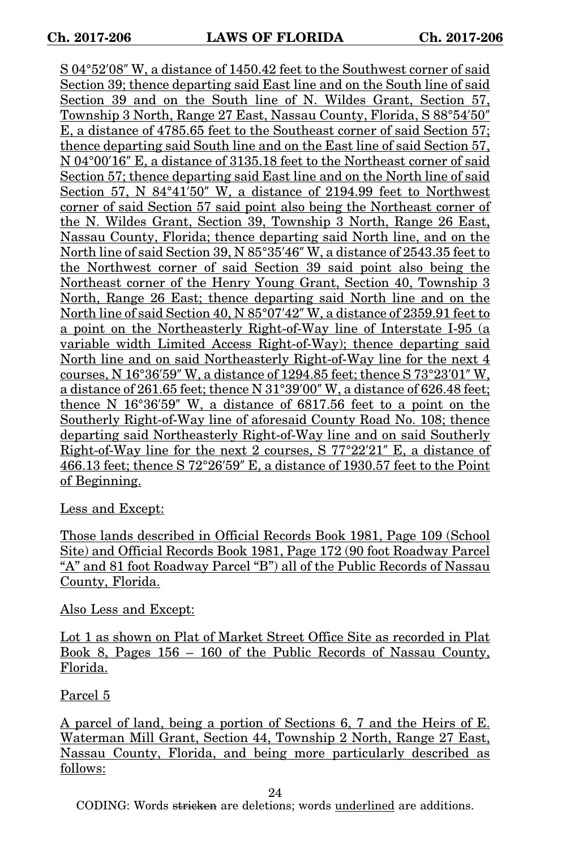S 04°52′08″ W, a distance of 1450.42 feet to the Southwest corner of said Section 39; thence departing said East line and on the South line of said Section 39 and on the South line of N. Wildes Grant, Section 57, Township 3 North, Range 27 East, Nassau County, Florida, S 88°54′50″ E, a distance of 4785.65 feet to the Southeast corner of said Section 57; thence departing said South line and on the East line of said Section 57, N 04°00′16″ E, a distance of 3135.18 feet to the Northeast corner of said Section 57; thence departing said East line and on the North line of said Section 57, N 84°41′50″ W, a distance of 2194.99 feet to Northwest corner of said Section 57 said point also being the Northeast corner of the N. Wildes Grant, Section 39, Township 3 North, Range 26 East, Nassau County, Florida; thence departing said North line, and on the North line of said Section 39, N 85°35′46″ W, a distance of 2543.35 feet to the Northwest corner of said Section 39 said point also being the Northeast corner of the Henry Young Grant, Section 40, Township 3 North, Range 26 East; thence departing said North line and on the North line of said Section 40, N 85°07′42″ W, a distance of 2359.91 feet to a point on the Northeasterly Right-of-Way line of Interstate I-95 (a variable width Limited Access Right-of-Way); thence departing said North line and on said Northeasterly Right-of-Way line for the next 4 courses, N 16°36′59″ W, a distance of 1294.85 feet; thence S 73°23′01″ W, a distance of 261.65 feet; thence N 31°39′00″ W, a distance of 626.48 feet; thence N 16°36′59″ W, a distance of 6817.56 feet to a point on the Southerly Right-of-Way line of aforesaid County Road No. 108; thence departing said Northeasterly Right-of-Way line and on said Southerly Right-of-Way line for the next 2 courses, S 77°22′21″ E, a distance of 466.13 feet; thence S 72°26′59″ E, a distance of 1930.57 feet to the Point of Beginning.

Less and Except:

Those lands described in Official Records Book 1981, Page 109 (School Site) and Official Records Book 1981, Page 172 (90 foot Roadway Parcel "A" and 81 foot Roadway Parcel "B") all of the Public Records of Nassau County, Florida.

Also Less and Except:

Lot 1 as shown on Plat of Market Street Office Site as recorded in Plat Book 8, Pages 156 – 160 of the Public Records of Nassau County, Florida.

Parcel 5

A parcel of land, being a portion of Sections 6, 7 and the Heirs of E. Waterman Mill Grant, Section 44, Township 2 North, Range 27 East, Nassau County, Florida, and being more particularly described as follows:

24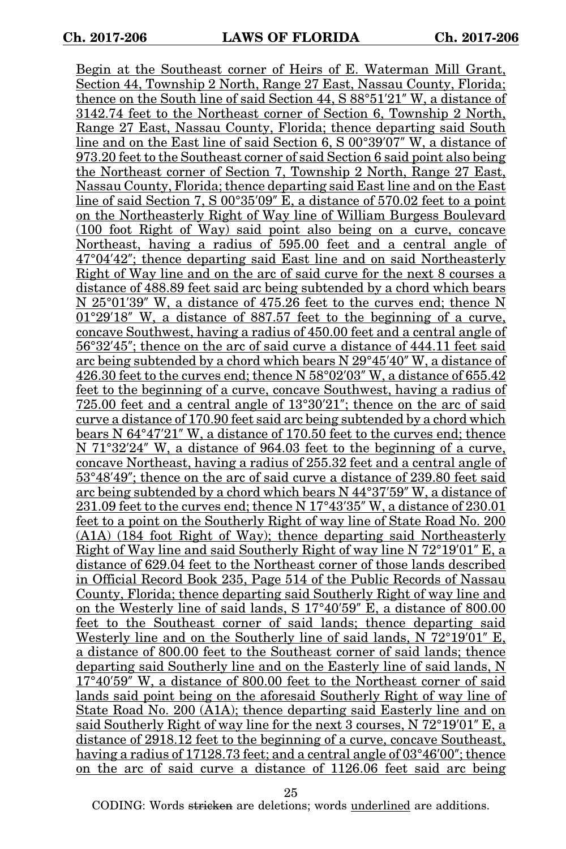Begin at the Southeast corner of Heirs of E. Waterman Mill Grant, Section 44, Township 2 North, Range 27 East, Nassau County, Florida; thence on the South line of said Section 44, S 88°51′21″ W, a distance of 3142.74 feet to the Northeast corner of Section 6, Township 2 North, Range 27 East, Nassau County, Florida; thence departing said South line and on the East line of said Section 6, S 00°39′07″ W, a distance of 973.20 feet to the Southeast corner of said Section 6 said point also being the Northeast corner of Section 7, Township 2 North, Range 27 East, Nassau County, Florida; thence departing said East line and on the East line of said Section 7, S 00°35′09″ E, a distance of 570.02 feet to a point on the Northeasterly Right of Way line of William Burgess Boulevard (100 foot Right of Way) said point also being on a curve, concave Northeast, having a radius of 595.00 feet and a central angle of 47°04′42″; thence departing said East line and on said Northeasterly Right of Way line and on the arc of said curve for the next 8 courses a distance of 488.89 feet said arc being subtended by a chord which bears N 25°01′39″ W, a distance of 475.26 feet to the curves end; thence N 01°29′18″ W, a distance of 887.57 feet to the beginning of a curve, concave Southwest, having a radius of 450.00 feet and a central angle of 56°32′45″; thence on the arc of said curve a distance of 444.11 feet said arc being subtended by a chord which bears N 29°45′40″ W, a distance of 426.30 feet to the curves end; thence N 58°02′03″ W, a distance of 655.42 feet to the beginning of a curve, concave Southwest, having a radius of 725.00 feet and a central angle of 13°30′21″; thence on the arc of said curve a distance of 170.90 feet said arc being subtended by a chord which bears N 64°47′21″ W, a distance of 170.50 feet to the curves end; thence N 71°32'24" W, a distance of 964.03 feet to the beginning of a curve, concave Northeast, having a radius of 255.32 feet and a central angle of 53°48′49″; thence on the arc of said curve a distance of 239.80 feet said arc being subtended by a chord which bears N 44°37′59″ W, a distance of 231.09 feet to the curves end; thence N 17°43′35″ W, a distance of 230.01 feet to a point on the Southerly Right of way line of State Road No. 200 (A1A) (184 foot Right of Way); thence departing said Northeasterly Right of Way line and said Southerly Right of way line N 72°19′01″ E, a distance of 629.04 feet to the Northeast corner of those lands described in Official Record Book 235, Page 514 of the Public Records of Nassau County, Florida; thence departing said Southerly Right of way line and on the Westerly line of said lands, S 17°40′59″ E, a distance of 800.00 feet to the Southeast corner of said lands; thence departing said Westerly line and on the Southerly line of said lands, N 72°19′01″ E, a distance of 800.00 feet to the Southeast corner of said lands; thence departing said Southerly line and on the Easterly line of said lands, N 17°40′59″ W, a distance of 800.00 feet to the Northeast corner of said lands said point being on the aforesaid Southerly Right of way line of State Road No. 200 (A1A); thence departing said Easterly line and on said Southerly Right of way line for the next 3 courses, N 72°19′01″ E, a distance of 2918.12 feet to the beginning of a curve, concave Southeast, having a radius of 17128.73 feet; and a central angle of 03°46′00″; thence on the arc of said curve a distance of 1126.06 feet said arc being

25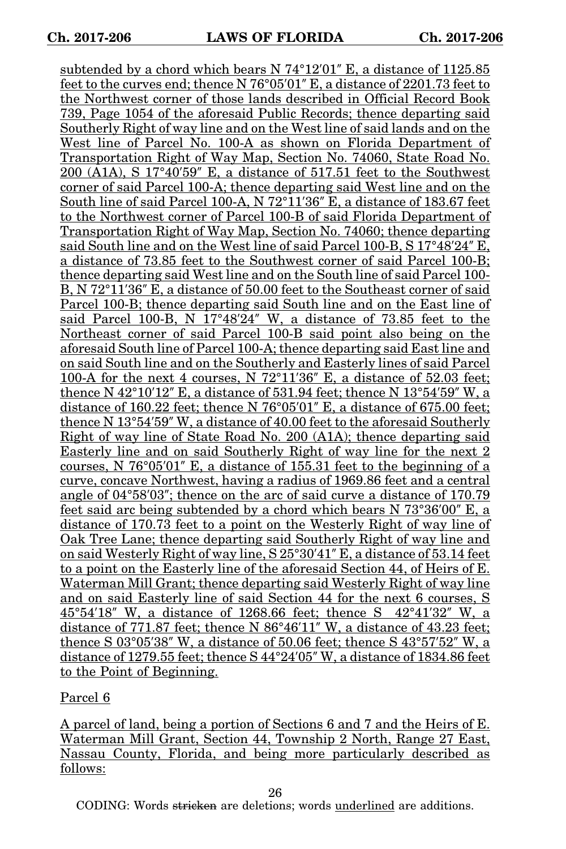subtended by a chord which bears N 74°12′01″ E, a distance of 1125.85 feet to the curves end; thence N 76°05′01″ E, a distance of 2201.73 feet to the Northwest corner of those lands described in Official Record Book 739, Page 1054 of the aforesaid Public Records; thence departing said Southerly Right of way line and on the West line of said lands and on the West line of Parcel No. 100-A as shown on Florida Department of Transportation Right of Way Map, Section No. 74060, State Road No. 200 (A1A), S 17°40′59″ E, a distance of 517.51 feet to the Southwest corner of said Parcel 100-A; thence departing said West line and on the South line of said Parcel 100-A, N 72°11′36″ E, a distance of 183.67 feet to the Northwest corner of Parcel 100-B of said Florida Department of Transportation Right of Way Map, Section No. 74060; thence departing said South line and on the West line of said Parcel 100-B, S 17°48′24″ E, a distance of 73.85 feet to the Southwest corner of said Parcel 100-B; thence departing said West line and on the South line of said Parcel 100- B, N 72°11′36″ E, a distance of 50.00 feet to the Southeast corner of said Parcel 100-B; thence departing said South line and on the East line of said Parcel 100-B, N 17°48′24″ W, a distance of 73.85 feet to the Northeast corner of said Parcel 100-B said point also being on the aforesaid South line of Parcel 100-A; thence departing said East line and on said South line and on the Southerly and Easterly lines of said Parcel 100-A for the next 4 courses, N 72°11′36″ E, a distance of 52.03 feet; thence N  $42^{\circ}10'12''$  E, a distance of 531.94 feet; thence N  $13^{\circ}54'59''$  W, a distance of 160.22 feet; thence N 76°05′01″ E, a distance of 675.00 feet; thence N 13°54′59″ W, a distance of 40.00 feet to the aforesaid Southerly Right of way line of State Road No. 200 (A1A); thence departing said Easterly line and on said Southerly Right of way line for the next 2 courses, N 76°05′01″ E, a distance of 155.31 feet to the beginning of a curve, concave Northwest, having a radius of 1969.86 feet and a central angle of 04°58′03″; thence on the arc of said curve a distance of 170.79 feet said arc being subtended by a chord which bears N 73°36′00″ E, a distance of 170.73 feet to a point on the Westerly Right of way line of Oak Tree Lane; thence departing said Southerly Right of way line and on said Westerly Right of way line, S 25°30′41″ E, a distance of 53.14 feet to a point on the Easterly line of the aforesaid Section 44, of Heirs of E. Waterman Mill Grant; thence departing said Westerly Right of way line and on said Easterly line of said Section 44 for the next 6 courses, S 45°54′18″ W, a distance of 1268.66 feet; thence S 42°41′32″ W, a distance of 771.87 feet; thence N 86°46′11″ W, a distance of 43.23 feet; thence S 03°05′38″ W, a distance of 50.06 feet; thence S 43°57′52″ W, a distance of 1279.55 feet; thence S 44°24′05″ W, a distance of 1834.86 feet to the Point of Beginning.

Parcel 6

A parcel of land, being a portion of Sections 6 and 7 and the Heirs of E. Waterman Mill Grant, Section 44, Township 2 North, Range 27 East, Nassau County, Florida, and being more particularly described as follows:

26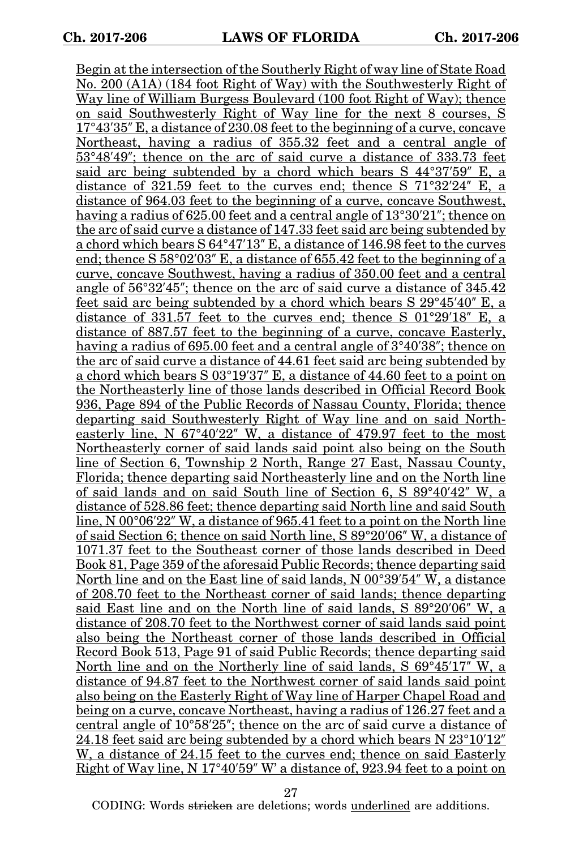Begin at the intersection of the Southerly Right of way line of State Road No. 200 (A1A) (184 foot Right of Way) with the Southwesterly Right of Way line of William Burgess Boulevard (100 foot Right of Way); thence on said Southwesterly Right of Way line for the next 8 courses, S 17°43′35″ E, a distance of 230.08 feet to the beginning of a curve, concave Northeast, having a radius of 355.32 feet and a central angle of 53°48′49″; thence on the arc of said curve a distance of 333.73 feet said arc being subtended by a chord which bears S 44°37′59″ E, a distance of 321.59 feet to the curves end; thence S 71°32′24″ E, a distance of 964.03 feet to the beginning of a curve, concave Southwest, having a radius of 625.00 feet and a central angle of 13°30′21″; thence on the arc of said curve a distance of 147.33 feet said arc being subtended by a chord which bears S 64°47′13″ E, a distance of 146.98 feet to the curves end; thence S 58°02′03″ E, a distance of 655.42 feet to the beginning of a curve, concave Southwest, having a radius of 350.00 feet and a central angle of 56°32′45″; thence on the arc of said curve a distance of 345.42 feet said arc being subtended by a chord which bears S 29°45′40″ E, a distance of 331.57 feet to the curves end; thence S 01°29′18″ E, a distance of 887.57 feet to the beginning of a curve, concave Easterly, having a radius of 695.00 feet and a central angle of 3°40′38″; thence on the arc of said curve a distance of 44.61 feet said arc being subtended by a chord which bears S 03°19′37″ E, a distance of 44.60 feet to a point on the Northeasterly line of those lands described in Official Record Book 936, Page 894 of the Public Records of Nassau County, Florida; thence departing said Southwesterly Right of Way line and on said Northeasterly line, N 67°40′22″ W, a distance of 479.97 feet to the most Northeasterly corner of said lands said point also being on the South line of Section 6, Township 2 North, Range 27 East, Nassau County, Florida; thence departing said Northeasterly line and on the North line of said lands and on said South line of Section 6, S 89°40′42″ W, a distance of 528.86 feet; thence departing said North line and said South line, N 00°06′22″ W, a distance of 965.41 feet to a point on the North line of said Section 6; thence on said North line, S 89°20′06″ W, a distance of 1071.37 feet to the Southeast corner of those lands described in Deed Book 81, Page 359 of the aforesaid Public Records; thence departing said North line and on the East line of said lands, N 00°39′54″ W, a distance of 208.70 feet to the Northeast corner of said lands; thence departing said East line and on the North line of said lands, S 89°20′06″ W, a distance of 208.70 feet to the Northwest corner of said lands said point also being the Northeast corner of those lands described in Official Record Book 513, Page 91 of said Public Records; thence departing said North line and on the Northerly line of said lands, S 69°45′17″ W, a distance of 94.87 feet to the Northwest corner of said lands said point also being on the Easterly Right of Way line of Harper Chapel Road and being on a curve, concave Northeast, having a radius of 126.27 feet and a central angle of 10°58′25″; thence on the arc of said curve a distance of 24.18 feet said arc being subtended by a chord which bears N 23°10′12″ W, a distance of 24.15 feet to the curves end; thence on said Easterly Right of Way line, N 17°40′59″ W' a distance of, 923.94 feet to a point on

27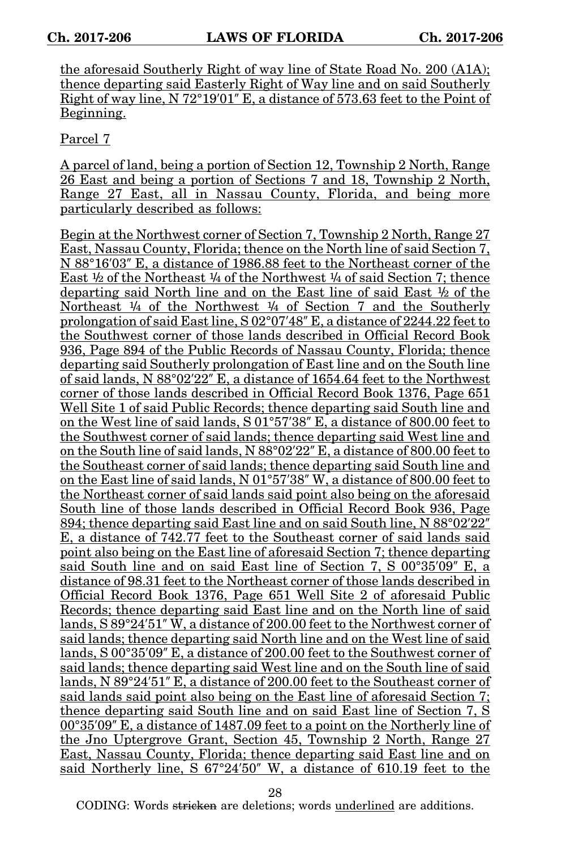the aforesaid Southerly Right of way line of State Road No. 200 (A1A); thence departing said Easterly Right of Way line and on said Southerly Right of way line, N 72°19′01″ E, a distance of 573.63 feet to the Point of Beginning.

Parcel 7

A parcel of land, being a portion of Section 12, Township 2 North, Range 26 East and being a portion of Sections 7 and 18, Township 2 North, Range 27 East, all in Nassau County, Florida, and being more particularly described as follows:

Begin at the Northwest corner of Section 7, Township 2 North, Range 27 East, Nassau County, Florida; thence on the North line of said Section 7, N 88°16′03″ E, a distance of 1986.88 feet to the Northeast corner of the East  $\frac{1}{2}$  of the Northeast  $\frac{1}{4}$  of the Northwest  $\frac{1}{4}$  of said Section 7; thence departing said North line and on the East line of said East  $\frac{1}{2}$  of the Northeast  $\frac{1}{4}$  of the Northwest  $\frac{1}{4}$  of Section 7 and the Southerly prolongation of said East line, S 02°07′48″ E, a distance of 2244.22 feet to the Southwest corner of those lands described in Official Record Book 936, Page 894 of the Public Records of Nassau County, Florida; thence departing said Southerly prolongation of East line and on the South line of said lands, N 88°02′22″ E, a distance of 1654.64 feet to the Northwest corner of those lands described in Official Record Book 1376, Page 651 Well Site 1 of said Public Records; thence departing said South line and on the West line of said lands, S 01°57′38″ E, a distance of 800.00 feet to the Southwest corner of said lands; thence departing said West line and on the South line of said lands, N 88°02′22″ E, a distance of 800.00 feet to the Southeast corner of said lands; thence departing said South line and on the East line of said lands, N 01°57′38″ W, a distance of 800.00 feet to the Northeast corner of said lands said point also being on the aforesaid South line of those lands described in Official Record Book 936, Page 894; thence departing said East line and on said South line, N 88°02′22″ E, a distance of 742.77 feet to the Southeast corner of said lands said point also being on the East line of aforesaid Section 7; thence departing said South line and on said East line of Section 7, S 00°35′09″ E, a distance of 98.31 feet to the Northeast corner of those lands described in Official Record Book 1376, Page 651 Well Site 2 of aforesaid Public Records; thence departing said East line and on the North line of said lands, S 89°24′51″ W, a distance of 200.00 feet to the Northwest corner of said lands; thence departing said North line and on the West line of said lands, S 00°35′09″ E, a distance of 200.00 feet to the Southwest corner of said lands; thence departing said West line and on the South line of said lands, N 89°24′51″ E, a distance of 200.00 feet to the Southeast corner of said lands said point also being on the East line of aforesaid Section 7; thence departing said South line and on said East line of Section 7, S 00°35′09″ E, a distance of 1487.09 feet to a point on the Northerly line of the Jno Uptergrove Grant, Section 45, Township 2 North, Range 27 East, Nassau County, Florida; thence departing said East line and on said Northerly line, S 67°24′50″ W, a distance of 610.19 feet to the

28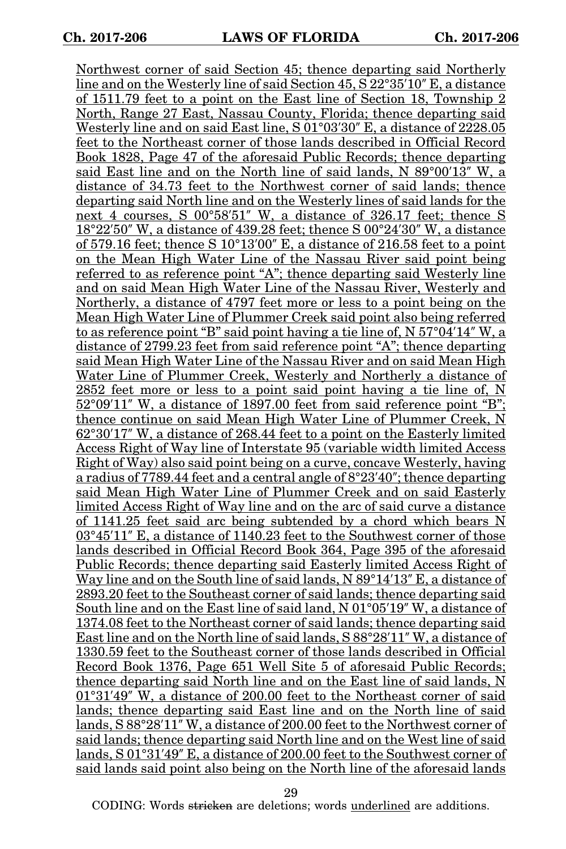Northwest corner of said Section 45; thence departing said Northerly line and on the Westerly line of said Section 45, S 22°35′10″ E, a distance of 1511.79 feet to a point on the East line of Section 18, Township 2 North, Range 27 East, Nassau County, Florida; thence departing said Westerly line and on said East line, S 01°03′30″ E, a distance of 2228.05 feet to the Northeast corner of those lands described in Official Record Book 1828, Page 47 of the aforesaid Public Records; thence departing said East line and on the North line of said lands, N 89°00′13″ W, a distance of 34.73 feet to the Northwest corner of said lands; thence departing said North line and on the Westerly lines of said lands for the next 4 courses, S 00°58′51″ W, a distance of 326.17 feet; thence S 18°22′50″ W, a distance of 439.28 feet; thence S 00°24′30″ W, a distance of 579.16 feet; thence S  $10^{\circ}13'00''$  E, a distance of 216.58 feet to a point on the Mean High Water Line of the Nassau River said point being referred to as reference point "A"; thence departing said Westerly line and on said Mean High Water Line of the Nassau River, Westerly and Northerly, a distance of 4797 feet more or less to a point being on the Mean High Water Line of Plummer Creek said point also being referred to as reference point "B" said point having a tie line of, N 57°04′14″ W, a distance of 2799.23 feet from said reference point "A"; thence departing said Mean High Water Line of the Nassau River and on said Mean High Water Line of Plummer Creek, Westerly and Northerly a distance of 2852 feet more or less to a point said point having a tie line of, N 52°09′11″ W, a distance of 1897.00 feet from said reference point "B"; thence continue on said Mean High Water Line of Plummer Creek, N 62°30′17″ W, a distance of 268.44 feet to a point on the Easterly limited Access Right of Way line of Interstate 95 (variable width limited Access Right of Way) also said point being on a curve, concave Westerly, having a radius of 7789.44 feet and a central angle of 8°23′40″; thence departing said Mean High Water Line of Plummer Creek and on said Easterly limited Access Right of Way line and on the arc of said curve a distance of 1141.25 feet said arc being subtended by a chord which bears N 03°45′11″ E, a distance of 1140.23 feet to the Southwest corner of those lands described in Official Record Book 364, Page 395 of the aforesaid Public Records; thence departing said Easterly limited Access Right of Way line and on the South line of said lands, N 89°14'13" E, a distance of 2893.20 feet to the Southeast corner of said lands; thence departing said South line and on the East line of said land, N 01°05′19″ W, a distance of 1374.08 feet to the Northeast corner of said lands; thence departing said East line and on the North line of said lands, S 88°28′11″ W, a distance of 1330.59 feet to the Southeast corner of those lands described in Official Record Book 1376, Page 651 Well Site 5 of aforesaid Public Records; thence departing said North line and on the East line of said lands, N 01°31′49″ W, a distance of 200.00 feet to the Northeast corner of said lands; thence departing said East line and on the North line of said lands, S 88°28′11″ W, a distance of 200.00 feet to the Northwest corner of said lands; thence departing said North line and on the West line of said lands, S 01°31′49″ E, a distance of 200.00 feet to the Southwest corner of said lands said point also being on the North line of the aforesaid lands

29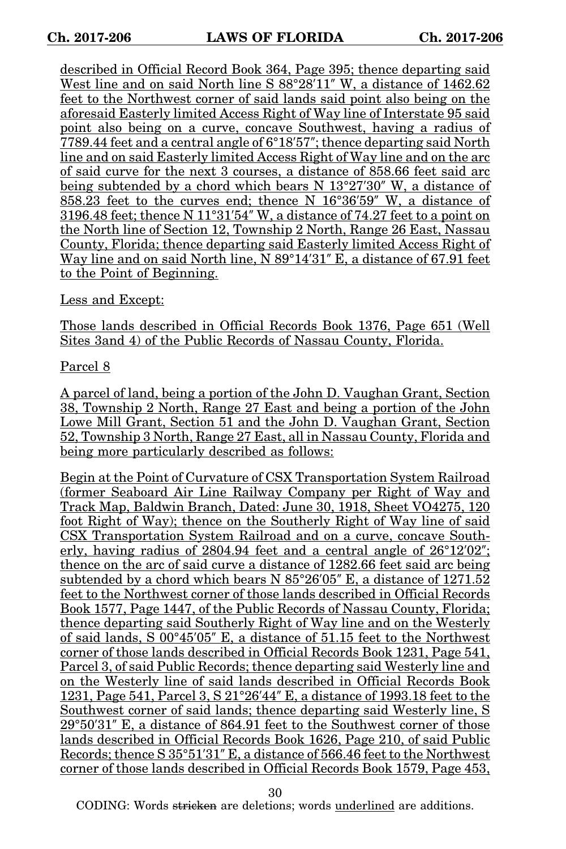described in Official Record Book 364, Page 395; thence departing said West line and on said North line S 88°28′11″ W, a distance of 1462.62 feet to the Northwest corner of said lands said point also being on the aforesaid Easterly limited Access Right of Way line of Interstate 95 said point also being on a curve, concave Southwest, having a radius of 7789.44 feet and a central angle of 6°18′57″; thence departing said North line and on said Easterly limited Access Right of Way line and on the arc of said curve for the next 3 courses, a distance of 858.66 feet said arc being subtended by a chord which bears N 13°27′30″ W, a distance of 858.23 feet to the curves end; thence N 16°36′59″ W, a distance of 3196.48 feet; thence N 11°31′54″ W, a distance of 74.27 feet to a point on the North line of Section 12, Township 2 North, Range 26 East, Nassau County, Florida; thence departing said Easterly limited Access Right of Way line and on said North line, N 89°14′31″ E, a distance of 67.91 feet to the Point of Beginning.

Less and Except:

Those lands described in Official Records Book 1376, Page 651 (Well Sites 3and 4) of the Public Records of Nassau County, Florida.

Parcel 8

A parcel of land, being a portion of the John D. Vaughan Grant, Section 38, Township 2 North, Range 27 East and being a portion of the John Lowe Mill Grant, Section 51 and the John D. Vaughan Grant, Section 52, Township 3 North, Range 27 East, all in Nassau County, Florida and being more particularly described as follows:

Begin at the Point of Curvature of CSX Transportation System Railroad (former Seaboard Air Line Railway Company per Right of Way and Track Map, Baldwin Branch, Dated: June 30, 1918, Sheet VO4275, 120 foot Right of Way); thence on the Southerly Right of Way line of said CSX Transportation System Railroad and on a curve, concave Southerly, having radius of 2804.94 feet and a central angle of 26°12′02″; thence on the arc of said curve a distance of 1282.66 feet said arc being subtended by a chord which bears N 85°26′05″ E, a distance of 1271.52 feet to the Northwest corner of those lands described in Official Records Book 1577, Page 1447, of the Public Records of Nassau County, Florida; thence departing said Southerly Right of Way line and on the Westerly of said lands, S 00°45′05″ E, a distance of 51.15 feet to the Northwest corner of those lands described in Official Records Book 1231, Page 541, Parcel 3, of said Public Records; thence departing said Westerly line and on the Westerly line of said lands described in Official Records Book 1231, Page 541, Parcel 3, S 21°26′44″ E, a distance of 1993.18 feet to the Southwest corner of said lands; thence departing said Westerly line, S 29°50′31″ E, a distance of 864.91 feet to the Southwest corner of those lands described in Official Records Book 1626, Page 210, of said Public Records; thence S 35°51′31″ E, a distance of 566.46 feet to the Northwest corner of those lands described in Official Records Book 1579, Page 453,

30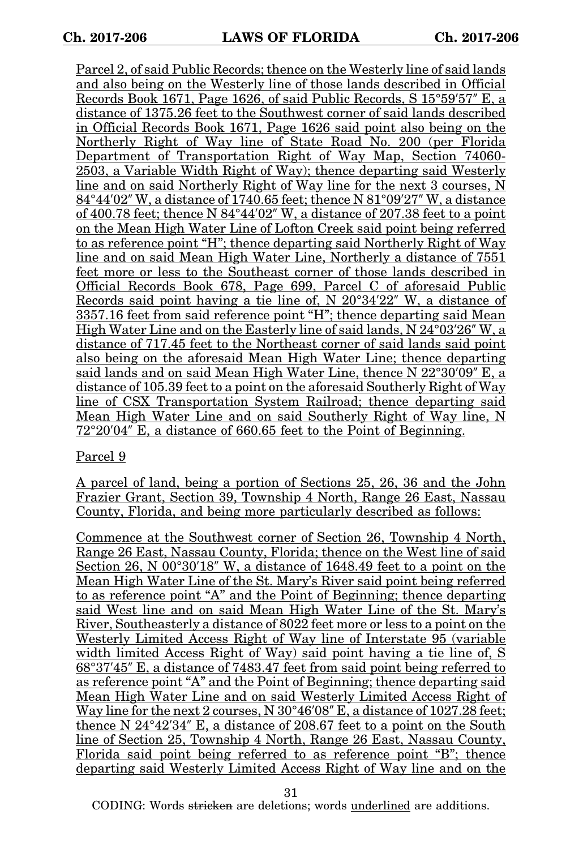Parcel 2, of said Public Records; thence on the Westerly line of said lands and also being on the Westerly line of those lands described in Official Records Book 1671, Page 1626, of said Public Records, S 15°59′57″ E, a distance of 1375.26 feet to the Southwest corner of said lands described in Official Records Book 1671, Page 1626 said point also being on the Northerly Right of Way line of State Road No. 200 (per Florida Department of Transportation Right of Way Map, Section 74060- 2503, a Variable Width Right of Way); thence departing said Westerly line and on said Northerly Right of Way line for the next 3 courses, N 84°44′02″ W, a distance of 1740.65 feet; thence N 81°09′27″ W, a distance of 400.78 feet; thence N 84°44′02″ W, a distance of 207.38 feet to a point on the Mean High Water Line of Lofton Creek said point being referred to as reference point "H"; thence departing said Northerly Right of Way line and on said Mean High Water Line, Northerly a distance of 7551 feet more or less to the Southeast corner of those lands described in Official Records Book 678, Page 699, Parcel C of aforesaid Public Records said point having a tie line of, N 20°34′22″ W, a distance of 3357.16 feet from said reference point "H"; thence departing said Mean High Water Line and on the Easterly line of said lands, N 24°03′26″ W, a distance of 717.45 feet to the Northeast corner of said lands said point also being on the aforesaid Mean High Water Line; thence departing said lands and on said Mean High Water Line, thence N 22°30′09″ E, a distance of 105.39 feet to a point on the aforesaid Southerly Right of Way line of CSX Transportation System Railroad; thence departing said Mean High Water Line and on said Southerly Right of Way line, N 72°20′04″ E, a distance of 660.65 feet to the Point of Beginning.

### Parcel 9

A parcel of land, being a portion of Sections 25, 26, 36 and the John Frazier Grant, Section 39, Township 4 North, Range 26 East, Nassau County, Florida, and being more particularly described as follows:

Commence at the Southwest corner of Section 26, Township 4 North, Range 26 East, Nassau County, Florida; thence on the West line of said Section 26, N 00°30'18" W, a distance of 1648.49 feet to a point on the Mean High Water Line of the St. Mary's River said point being referred to as reference point "A" and the Point of Beginning; thence departing said West line and on said Mean High Water Line of the St. Mary's River, Southeasterly a distance of 8022 feet more or less to a point on the Westerly Limited Access Right of Way line of Interstate 95 (variable width limited Access Right of Way) said point having a tie line of, S 68°37′45″ E, a distance of 7483.47 feet from said point being referred to as reference point "A" and the Point of Beginning; thence departing said Mean High Water Line and on said Westerly Limited Access Right of Way line for the next 2 courses, N  $30^{\circ}46'08''$  E, a distance of 1027.28 feet; thence N 24°42′34″ E, a distance of 208.67 feet to a point on the South line of Section 25, Township 4 North, Range 26 East, Nassau County, Florida said point being referred to as reference point "B"; thence departing said Westerly Limited Access Right of Way line and on the

31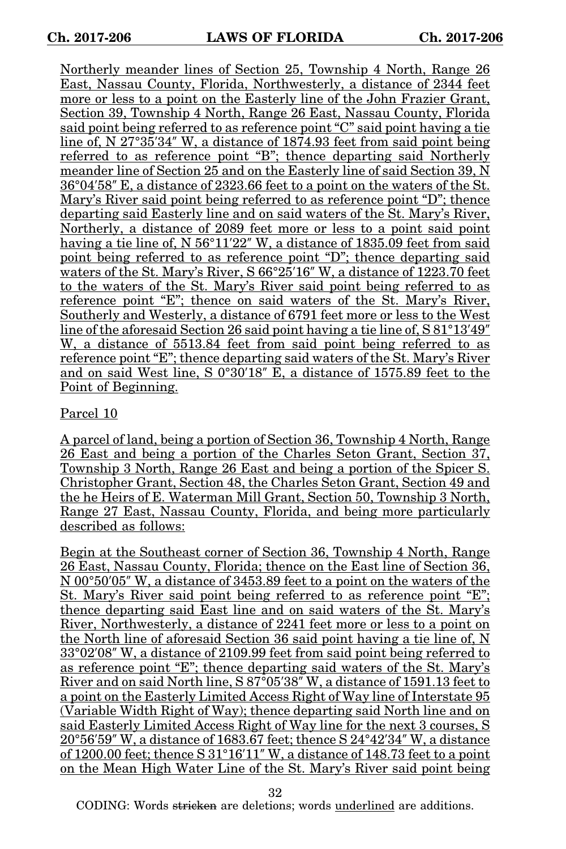Northerly meander lines of Section 25, Township 4 North, Range 26 East, Nassau County, Florida, Northwesterly, a distance of 2344 feet more or less to a point on the Easterly line of the John Frazier Grant, Section 39, Township 4 North, Range 26 East, Nassau County, Florida said point being referred to as reference point "C" said point having a tie line of, N 27°35'34" W, a distance of 1874.93 feet from said point being referred to as reference point "B"; thence departing said Northerly meander line of Section 25 and on the Easterly line of said Section 39, N 36°04′58″ E, a distance of 2323.66 feet to a point on the waters of the St. Mary's River said point being referred to as reference point "D"; thence departing said Easterly line and on said waters of the St. Mary's River, Northerly, a distance of 2089 feet more or less to a point said point having a tie line of, N 56°11′22″ W, a distance of 1835.09 feet from said point being referred to as reference point "D"; thence departing said waters of the St. Mary's River, S 66°25'16" W, a distance of 1223.70 feet to the waters of the St. Mary's River said point being referred to as reference point "E"; thence on said waters of the St. Mary's River, Southerly and Westerly, a distance of 6791 feet more or less to the West line of the aforesaid Section 26 said point having a tie line of, S 81°13′49″ W, a distance of 5513.84 feet from said point being referred to as reference point "E"; thence departing said waters of the St. Mary's River and on said West line, S 0°30′18″ E, a distance of 1575.89 feet to the Point of Beginning.

## Parcel 10

A parcel of land, being a portion of Section 36, Township 4 North, Range 26 East and being a portion of the Charles Seton Grant, Section 37, Township 3 North, Range 26 East and being a portion of the Spicer S. Christopher Grant, Section 48, the Charles Seton Grant, Section 49 and the he Heirs of E. Waterman Mill Grant, Section 50, Township 3 North, Range 27 East, Nassau County, Florida, and being more particularly described as follows:

Begin at the Southeast corner of Section 36, Township 4 North, Range 26 East, Nassau County, Florida; thence on the East line of Section 36, N 00°50′05″ W, a distance of 3453.89 feet to a point on the waters of the St. Mary's River said point being referred to as reference point "E"; thence departing said East line and on said waters of the St. Mary's River, Northwesterly, a distance of 2241 feet more or less to a point on the North line of aforesaid Section 36 said point having a tie line of, N 33°02′08″ W, a distance of 2109.99 feet from said point being referred to as reference point "E"; thence departing said waters of the St. Mary's River and on said North line, S 87<sup>°</sup>05'38" W, a distance of 1591.13 feet to a point on the Easterly Limited Access Right of Way line of Interstate 95 (Variable Width Right of Way); thence departing said North line and on said Easterly Limited Access Right of Way line for the next 3 courses, S 20°56′59″ W, a distance of 1683.67 feet; thence S 24°42′34″ W, a distance of 1200.00 feet; thence S 31°16′11″ W, a distance of 148.73 feet to a point on the Mean High Water Line of the St. Mary's River said point being

32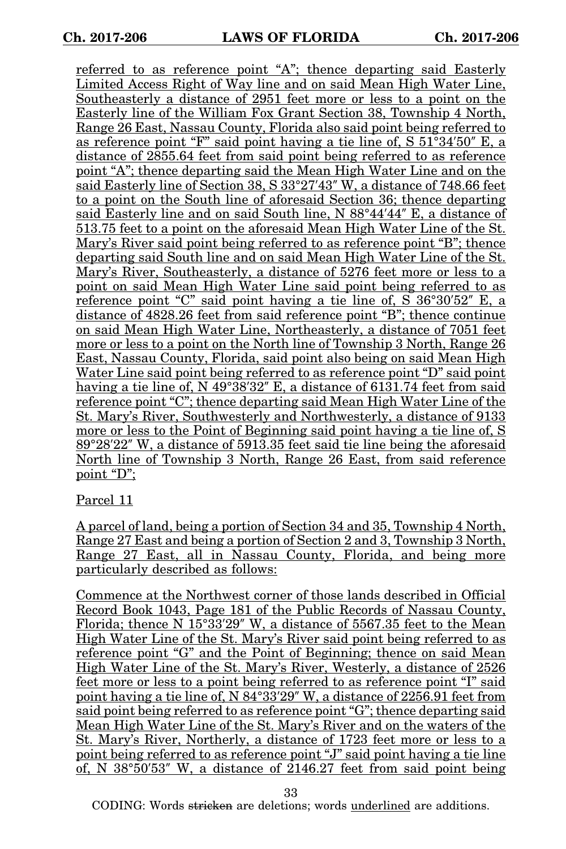referred to as reference point "A"; thence departing said Easterly Limited Access Right of Way line and on said Mean High Water Line, Southeasterly a distance of 2951 feet more or less to a point on the Easterly line of the William Fox Grant Section 38, Township 4 North, Range 26 East, Nassau County, Florida also said point being referred to as reference point "F" said point having a tie line of, S 51°34′50″ E, a distance of 2855.64 feet from said point being referred to as reference point "A"; thence departing said the Mean High Water Line and on the said Easterly line of Section 38, S 33°27′43″ W, a distance of 748.66 feet to a point on the South line of aforesaid Section 36; thence departing said Easterly line and on said South line, N 88°44′44″ E, a distance of 513.75 feet to a point on the aforesaid Mean High Water Line of the St. Mary's River said point being referred to as reference point "B"; thence departing said South line and on said Mean High Water Line of the St. Mary's River, Southeasterly, a distance of 5276 feet more or less to a point on said Mean High Water Line said point being referred to as reference point "C" said point having a tie line of, S 36°30′52″ E, a distance of 4828.26 feet from said reference point "B"; thence continue on said Mean High Water Line, Northeasterly, a distance of 7051 feet more or less to a point on the North line of Township 3 North, Range 26 East, Nassau County, Florida, said point also being on said Mean High Water Line said point being referred to as reference point "D" said point having a tie line of, N 49°38′32″ E, a distance of 6131.74 feet from said reference point "C"; thence departing said Mean High Water Line of the St. Mary's River, Southwesterly and Northwesterly, a distance of 9133 more or less to the Point of Beginning said point having a tie line of, S 89°28′22″ W, a distance of 5913.35 feet said tie line being the aforesaid North line of Township 3 North, Range 26 East, from said reference point "D";

### Parcel 11

A parcel of land, being a portion of Section 34 and 35, Township 4 North, Range 27 East and being a portion of Section 2 and 3, Township 3 North, Range 27 East, all in Nassau County, Florida, and being more particularly described as follows:

Commence at the Northwest corner of those lands described in Official Record Book 1043, Page 181 of the Public Records of Nassau County, Florida; thence N 15°33′29″ W, a distance of 5567.35 feet to the Mean High Water Line of the St. Mary's River said point being referred to as reference point "G" and the Point of Beginning; thence on said Mean High Water Line of the St. Mary's River, Westerly, a distance of 2526 feet more or less to a point being referred to as reference point "I" said point having a tie line of, N 84°33′29″ W, a distance of 2256.91 feet from said point being referred to as reference point "G"; thence departing said Mean High Water Line of the St. Mary's River and on the waters of the St. Mary's River, Northerly, a distance of 1723 feet more or less to a point being referred to as reference point "J" said point having a tie line of, N 38°50′53″ W, a distance of 2146.27 feet from said point being

33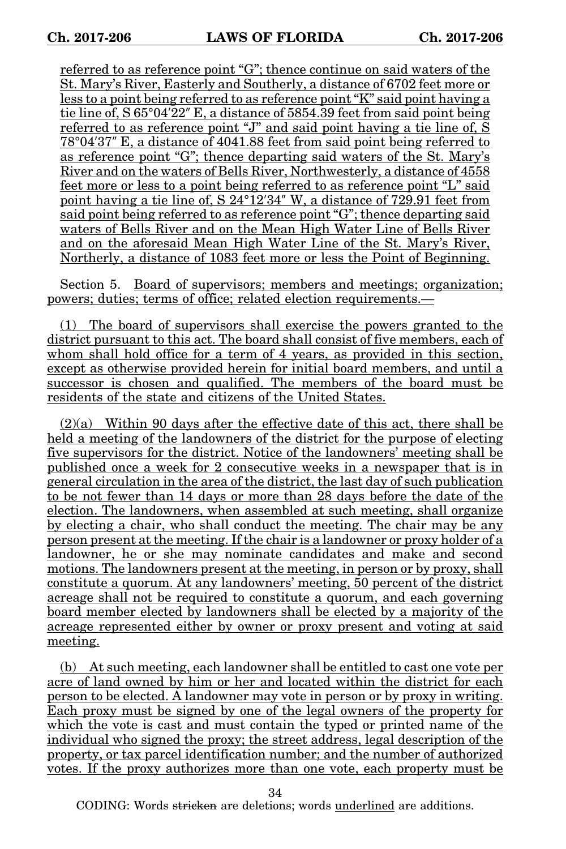referred to as reference point "G"; thence continue on said waters of the St. Mary's River, Easterly and Southerly, a distance of 6702 feet more or less to a point being referred to as reference point "K" said point having a tie line of, S 65°04′22″ E, a distance of 5854.39 feet from said point being referred to as reference point "J" and said point having a tie line of,  $\check{S}$ 78°04′37″ E, a distance of 4041.88 feet from said point being referred to as reference point "G"; thence departing said waters of the St. Mary's River and on the waters of Bells River, Northwesterly, a distance of 4558 feet more or less to a point being referred to as reference point "L" said point having a tie line of, S 24°12′34″ W, a distance of 729.91 feet from said point being referred to as reference point "G"; thence departing said waters of Bells River and on the Mean High Water Line of Bells River and on the aforesaid Mean High Water Line of the St. Mary's River, Northerly, a distance of 1083 feet more or less the Point of Beginning.

Section 5. Board of supervisors; members and meetings; organization; powers; duties; terms of office; related election requirements.—

(1) The board of supervisors shall exercise the powers granted to the district pursuant to this act. The board shall consist of five members, each of whom shall hold office for a term of 4 years, as provided in this section, except as otherwise provided herein for initial board members, and until a successor is chosen and qualified. The members of the board must be residents of the state and citizens of the United States.

(2)(a) Within 90 days after the effective date of this act, there shall be held a meeting of the landowners of the district for the purpose of electing five supervisors for the district. Notice of the landowners' meeting shall be published once a week for 2 consecutive weeks in a newspaper that is in general circulation in the area of the district, the last day of such publication to be not fewer than 14 days or more than 28 days before the date of the election. The landowners, when assembled at such meeting, shall organize by electing a chair, who shall conduct the meeting. The chair may be any person present at the meeting. If the chair is a landowner or proxy holder of a landowner, he or she may nominate candidates and make and second motions. The landowners present at the meeting, in person or by proxy, shall constitute a quorum. At any landowners' meeting, 50 percent of the district acreage shall not be required to constitute a quorum, and each governing board member elected by landowners shall be elected by a majority of the acreage represented either by owner or proxy present and voting at said meeting.

(b) At such meeting, each landowner shall be entitled to cast one vote per acre of land owned by him or her and located within the district for each person to be elected. A landowner may vote in person or by proxy in writing. Each proxy must be signed by one of the legal owners of the property for which the vote is cast and must contain the typed or printed name of the individual who signed the proxy; the street address, legal description of the property, or tax parcel identification number; and the number of authorized votes. If the proxy authorizes more than one vote, each property must be

34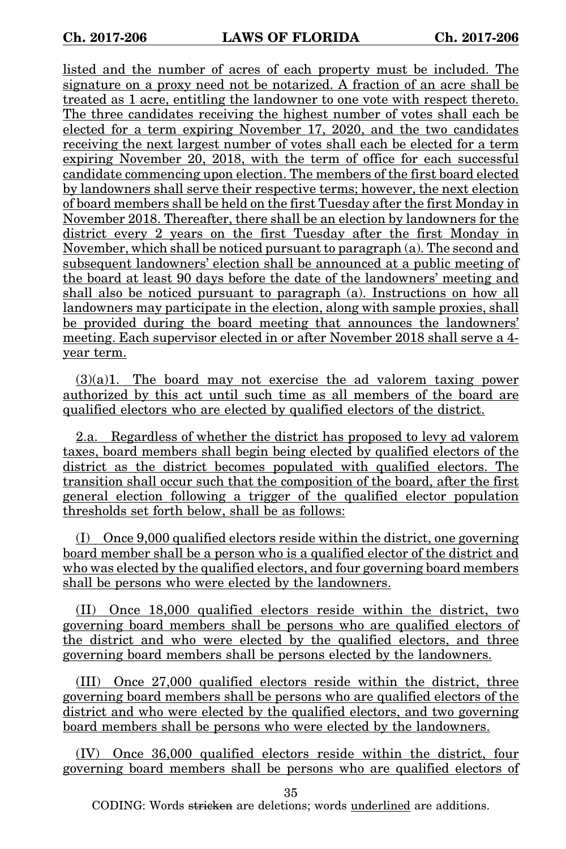listed and the number of acres of each property must be included. The signature on a proxy need not be notarized. A fraction of an acre shall be treated as 1 acre, entitling the landowner to one vote with respect thereto. The three candidates receiving the highest number of votes shall each be elected for a term expiring November 17, 2020, and the two candidates receiving the next largest number of votes shall each be elected for a term expiring November  $20$ ,  $2018$ , with the term of office for each successful candidate commencing upon election. The members of the first board elected by landowners shall serve their respective terms; however, the next election of board members shall be held on the first Tuesday after the first Monday in November 2018. Thereafter, there shall be an election by landowners for the district every 2 years on the first Tuesday after the first Monday in November, which shall be noticed pursuant to paragraph (a). The second and subsequent landowners' election shall be announced at a public meeting of the board at least 90 days before the date of the landowners' meeting and shall also be noticed pursuant to paragraph (a). Instructions on how all landowners may participate in the election, along with sample proxies, shall be provided during the board meeting that announces the landowners' meeting. Each supervisor elected in or after November 2018 shall serve a 4 year term.

(3)(a)1. The board may not exercise the ad valorem taxing power authorized by this act until such time as all members of the board are qualified electors who are elected by qualified electors of the district.

2.a. Regardless of whether the district has proposed to levy ad valorem taxes, board members shall begin being elected by qualified electors of the district as the district becomes populated with qualified electors. The transition shall occur such that the composition of the board, after the first general election following a trigger of the qualified elector population thresholds set forth below, shall be as follows:

(I) Once 9,000 qualified electors reside within the district, one governing board member shall be a person who is a qualified elector of the district and who was elected by the qualified electors, and four governing board members shall be persons who were elected by the landowners.

(II) Once 18,000 qualified electors reside within the district, two governing board members shall be persons who are qualified electors of the district and who were elected by the qualified electors, and three governing board members shall be persons elected by the landowners.

(III) Once 27,000 qualified electors reside within the district, three governing board members shall be persons who are qualified electors of the district and who were elected by the qualified electors, and two governing board members shall be persons who were elected by the landowners.

(IV) Once 36,000 qualified electors reside within the district, four governing board members shall be persons who are qualified electors of

35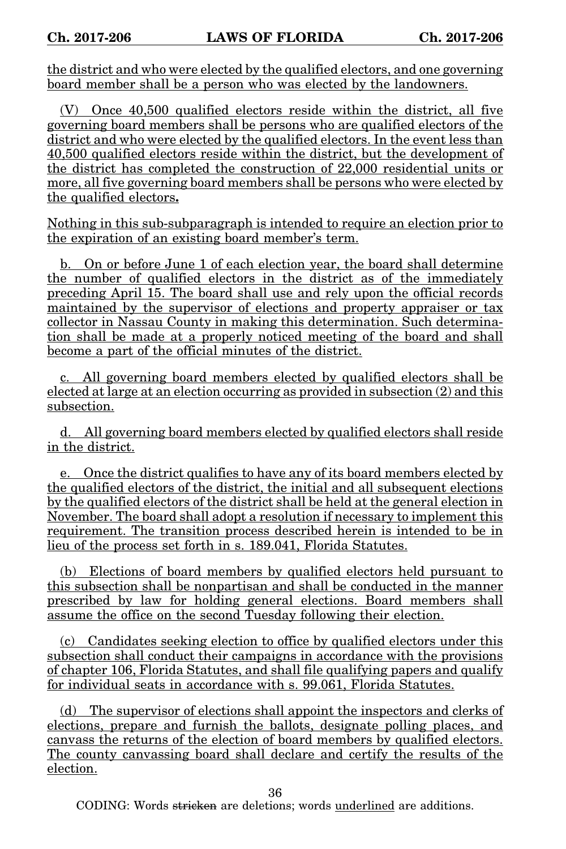the district and who were elected by the qualified electors, and one governing board member shall be a person who was elected by the landowners.

(V) Once 40,500 qualified electors reside within the district, all five governing board members shall be persons who are qualified electors of the district and who were elected by the qualified electors. In the event less than 40,500 qualified electors reside within the district, but the development of the district has completed the construction of 22,000 residential units or more, all five governing board members shall be persons who were elected by the qualified electors**.**

Nothing in this sub-subparagraph is intended to require an election prior to the expiration of an existing board member's term.

b. On or before June 1 of each election year, the board shall determine the number of qualified electors in the district as of the immediately preceding April 15. The board shall use and rely upon the official records maintained by the supervisor of elections and property appraiser or tax collector in Nassau County in making this determination. Such determination shall be made at a properly noticed meeting of the board and shall become a part of the official minutes of the district.

c. All governing board members elected by qualified electors shall be elected at large at an election occurring as provided in subsection (2) and this subsection.

d. All governing board members elected by qualified electors shall reside in the district.

e. Once the district qualifies to have any of its board members elected by the qualified electors of the district, the initial and all subsequent elections by the qualified electors of the district shall be held at the general election in November. The board shall adopt a resolution if necessary to implement this requirement. The transition process described herein is intended to be in lieu of the process set forth in s. 189.041, Florida Statutes.

(b) Elections of board members by qualified electors held pursuant to this subsection shall be nonpartisan and shall be conducted in the manner prescribed by law for holding general elections. Board members shall assume the office on the second Tuesday following their election.

(c) Candidates seeking election to office by qualified electors under this subsection shall conduct their campaigns in accordance with the provisions of chapter 106, Florida Statutes, and shall file qualifying papers and qualify for individual seats in accordance with s. 99.061, Florida Statutes.

(d) The supervisor of elections shall appoint the inspectors and clerks of elections, prepare and furnish the ballots, designate polling places, and canvass the returns of the election of board members by qualified electors. The county canvassing board shall declare and certify the results of the election.

36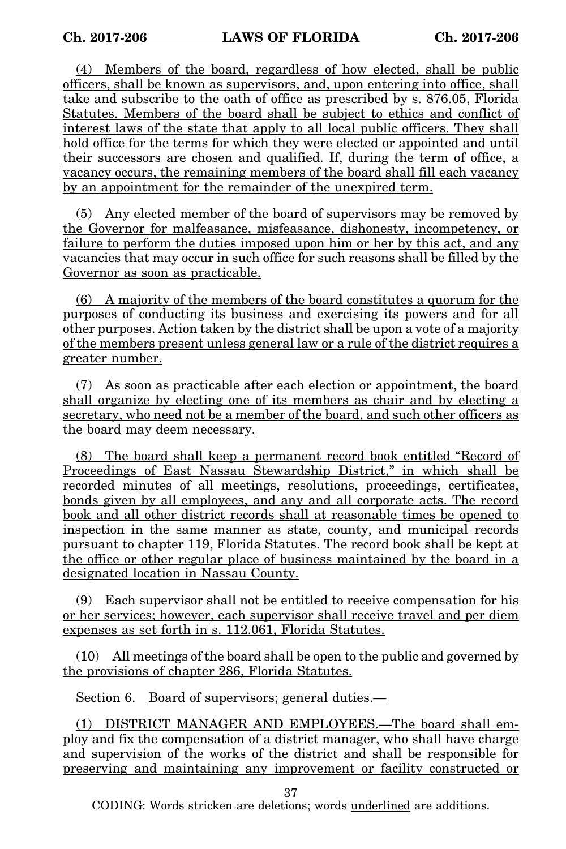(4) Members of the board, regardless of how elected, shall be public officers, shall be known as supervisors, and, upon entering into office, shall take and subscribe to the oath of office as prescribed by s. 876.05, Florida Statutes. Members of the board shall be subject to ethics and conflict of interest laws of the state that apply to all local public officers. They shall hold office for the terms for which they were elected or appointed and until their successors are chosen and qualified. If, during the term of office, a vacancy occurs, the remaining members of the board shall fill each vacancy by an appointment for the remainder of the unexpired term.

(5) Any elected member of the board of supervisors may be removed by the Governor for malfeasance, misfeasance, dishonesty, incompetency, or failure to perform the duties imposed upon him or her by this act, and any vacancies that may occur in such office for such reasons shall be filled by the Governor as soon as practicable.

(6) A majority of the members of the board constitutes a quorum for the purposes of conducting its business and exercising its powers and for all other purposes. Action taken by the district shall be upon a vote of a majority of the members present unless general law or a rule of the district requires a greater number.

(7) As soon as practicable after each election or appointment, the board shall organize by electing one of its members as chair and by electing a secretary, who need not be a member of the board, and such other officers as the board may deem necessary.

(8) The board shall keep a permanent record book entitled "Record of Proceedings of East Nassau Stewardship District," in which shall be recorded minutes of all meetings, resolutions, proceedings, certificates, bonds given by all employees, and any and all corporate acts. The record book and all other district records shall at reasonable times be opened to inspection in the same manner as state, county, and municipal records pursuant to chapter 119, Florida Statutes. The record book shall be kept at the office or other regular place of business maintained by the board in a designated location in Nassau County.

(9) Each supervisor shall not be entitled to receive compensation for his or her services; however, each supervisor shall receive travel and per diem expenses as set forth in s. 112.061, Florida Statutes.

(10) All meetings of the board shall be open to the public and governed by the provisions of chapter 286, Florida Statutes.

Section 6. Board of supervisors; general duties.—

(1) DISTRICT MANAGER AND EMPLOYEES.—The board shall employ and fix the compensation of a district manager, who shall have charge and supervision of the works of the district and shall be responsible for preserving and maintaining any improvement or facility constructed or

37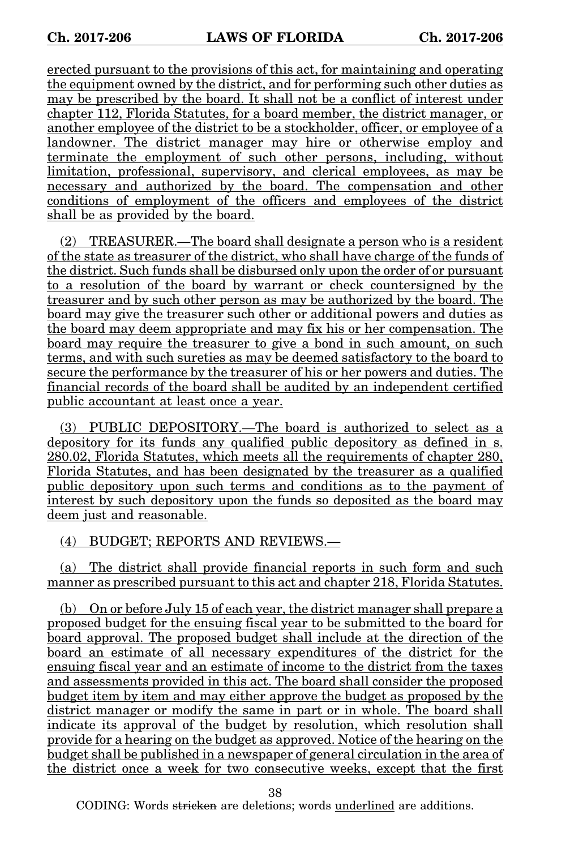erected pursuant to the provisions of this act, for maintaining and operating the equipment owned by the district, and for performing such other duties as may be prescribed by the board. It shall not be a conflict of interest under chapter 112, Florida Statutes, for a board member, the district manager, or another employee of the district to be a stockholder, officer, or employee of a landowner. The district manager may hire or otherwise employ and terminate the employment of such other persons, including, without limitation, professional, supervisory, and clerical employees, as may be necessary and authorized by the board. The compensation and other conditions of employment of the officers and employees of the district shall be as provided by the board.

(2) TREASURER.—The board shall designate a person who is a resident of the state as treasurer of the district, who shall have charge of the funds of the district. Such funds shall be disbursed only upon the order of or pursuant to a resolution of the board by warrant or check countersigned by the treasurer and by such other person as may be authorized by the board. The board may give the treasurer such other or additional powers and duties as the board may deem appropriate and may fix his or her compensation. The board may require the treasurer to give a bond in such amount, on such terms, and with such sureties as may be deemed satisfactory to the board to secure the performance by the treasurer of his or her powers and duties. The financial records of the board shall be audited by an independent certified public accountant at least once a year.

(3) PUBLIC DEPOSITORY.—The board is authorized to select as a depository for its funds any qualified public depository as defined in s. 280.02, Florida Statutes, which meets all the requirements of chapter 280, Florida Statutes, and has been designated by the treasurer as a qualified public depository upon such terms and conditions as to the payment of interest by such depository upon the funds so deposited as the board may deem just and reasonable.

(4) BUDGET; REPORTS AND REVIEWS.—

(a) The district shall provide financial reports in such form and such manner as prescribed pursuant to this act and chapter 218, Florida Statutes.

(b) On or before July 15 of each year, the district manager shall prepare a proposed budget for the ensuing fiscal year to be submitted to the board for board approval. The proposed budget shall include at the direction of the board an estimate of all necessary expenditures of the district for the ensuing fiscal year and an estimate of income to the district from the taxes and assessments provided in this act. The board shall consider the proposed budget item by item and may either approve the budget as proposed by the district manager or modify the same in part or in whole. The board shall indicate its approval of the budget by resolution, which resolution shall provide for a hearing on the budget as approved. Notice of the hearing on the budget shall be published in a newspaper of general circulation in the area of the district once a week for two consecutive weeks, except that the first

38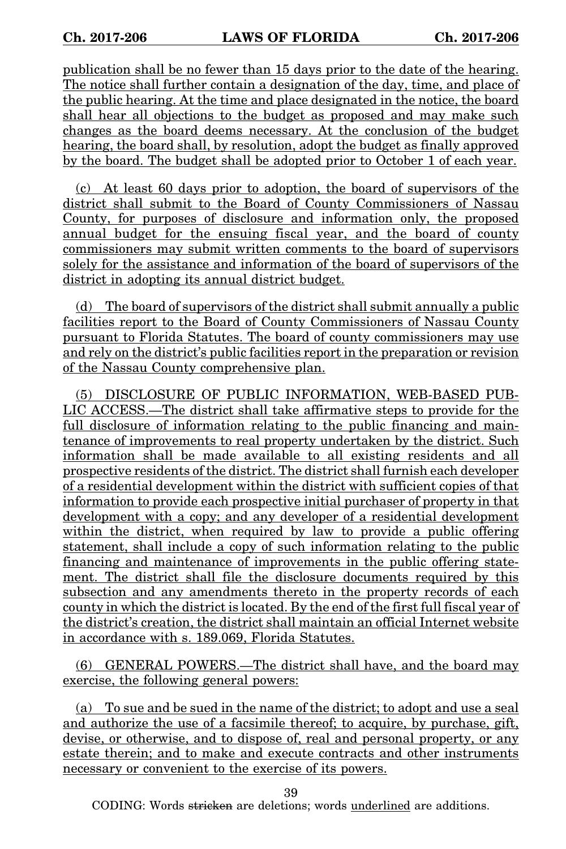publication shall be no fewer than 15 days prior to the date of the hearing. The notice shall further contain a designation of the day, time, and place of the public hearing. At the time and place designated in the notice, the board shall hear all objections to the budget as proposed and may make such changes as the board deems necessary. At the conclusion of the budget hearing, the board shall, by resolution, adopt the budget as finally approved by the board. The budget shall be adopted prior to October 1 of each year.

(c) At least 60 days prior to adoption, the board of supervisors of the district shall submit to the Board of County Commissioners of Nassau County, for purposes of disclosure and information only, the proposed annual budget for the ensuing fiscal year, and the board of county commissioners may submit written comments to the board of supervisors solely for the assistance and information of the board of supervisors of the district in adopting its annual district budget.

(d) The board of supervisors of the district shall submit annually a public facilities report to the Board of County Commissioners of Nassau County pursuant to Florida Statutes. The board of county commissioners may use and rely on the district's public facilities report in the preparation or revision of the Nassau County comprehensive plan.

(5) DISCLOSURE OF PUBLIC INFORMATION, WEB-BASED PUB-LIC ACCESS.—The district shall take affirmative steps to provide for the full disclosure of information relating to the public financing and maintenance of improvements to real property undertaken by the district. Such information shall be made available to all existing residents and all prospective residents of the district. The district shall furnish each developer of a residential development within the district with sufficient copies of that information to provide each prospective initial purchaser of property in that development with a copy; and any developer of a residential development within the district, when required by law to provide a public offering statement, shall include a copy of such information relating to the public financing and maintenance of improvements in the public offering statement. The district shall file the disclosure documents required by this subsection and any amendments thereto in the property records of each county in which the district is located. By the end of the first full fiscal year of the district's creation, the district shall maintain an official Internet website in accordance with s. 189.069, Florida Statutes.

(6) GENERAL POWERS.—The district shall have, and the board may exercise, the following general powers:

(a) To sue and be sued in the name of the district; to adopt and use a seal and authorize the use of a facsimile thereof; to acquire, by purchase, gift, devise, or otherwise, and to dispose of, real and personal property, or any estate therein; and to make and execute contracts and other instruments necessary or convenient to the exercise of its powers.

39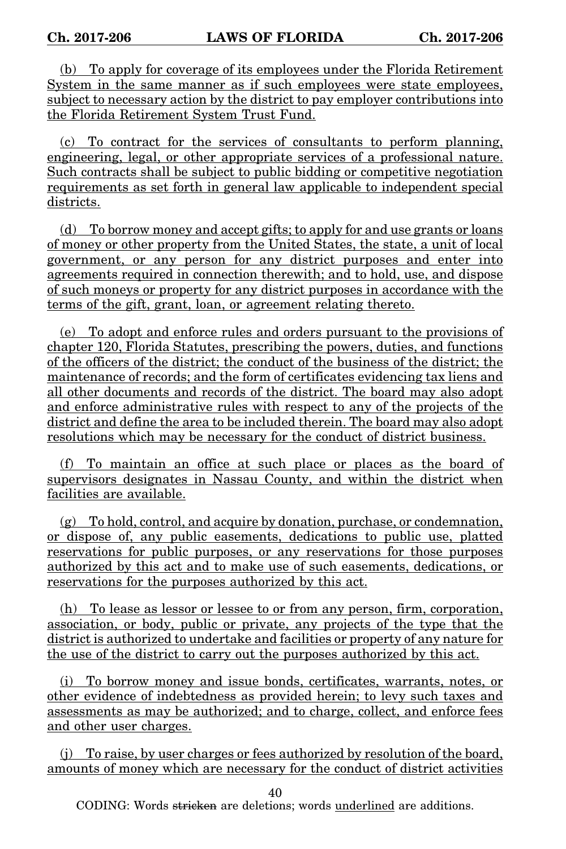(b) To apply for coverage of its employees under the Florida Retirement System in the same manner as if such employees were state employees, subject to necessary action by the district to pay employer contributions into the Florida Retirement System Trust Fund.

(c) To contract for the services of consultants to perform planning, engineering, legal, or other appropriate services of a professional nature. Such contracts shall be subject to public bidding or competitive negotiation requirements as set forth in general law applicable to independent special districts.

(d) To borrow money and accept gifts; to apply for and use grants or loans of money or other property from the United States, the state, a unit of local government, or any person for any district purposes and enter into agreements required in connection therewith; and to hold, use, and dispose of such moneys or property for any district purposes in accordance with the terms of the gift, grant, loan, or agreement relating thereto.

(e) To adopt and enforce rules and orders pursuant to the provisions of chapter 120, Florida Statutes, prescribing the powers, duties, and functions of the officers of the district; the conduct of the business of the district; the maintenance of records; and the form of certificates evidencing tax liens and all other documents and records of the district. The board may also adopt and enforce administrative rules with respect to any of the projects of the district and define the area to be included therein. The board may also adopt resolutions which may be necessary for the conduct of district business.

(f) To maintain an office at such place or places as the board of supervisors designates in Nassau County, and within the district when facilities are available.

(g) To hold, control, and acquire by donation, purchase, or condemnation, or dispose of, any public easements, dedications to public use, platted reservations for public purposes, or any reservations for those purposes authorized by this act and to make use of such easements, dedications, or reservations for the purposes authorized by this act.

(h) To lease as lessor or lessee to or from any person, firm, corporation, association, or body, public or private, any projects of the type that the district is authorized to undertake and facilities or property of any nature for the use of the district to carry out the purposes authorized by this act.

(i) To borrow money and issue bonds, certificates, warrants, notes, or other evidence of indebtedness as provided herein; to levy such taxes and assessments as may be authorized; and to charge, collect, and enforce fees and other user charges.

(j) To raise, by user charges or fees authorized by resolution of the board, amounts of money which are necessary for the conduct of district activities

40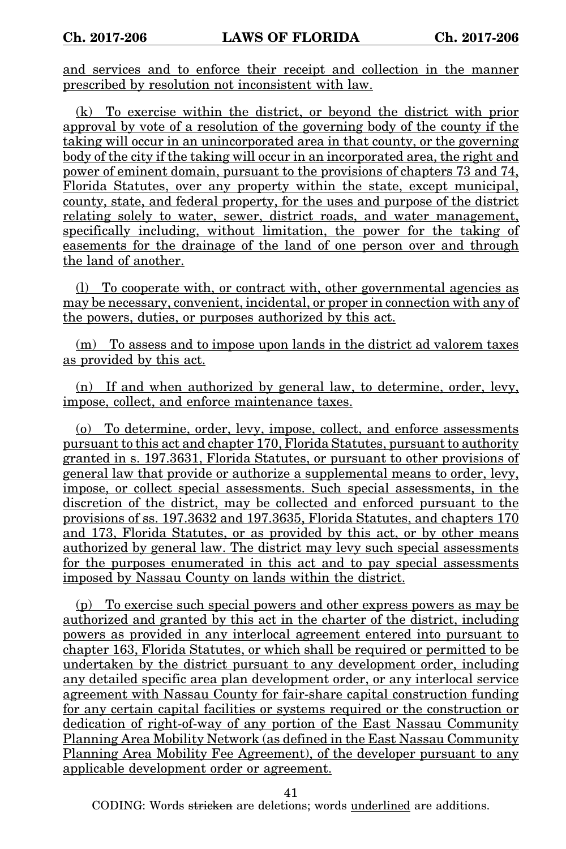and services and to enforce their receipt and collection in the manner prescribed by resolution not inconsistent with law.

(k) To exercise within the district, or beyond the district with prior approval by vote of a resolution of the governing body of the county if the taking will occur in an unincorporated area in that county, or the governing body of the city if the taking will occur in an incorporated area, the right and power of eminent domain, pursuant to the provisions of chapters 73 and 74, Florida Statutes, over any property within the state, except municipal, county, state, and federal property, for the uses and purpose of the district relating solely to water, sewer, district roads, and water management, specifically including, without limitation, the power for the taking of easements for the drainage of the land of one person over and through the land of another.

(l) To cooperate with, or contract with, other governmental agencies as may be necessary, convenient, incidental, or proper in connection with any of the powers, duties, or purposes authorized by this act.

(m) To assess and to impose upon lands in the district ad valorem taxes as provided by this act.

(n) If and when authorized by general law, to determine, order, levy, impose, collect, and enforce maintenance taxes.

(o) To determine, order, levy, impose, collect, and enforce assessments pursuant to this act and chapter 170, Florida Statutes, pursuant to authority granted in s. 197.3631, Florida Statutes, or pursuant to other provisions of general law that provide or authorize a supplemental means to order, levy, impose, or collect special assessments. Such special assessments, in the discretion of the district, may be collected and enforced pursuant to the provisions of ss. 197.3632 and 197.3635, Florida Statutes, and chapters 170 and 173, Florida Statutes, or as provided by this act, or by other means authorized by general law. The district may levy such special assessments for the purposes enumerated in this act and to pay special assessments imposed by Nassau County on lands within the district.

(p) To exercise such special powers and other express powers as may be authorized and granted by this act in the charter of the district, including powers as provided in any interlocal agreement entered into pursuant to chapter 163, Florida Statutes, or which shall be required or permitted to be undertaken by the district pursuant to any development order, including any detailed specific area plan development order, or any interlocal service agreement with Nassau County for fair-share capital construction funding for any certain capital facilities or systems required or the construction or dedication of right-of-way of any portion of the East Nassau Community Planning Area Mobility Network (as defined in the East Nassau Community Planning Area Mobility Fee Agreement), of the developer pursuant to any applicable development order or agreement.

41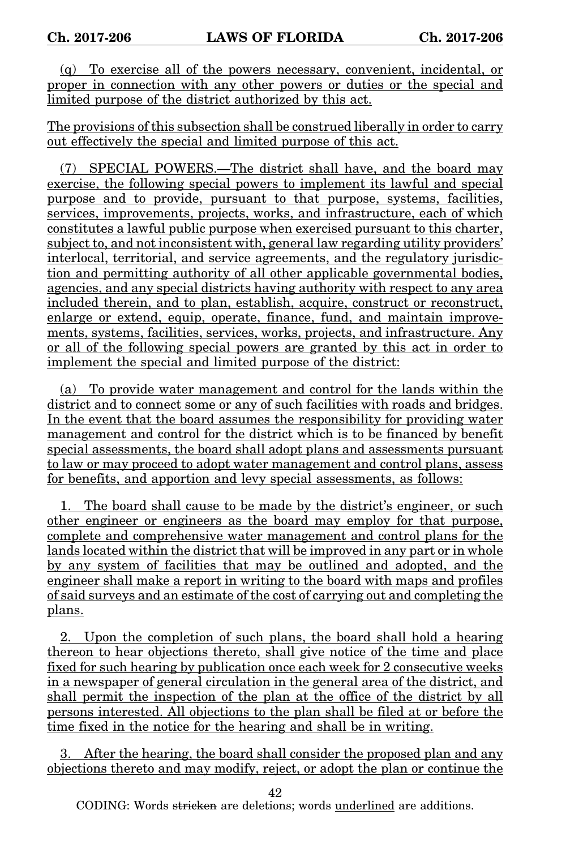(q) To exercise all of the powers necessary, convenient, incidental, or proper in connection with any other powers or duties or the special and limited purpose of the district authorized by this act.

The provisions of this subsection shall be construed liberally in order to carry out effectively the special and limited purpose of this act.

(7) SPECIAL POWERS.—The district shall have, and the board may exercise, the following special powers to implement its lawful and special purpose and to provide, pursuant to that purpose, systems, facilities, services, improvements, projects, works, and infrastructure, each of which constitutes a lawful public purpose when exercised pursuant to this charter, subject to, and not inconsistent with, general law regarding utility providers' interlocal, territorial, and service agreements, and the regulatory jurisdiction and permitting authority of all other applicable governmental bodies, agencies, and any special districts having authority with respect to any area included therein, and to plan, establish, acquire, construct or reconstruct, enlarge or extend, equip, operate, finance, fund, and maintain improvements, systems, facilities, services, works, projects, and infrastructure. Any or all of the following special powers are granted by this act in order to implement the special and limited purpose of the district:

(a) To provide water management and control for the lands within the district and to connect some or any of such facilities with roads and bridges. In the event that the board assumes the responsibility for providing water management and control for the district which is to be financed by benefit special assessments, the board shall adopt plans and assessments pursuant to law or may proceed to adopt water management and control plans, assess for benefits, and apportion and levy special assessments, as follows:

The board shall cause to be made by the district's engineer, or such other engineer or engineers as the board may employ for that purpose, complete and comprehensive water management and control plans for the lands located within the district that will be improved in any part or in whole by any system of facilities that may be outlined and adopted, and the engineer shall make a report in writing to the board with maps and profiles of said surveys and an estimate of the cost of carrying out and completing the plans.

2. Upon the completion of such plans, the board shall hold a hearing thereon to hear objections thereto, shall give notice of the time and place fixed for such hearing by publication once each week for 2 consecutive weeks in a newspaper of general circulation in the general area of the district, and shall permit the inspection of the plan at the office of the district by all persons interested. All objections to the plan shall be filed at or before the time fixed in the notice for the hearing and shall be in writing.

3. After the hearing, the board shall consider the proposed plan and any objections thereto and may modify, reject, or adopt the plan or continue the

42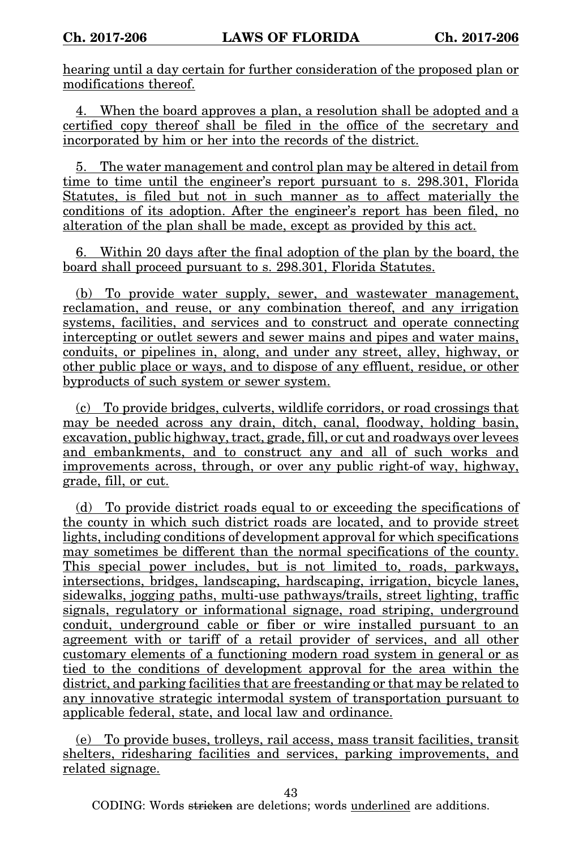hearing until a day certain for further consideration of the proposed plan or modifications thereof.

4. When the board approves a plan, a resolution shall be adopted and a certified copy thereof shall be filed in the office of the secretary and incorporated by him or her into the records of the district.

5. The water management and control plan may be altered in detail from time to time until the engineer's report pursuant to s. 298.301, Florida Statutes, is filed but not in such manner as to affect materially the conditions of its adoption. After the engineer's report has been filed, no alteration of the plan shall be made, except as provided by this act.

6. Within 20 days after the final adoption of the plan by the board, the board shall proceed pursuant to s. 298.301, Florida Statutes.

(b) To provide water supply, sewer, and wastewater management, reclamation, and reuse, or any combination thereof, and any irrigation systems, facilities, and services and to construct and operate connecting intercepting or outlet sewers and sewer mains and pipes and water mains, conduits, or pipelines in, along, and under any street, alley, highway, or other public place or ways, and to dispose of any effluent, residue, or other byproducts of such system or sewer system.

(c) To provide bridges, culverts, wildlife corridors, or road crossings that may be needed across any drain, ditch, canal, floodway, holding basin, excavation, public highway, tract, grade, fill, or cut and roadways over levees and embankments, and to construct any and all of such works and improvements across, through, or over any public right-of way, highway, grade, fill, or cut.

(d) To provide district roads equal to or exceeding the specifications of the county in which such district roads are located, and to provide street lights, including conditions of development approval for which specifications may sometimes be different than the normal specifications of the county. This special power includes, but is not limited to, roads, parkways, intersections, bridges, landscaping, hardscaping, irrigation, bicycle lanes, sidewalks, jogging paths, multi-use pathways/trails, street lighting, traffic signals, regulatory or informational signage, road striping, underground conduit, underground cable or fiber or wire installed pursuant to an agreement with or tariff of a retail provider of services, and all other customary elements of a functioning modern road system in general or as tied to the conditions of development approval for the area within the district, and parking facilities that are freestanding or that may be related to any innovative strategic intermodal system of transportation pursuant to applicable federal, state, and local law and ordinance.

(e) To provide buses, trolleys, rail access, mass transit facilities, transit shelters, ridesharing facilities and services, parking improvements, and related signage.

43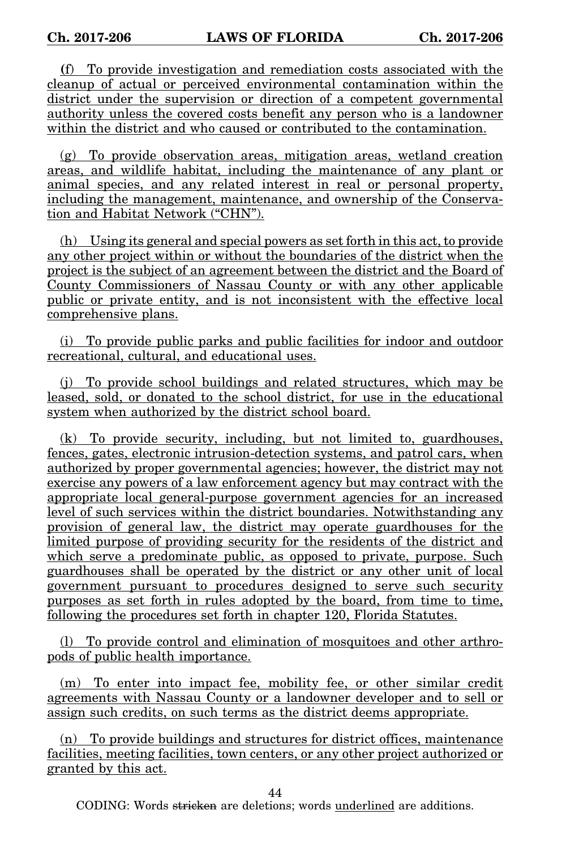**(**f) To provide investigation and remediation costs associated with the cleanup of actual or perceived environmental contamination within the district under the supervision or direction of a competent governmental authority unless the covered costs benefit any person who is a landowner within the district and who caused or contributed to the contamination.

(g) To provide observation areas, mitigation areas, wetland creation areas, and wildlife habitat, including the maintenance of any plant or animal species, and any related interest in real or personal property, including the management, maintenance, and ownership of the Conservation and Habitat Network ("CHN").

(h) Using its general and special powers as set forth in this act, to provide any other project within or without the boundaries of the district when the project is the subject of an agreement between the district and the Board of County Commissioners of Nassau County or with any other applicable public or private entity, and is not inconsistent with the effective local comprehensive plans.

(i) To provide public parks and public facilities for indoor and outdoor recreational, cultural, and educational uses.

(j) To provide school buildings and related structures, which may be leased, sold, or donated to the school district, for use in the educational system when authorized by the district school board.

(k) To provide security, including, but not limited to, guardhouses, fences, gates, electronic intrusion-detection systems, and patrol cars, when authorized by proper governmental agencies; however, the district may not exercise any powers of a law enforcement agency but may contract with the appropriate local general-purpose government agencies for an increased level of such services within the district boundaries. Notwithstanding any provision of general law, the district may operate guardhouses for the limited purpose of providing security for the residents of the district and which serve a predominate public, as opposed to private, purpose. Such guardhouses shall be operated by the district or any other unit of local government pursuant to procedures designed to serve such security purposes as set forth in rules adopted by the board, from time to time, following the procedures set forth in chapter 120, Florida Statutes.

(l) To provide control and elimination of mosquitoes and other arthropods of public health importance.

(m) To enter into impact fee, mobility fee, or other similar credit agreements with Nassau County or a landowner developer and to sell or assign such credits, on such terms as the district deems appropriate.

(n) To provide buildings and structures for district offices, maintenance facilities, meeting facilities, town centers, or any other project authorized or granted by this act.

44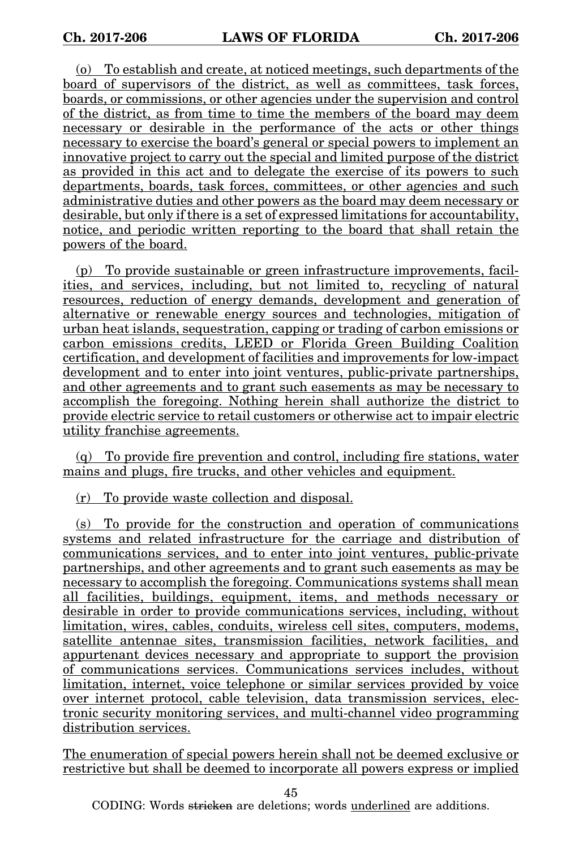(o) To establish and create, at noticed meetings, such departments of the board of supervisors of the district, as well as committees, task forces, boards, or commissions, or other agencies under the supervision and control of the district, as from time to time the members of the board may deem necessary or desirable in the performance of the acts or other things necessary to exercise the board's general or special powers to implement an innovative project to carry out the special and limited purpose of the district as provided in this act and to delegate the exercise of its powers to such departments, boards, task forces, committees, or other agencies and such administrative duties and other powers as the board may deem necessary or desirable, but only if there is a set of expressed limitations for accountability, notice, and periodic written reporting to the board that shall retain the powers of the board.

(p) To provide sustainable or green infrastructure improvements, facilities, and services, including, but not limited to, recycling of natural resources, reduction of energy demands, development and generation of alternative or renewable energy sources and technologies, mitigation of urban heat islands, sequestration, capping or trading of carbon emissions or carbon emissions credits, LEED or Florida Green Building Coalition certification, and development of facilities and improvements for low-impact development and to enter into joint ventures, public-private partnerships, and other agreements and to grant such easements as may be necessary to accomplish the foregoing. Nothing herein shall authorize the district to provide electric service to retail customers or otherwise act to impair electric utility franchise agreements.

(q) To provide fire prevention and control, including fire stations, water mains and plugs, fire trucks, and other vehicles and equipment.

(r) To provide waste collection and disposal.

(s) To provide for the construction and operation of communications systems and related infrastructure for the carriage and distribution of communications services, and to enter into joint ventures, public-private partnerships, and other agreements and to grant such easements as may be necessary to accomplish the foregoing. Communications systems shall mean all facilities, buildings, equipment, items, and methods necessary or desirable in order to provide communications services, including, without limitation, wires, cables, conduits, wireless cell sites, computers, modems, satellite antennae sites, transmission facilities, network facilities, and appurtenant devices necessary and appropriate to support the provision of communications services. Communications services includes, without limitation, internet, voice telephone or similar services provided by voice over internet protocol, cable television, data transmission services, electronic security monitoring services, and multi-channel video programming distribution services.

The enumeration of special powers herein shall not be deemed exclusive or restrictive but shall be deemed to incorporate all powers express or implied

45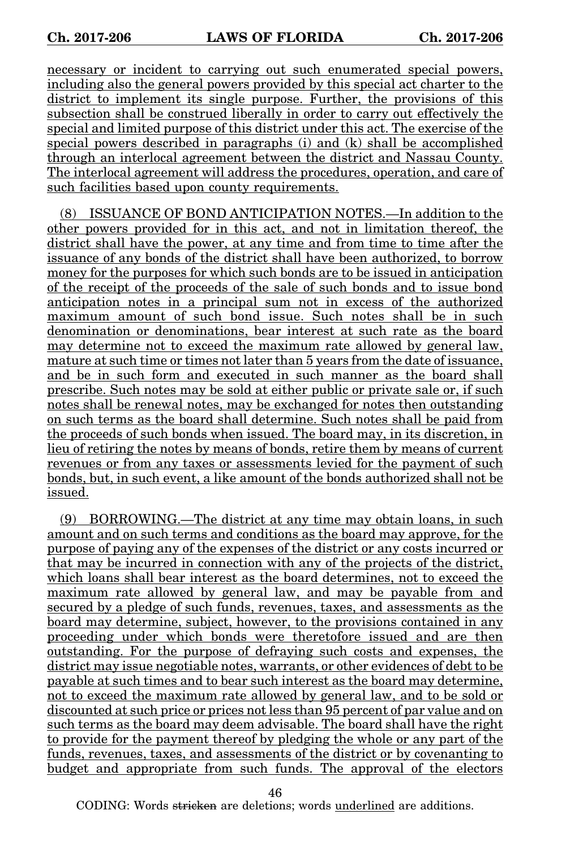necessary or incident to carrying out such enumerated special powers, including also the general powers provided by this special act charter to the district to implement its single purpose. Further, the provisions of this subsection shall be construed liberally in order to carry out effectively the special and limited purpose of this district under this act. The exercise of the special powers described in paragraphs (i) and (k) shall be accomplished through an interlocal agreement between the district and Nassau County. The interlocal agreement will address the procedures, operation, and care of such facilities based upon county requirements.

(8) ISSUANCE OF BOND ANTICIPATION NOTES.—In addition to the other powers provided for in this act, and not in limitation thereof, the district shall have the power, at any time and from time to time after the issuance of any bonds of the district shall have been authorized, to borrow money for the purposes for which such bonds are to be issued in anticipation of the receipt of the proceeds of the sale of such bonds and to issue bond anticipation notes in a principal sum not in excess of the authorized maximum amount of such bond issue. Such notes shall be in such denomination or denominations, bear interest at such rate as the board may determine not to exceed the maximum rate allowed by general law, mature at such time or times not later than 5 years from the date of issuance, and be in such form and executed in such manner as the board shall prescribe. Such notes may be sold at either public or private sale or, if such notes shall be renewal notes, may be exchanged for notes then outstanding on such terms as the board shall determine. Such notes shall be paid from the proceeds of such bonds when issued. The board may, in its discretion, in lieu of retiring the notes by means of bonds, retire them by means of current revenues or from any taxes or assessments levied for the payment of such bonds, but, in such event, a like amount of the bonds authorized shall not be issued.

(9) BORROWING.—The district at any time may obtain loans, in such amount and on such terms and conditions as the board may approve, for the purpose of paying any of the expenses of the district or any costs incurred or that may be incurred in connection with any of the projects of the district, which loans shall bear interest as the board determines, not to exceed the maximum rate allowed by general law, and may be payable from and secured by a pledge of such funds, revenues, taxes, and assessments as the board may determine, subject, however, to the provisions contained in any proceeding under which bonds were theretofore issued and are then outstanding. For the purpose of defraying such costs and expenses, the district may issue negotiable notes, warrants, or other evidences of debt to be payable at such times and to bear such interest as the board may determine, not to exceed the maximum rate allowed by general law, and to be sold or discounted at such price or prices not less than 95 percent of par value and on such terms as the board may deem advisable. The board shall have the right to provide for the payment thereof by pledging the whole or any part of the funds, revenues, taxes, and assessments of the district or by covenanting to budget and appropriate from such funds. The approval of the electors

46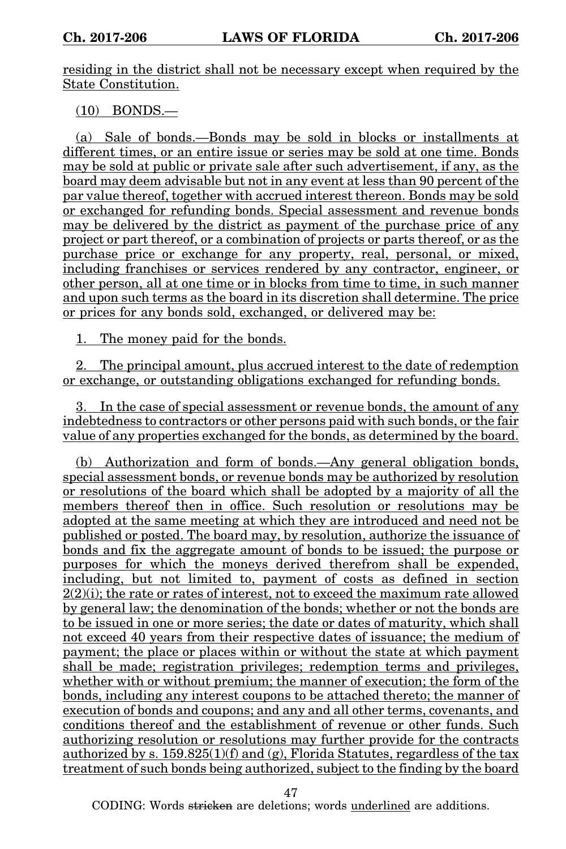residing in the district shall not be necessary except when required by the State Constitution.

(10) BONDS.—

(a) Sale of bonds.—Bonds may be sold in blocks or installments at different times, or an entire issue or series may be sold at one time. Bonds may be sold at public or private sale after such advertisement, if any, as the board may deem advisable but not in any event at less than 90 percent of the par value thereof, together with accrued interest thereon. Bonds may be sold or exchanged for refunding bonds. Special assessment and revenue bonds may be delivered by the district as payment of the purchase price of any project or part thereof, or a combination of projects or parts thereof, or as the purchase price or exchange for any property, real, personal, or mixed, including franchises or services rendered by any contractor, engineer, or other person, all at one time or in blocks from time to time, in such manner and upon such terms as the board in its discretion shall determine. The price or prices for any bonds sold, exchanged, or delivered may be:

1. The money paid for the bonds.

2. The principal amount, plus accrued interest to the date of redemption or exchange, or outstanding obligations exchanged for refunding bonds.

3. In the case of special assessment or revenue bonds, the amount of any indebtedness to contractors or other persons paid with such bonds, or the fair value of any properties exchanged for the bonds, as determined by the board.

(b) Authorization and form of bonds.—Any general obligation bonds, special assessment bonds, or revenue bonds may be authorized by resolution or resolutions of the board which shall be adopted by a majority of all the members thereof then in office. Such resolution or resolutions may be adopted at the same meeting at which they are introduced and need not be published or posted. The board may, by resolution, authorize the issuance of bonds and fix the aggregate amount of bonds to be issued; the purpose or purposes for which the moneys derived therefrom shall be expended, including, but not limited to, payment of costs as defined in section  $2(2)(i)$ ; the rate or rates of interest, not to exceed the maximum rate allowed by general law; the denomination of the bonds; whether or not the bonds are to be issued in one or more series; the date or dates of maturity, which shall not exceed 40 years from their respective dates of issuance; the medium of payment; the place or places within or without the state at which payment shall be made; registration privileges; redemption terms and privileges, whether with or without premium; the manner of execution; the form of the bonds, including any interest coupons to be attached thereto; the manner of execution of bonds and coupons; and any and all other terms, covenants, and conditions thereof and the establishment of revenue or other funds. Such authorizing resolution or resolutions may further provide for the contracts authorized by s.  $159.825(1)(f)$  and (g), Florida Statutes, regardless of the tax treatment of such bonds being authorized, subject to the finding by the board

47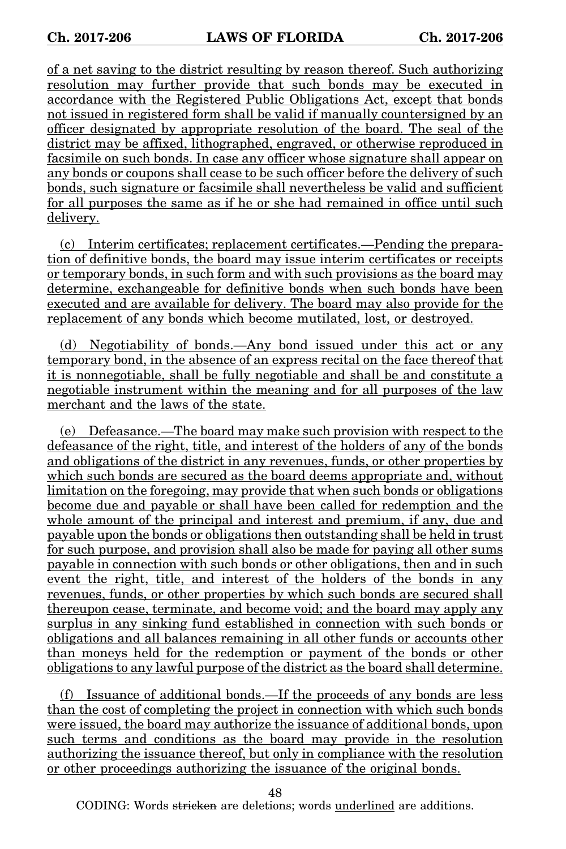of a net saving to the district resulting by reason thereof. Such authorizing resolution may further provide that such bonds may be executed in accordance with the Registered Public Obligations Act, except that bonds not issued in registered form shall be valid if manually countersigned by an officer designated by appropriate resolution of the board. The seal of the district may be affixed, lithographed, engraved, or otherwise reproduced in facsimile on such bonds. In case any officer whose signature shall appear on any bonds or coupons shall cease to be such officer before the delivery of such bonds, such signature or facsimile shall nevertheless be valid and sufficient for all purposes the same as if he or she had remained in office until such delivery.

(c) Interim certificates; replacement certificates.—Pending the preparation of definitive bonds, the board may issue interim certificates or receipts or temporary bonds, in such form and with such provisions as the board may determine, exchangeable for definitive bonds when such bonds have been executed and are available for delivery. The board may also provide for the replacement of any bonds which become mutilated, lost, or destroyed.

(d) Negotiability of bonds.—Any bond issued under this act or any temporary bond, in the absence of an express recital on the face thereof that it is nonnegotiable, shall be fully negotiable and shall be and constitute a negotiable instrument within the meaning and for all purposes of the law merchant and the laws of the state.

(e) Defeasance.—The board may make such provision with respect to the defeasance of the right, title, and interest of the holders of any of the bonds and obligations of the district in any revenues, funds, or other properties by which such bonds are secured as the board deems appropriate and, without limitation on the foregoing, may provide that when such bonds or obligations become due and payable or shall have been called for redemption and the whole amount of the principal and interest and premium, if any, due and payable upon the bonds or obligations then outstanding shall be held in trust for such purpose, and provision shall also be made for paying all other sums payable in connection with such bonds or other obligations, then and in such event the right, title, and interest of the holders of the bonds in any revenues, funds, or other properties by which such bonds are secured shall thereupon cease, terminate, and become void; and the board may apply any surplus in any sinking fund established in connection with such bonds or obligations and all balances remaining in all other funds or accounts other than moneys held for the redemption or payment of the bonds or other obligations to any lawful purpose of the district as the board shall determine.

(f) Issuance of additional bonds.—If the proceeds of any bonds are less than the cost of completing the project in connection with which such bonds were issued, the board may authorize the issuance of additional bonds, upon such terms and conditions as the board may provide in the resolution authorizing the issuance thereof, but only in compliance with the resolution or other proceedings authorizing the issuance of the original bonds.

48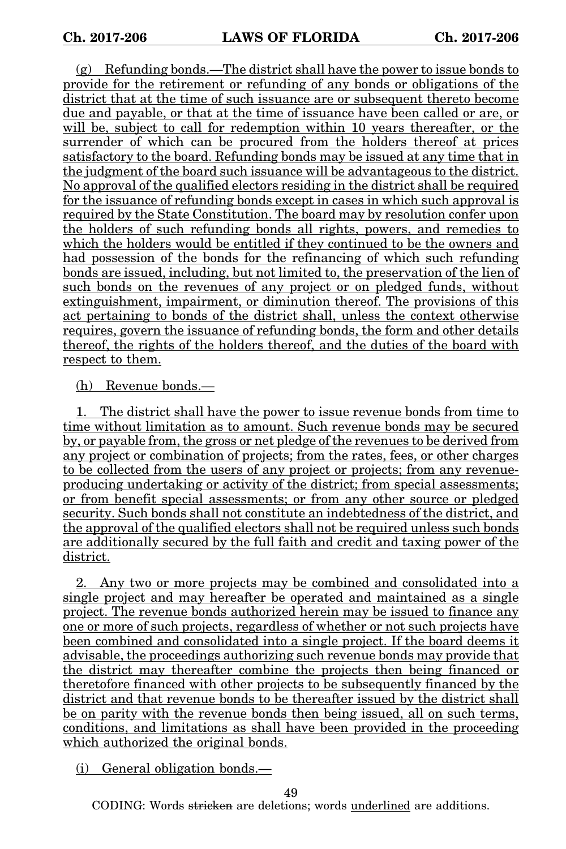(g) Refunding bonds.—The district shall have the power to issue bonds to provide for the retirement or refunding of any bonds or obligations of the district that at the time of such issuance are or subsequent thereto become due and payable, or that at the time of issuance have been called or are, or will be, subject to call for redemption within 10 years thereafter, or the surrender of which can be procured from the holders thereof at prices satisfactory to the board. Refunding bonds may be issued at any time that in the judgment of the board such issuance will be advantageous to the district. No approval of the qualified electors residing in the district shall be required for the issuance of refunding bonds except in cases in which such approval is required by the State Constitution. The board may by resolution confer upon the holders of such refunding bonds all rights, powers, and remedies to which the holders would be entitled if they continued to be the owners and had possession of the bonds for the refinancing of which such refunding bonds are issued, including, but not limited to, the preservation of the lien of such bonds on the revenues of any project or on pledged funds, without extinguishment, impairment, or diminution thereof. The provisions of this act pertaining to bonds of the district shall, unless the context otherwise requires, govern the issuance of refunding bonds, the form and other details thereof, the rights of the holders thereof, and the duties of the board with respect to them.

(h) Revenue bonds.—

1. The district shall have the power to issue revenue bonds from time to time without limitation as to amount. Such revenue bonds may be secured by, or payable from, the gross or net pledge of the revenues to be derived from any project or combination of projects; from the rates, fees, or other charges to be collected from the users of any project or projects; from any revenueproducing undertaking or activity of the district; from special assessments; or from benefit special assessments; or from any other source or pledged security. Such bonds shall not constitute an indebtedness of the district, and the approval of the qualified electors shall not be required unless such bonds are additionally secured by the full faith and credit and taxing power of the district.

2. Any two or more projects may be combined and consolidated into a single project and may hereafter be operated and maintained as a single project. The revenue bonds authorized herein may be issued to finance any one or more of such projects, regardless of whether or not such projects have been combined and consolidated into a single project. If the board deems it advisable, the proceedings authorizing such revenue bonds may provide that the district may thereafter combine the projects then being financed or theretofore financed with other projects to be subsequently financed by the district and that revenue bonds to be thereafter issued by the district shall be on parity with the revenue bonds then being issued, all on such terms, conditions, and limitations as shall have been provided in the proceeding which authorized the original bonds.

(i) General obligation bonds.—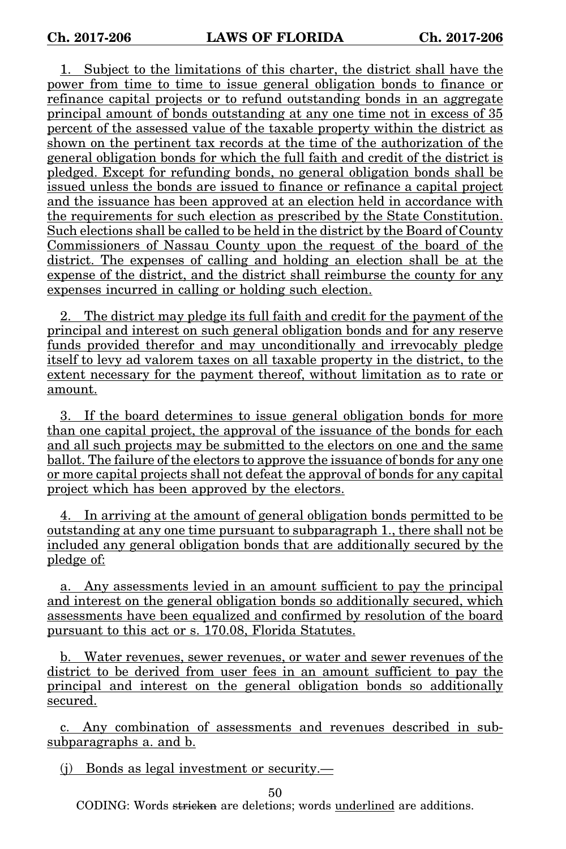1. Subject to the limitations of this charter, the district shall have the power from time to time to issue general obligation bonds to finance or refinance capital projects or to refund outstanding bonds in an aggregate principal amount of bonds outstanding at any one time not in excess of 35 percent of the assessed value of the taxable property within the district as shown on the pertinent tax records at the time of the authorization of the general obligation bonds for which the full faith and credit of the district is pledged. Except for refunding bonds, no general obligation bonds shall be issued unless the bonds are issued to finance or refinance a capital project and the issuance has been approved at an election held in accordance with the requirements for such election as prescribed by the State Constitution. Such elections shall be called to be held in the district by the Board of County Commissioners of Nassau County upon the request of the board of the district. The expenses of calling and holding an election shall be at the expense of the district, and the district shall reimburse the county for any expenses incurred in calling or holding such election.

2. The district may pledge its full faith and credit for the payment of the principal and interest on such general obligation bonds and for any reserve funds provided therefor and may unconditionally and irrevocably pledge itself to levy ad valorem taxes on all taxable property in the district, to the extent necessary for the payment thereof, without limitation as to rate or amount.

3. If the board determines to issue general obligation bonds for more than one capital project, the approval of the issuance of the bonds for each and all such projects may be submitted to the electors on one and the same ballot. The failure of the electors to approve the issuance of bonds for any one or more capital projects shall not defeat the approval of bonds for any capital project which has been approved by the electors.

4. In arriving at the amount of general obligation bonds permitted to be outstanding at any one time pursuant to subparagraph 1., there shall not be included any general obligation bonds that are additionally secured by the pledge of:

a. Any assessments levied in an amount sufficient to pay the principal and interest on the general obligation bonds so additionally secured, which assessments have been equalized and confirmed by resolution of the board pursuant to this act or s. 170.08, Florida Statutes.

b. Water revenues, sewer revenues, or water and sewer revenues of the district to be derived from user fees in an amount sufficient to pay the principal and interest on the general obligation bonds so additionally secured.

c. Any combination of assessments and revenues described in subsubparagraphs a. and b.

(j) Bonds as legal investment or security.—

50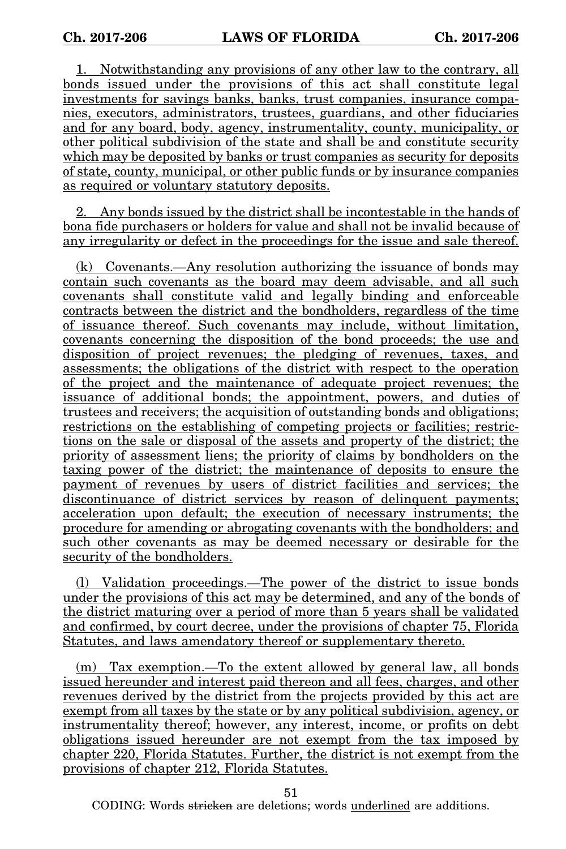1. Notwithstanding any provisions of any other law to the contrary, all bonds issued under the provisions of this act shall constitute legal investments for savings banks, banks, trust companies, insurance companies, executors, administrators, trustees, guardians, and other fiduciaries and for any board, body, agency, instrumentality, county, municipality, or other political subdivision of the state and shall be and constitute security which may be deposited by banks or trust companies as security for deposits of state, county, municipal, or other public funds or by insurance companies as required or voluntary statutory deposits.

2. Any bonds issued by the district shall be incontestable in the hands of bona fide purchasers or holders for value and shall not be invalid because of any irregularity or defect in the proceedings for the issue and sale thereof.

(k) Covenants.—Any resolution authorizing the issuance of bonds may contain such covenants as the board may deem advisable, and all such covenants shall constitute valid and legally binding and enforceable contracts between the district and the bondholders, regardless of the time of issuance thereof. Such covenants may include, without limitation, covenants concerning the disposition of the bond proceeds; the use and disposition of project revenues; the pledging of revenues, taxes, and assessments; the obligations of the district with respect to the operation of the project and the maintenance of adequate project revenues; the issuance of additional bonds; the appointment, powers, and duties of trustees and receivers; the acquisition of outstanding bonds and obligations; restrictions on the establishing of competing projects or facilities; restrictions on the sale or disposal of the assets and property of the district; the priority of assessment liens; the priority of claims by bondholders on the taxing power of the district; the maintenance of deposits to ensure the payment of revenues by users of district facilities and services; the discontinuance of district services by reason of delinquent payments; acceleration upon default; the execution of necessary instruments; the procedure for amending or abrogating covenants with the bondholders; and such other covenants as may be deemed necessary or desirable for the security of the bondholders.

(l) Validation proceedings.—The power of the district to issue bonds under the provisions of this act may be determined, and any of the bonds of the district maturing over a period of more than 5 years shall be validated and confirmed, by court decree, under the provisions of chapter 75, Florida Statutes, and laws amendatory thereof or supplementary thereto.

(m) Tax exemption.—To the extent allowed by general law, all bonds issued hereunder and interest paid thereon and all fees, charges, and other revenues derived by the district from the projects provided by this act are exempt from all taxes by the state or by any political subdivision, agency, or instrumentality thereof; however, any interest, income, or profits on debt obligations issued hereunder are not exempt from the tax imposed by chapter 220, Florida Statutes. Further, the district is not exempt from the provisions of chapter 212, Florida Statutes.

51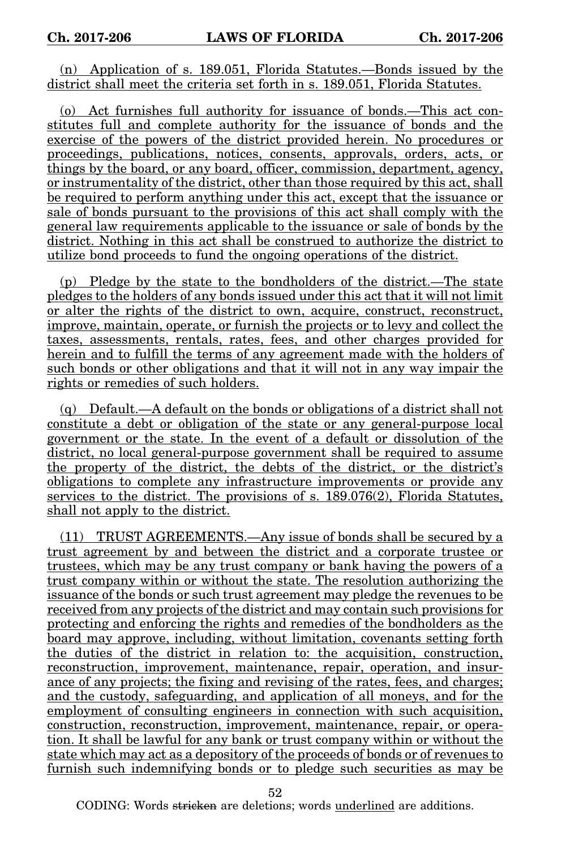(n) Application of s. 189.051, Florida Statutes.—Bonds issued by the district shall meet the criteria set forth in s. 189.051, Florida Statutes.

(o) Act furnishes full authority for issuance of bonds.—This act constitutes full and complete authority for the issuance of bonds and the exercise of the powers of the district provided herein. No procedures or proceedings, publications, notices, consents, approvals, orders, acts, or things by the board, or any board, officer, commission, department, agency, or instrumentality of the district, other than those required by this act, shall be required to perform anything under this act, except that the issuance or sale of bonds pursuant to the provisions of this act shall comply with the general law requirements applicable to the issuance or sale of bonds by the district. Nothing in this act shall be construed to authorize the district to utilize bond proceeds to fund the ongoing operations of the district.

(p) Pledge by the state to the bondholders of the district.—The state pledges to the holders of any bonds issued under this act that it will not limit or alter the rights of the district to own, acquire, construct, reconstruct, improve, maintain, operate, or furnish the projects or to levy and collect the taxes, assessments, rentals, rates, fees, and other charges provided for herein and to fulfill the terms of any agreement made with the holders of such bonds or other obligations and that it will not in any way impair the rights or remedies of such holders.

(q) Default.—A default on the bonds or obligations of a district shall not constitute a debt or obligation of the state or any general-purpose local government or the state. In the event of a default or dissolution of the district, no local general-purpose government shall be required to assume the property of the district, the debts of the district, or the district's obligations to complete any infrastructure improvements or provide any services to the district. The provisions of s. 189.076(2), Florida Statutes, shall not apply to the district.

(11) TRUST AGREEMENTS.—Any issue of bonds shall be secured by a trust agreement by and between the district and a corporate trustee or trustees, which may be any trust company or bank having the powers of a trust company within or without the state. The resolution authorizing the issuance of the bonds or such trust agreement may pledge the revenues to be received from any projects of the district and may contain such provisions for protecting and enforcing the rights and remedies of the bondholders as the board may approve, including, without limitation, covenants setting forth the duties of the district in relation to: the acquisition, construction, reconstruction, improvement, maintenance, repair, operation, and insurance of any projects; the fixing and revising of the rates, fees, and charges; and the custody, safeguarding, and application of all moneys, and for the employment of consulting engineers in connection with such acquisition, construction, reconstruction, improvement, maintenance, repair, or operation. It shall be lawful for any bank or trust company within or without the state which may act as a depository of the proceeds of bonds or of revenues to furnish such indemnifying bonds or to pledge such securities as may be

52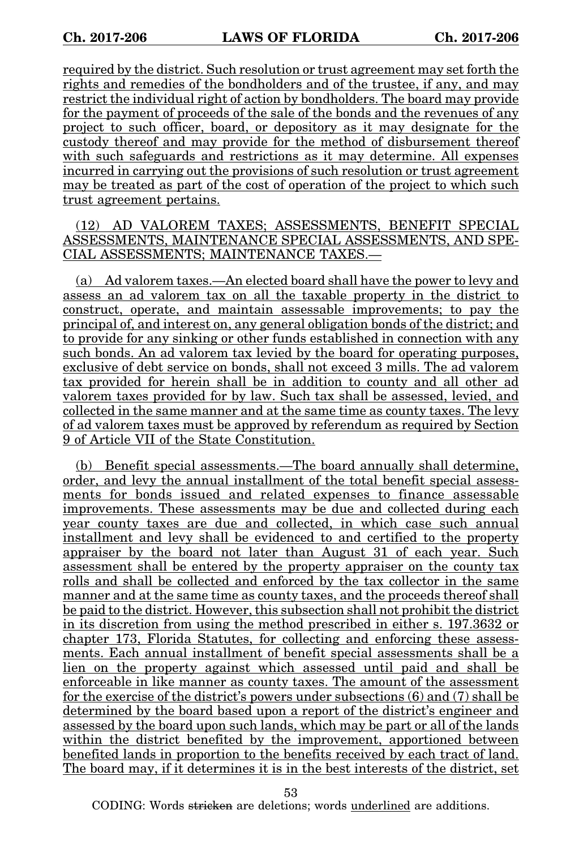required by the district. Such resolution or trust agreement may set forth the rights and remedies of the bondholders and of the trustee, if any, and may restrict the individual right of action by bondholders. The board may provide for the payment of proceeds of the sale of the bonds and the revenues of any project to such officer, board, or depository as it may designate for the custody thereof and may provide for the method of disbursement thereof with such safeguards and restrictions as it may determine. All expenses incurred in carrying out the provisions of such resolution or trust agreement may be treated as part of the cost of operation of the project to which such trust agreement pertains.

### (12) AD VALOREM TAXES; ASSESSMENTS, BENEFIT SPECIAL ASSESSMENTS, MAINTENANCE SPECIAL ASSESSMENTS, AND SPE-CIAL ASSESSMENTS; MAINTENANCE TAXES.—

(a) Ad valorem taxes.—An elected board shall have the power to levy and assess an ad valorem tax on all the taxable property in the district to construct, operate, and maintain assessable improvements; to pay the principal of, and interest on, any general obligation bonds of the district; and to provide for any sinking or other funds established in connection with any such bonds. An ad valorem tax levied by the board for operating purposes, exclusive of debt service on bonds, shall not exceed 3 mills. The ad valorem tax provided for herein shall be in addition to county and all other ad valorem taxes provided for by law. Such tax shall be assessed, levied, and collected in the same manner and at the same time as county taxes. The levy of ad valorem taxes must be approved by referendum as required by Section 9 of Article VII of the State Constitution.

(b) Benefit special assessments.—The board annually shall determine, order, and levy the annual installment of the total benefit special assessments for bonds issued and related expenses to finance assessable improvements. These assessments may be due and collected during each year county taxes are due and collected, in which case such annual installment and levy shall be evidenced to and certified to the property appraiser by the board not later than August 31 of each year. Such assessment shall be entered by the property appraiser on the county tax rolls and shall be collected and enforced by the tax collector in the same manner and at the same time as county taxes, and the proceeds thereof shall be paid to the district. However, this subsection shall not prohibit the district in its discretion from using the method prescribed in either s. 197.3632 or chapter 173, Florida Statutes, for collecting and enforcing these assessments. Each annual installment of benefit special assessments shall be a lien on the property against which assessed until paid and shall be enforceable in like manner as county taxes. The amount of the assessment for the exercise of the district's powers under subsections (6) and (7) shall be determined by the board based upon a report of the district's engineer and assessed by the board upon such lands, which may be part or all of the lands within the district benefited by the improvement, apportioned between benefited lands in proportion to the benefits received by each tract of land. The board may, if it determines it is in the best interests of the district, set

53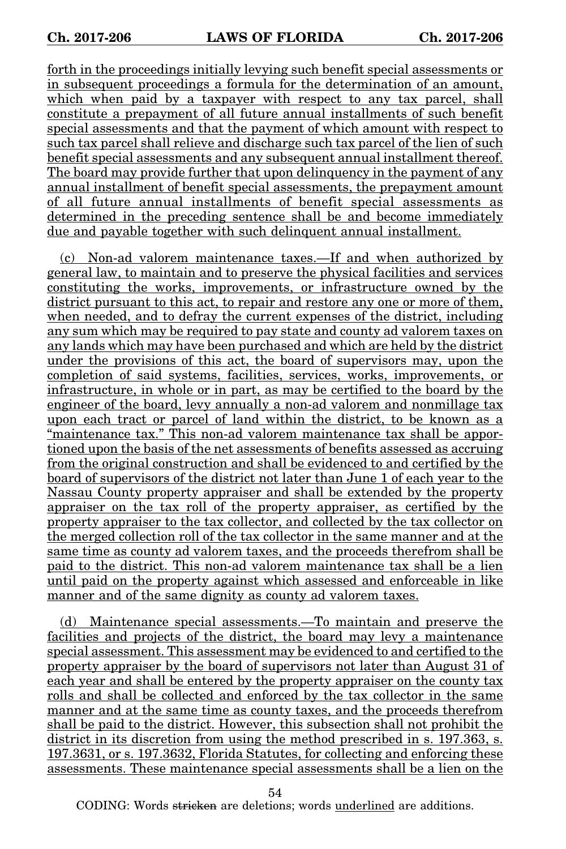forth in the proceedings initially levying such benefit special assessments or in subsequent proceedings a formula for the determination of an amount, which when paid by a taxpayer with respect to any tax parcel, shall constitute a prepayment of all future annual installments of such benefit special assessments and that the payment of which amount with respect to such tax parcel shall relieve and discharge such tax parcel of the lien of such benefit special assessments and any subsequent annual installment thereof. The board may provide further that upon delinquency in the payment of any annual installment of benefit special assessments, the prepayment amount of all future annual installments of benefit special assessments as determined in the preceding sentence shall be and become immediately due and payable together with such delinquent annual installment.

(c) Non-ad valorem maintenance taxes.—If and when authorized by general law, to maintain and to preserve the physical facilities and services constituting the works, improvements, or infrastructure owned by the district pursuant to this act, to repair and restore any one or more of them, when needed, and to defray the current expenses of the district, including any sum which may be required to pay state and county ad valorem taxes on any lands which may have been purchased and which are held by the district under the provisions of this act, the board of supervisors may, upon the completion of said systems, facilities, services, works, improvements, or infrastructure, in whole or in part, as may be certified to the board by the engineer of the board, levy annually a non-ad valorem and nonmillage tax upon each tract or parcel of land within the district, to be known as a "maintenance tax." This non-ad valorem maintenance tax shall be apportioned upon the basis of the net assessments of benefits assessed as accruing from the original construction and shall be evidenced to and certified by the board of supervisors of the district not later than June 1 of each year to the Nassau County property appraiser and shall be extended by the property appraiser on the tax roll of the property appraiser, as certified by the property appraiser to the tax collector, and collected by the tax collector on the merged collection roll of the tax collector in the same manner and at the same time as county ad valorem taxes, and the proceeds therefrom shall be paid to the district. This non-ad valorem maintenance tax shall be a lien until paid on the property against which assessed and enforceable in like manner and of the same dignity as county ad valorem taxes.

(d) Maintenance special assessments.—To maintain and preserve the facilities and projects of the district, the board may levy a maintenance special assessment. This assessment may be evidenced to and certified to the property appraiser by the board of supervisors not later than August 31 of each year and shall be entered by the property appraiser on the county tax rolls and shall be collected and enforced by the tax collector in the same manner and at the same time as county taxes, and the proceeds therefrom shall be paid to the district. However, this subsection shall not prohibit the district in its discretion from using the method prescribed in s. 197.363, s. 197.3631, or s. 197.3632, Florida Statutes, for collecting and enforcing these assessments. These maintenance special assessments shall be a lien on the

54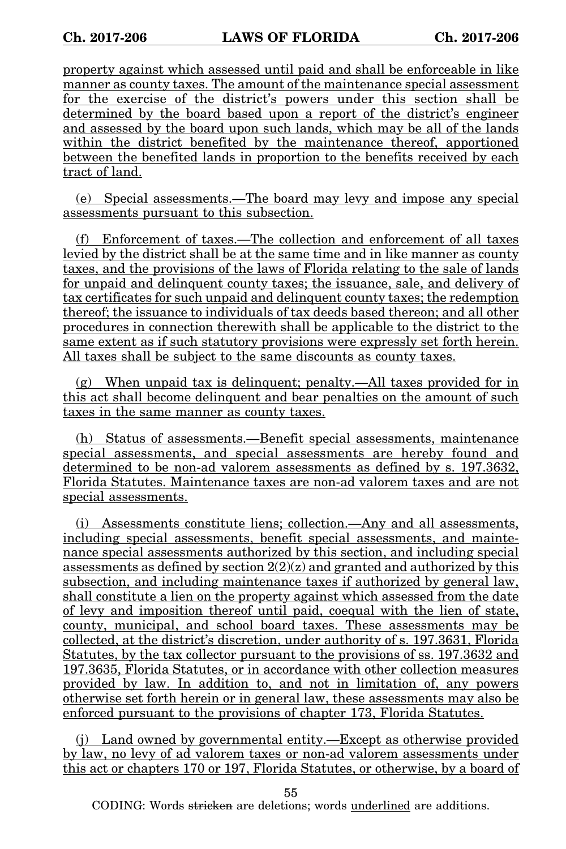property against which assessed until paid and shall be enforceable in like manner as county taxes. The amount of the maintenance special assessment for the exercise of the district's powers under this section shall be determined by the board based upon a report of the district's engineer and assessed by the board upon such lands, which may be all of the lands within the district benefited by the maintenance thereof, apportioned between the benefited lands in proportion to the benefits received by each tract of land.

(e) Special assessments.—The board may levy and impose any special assessments pursuant to this subsection.

(f) Enforcement of taxes.—The collection and enforcement of all taxes levied by the district shall be at the same time and in like manner as county taxes, and the provisions of the laws of Florida relating to the sale of lands for unpaid and delinquent county taxes; the issuance, sale, and delivery of tax certificates for such unpaid and delinquent county taxes; the redemption thereof; the issuance to individuals of tax deeds based thereon; and all other procedures in connection therewith shall be applicable to the district to the same extent as if such statutory provisions were expressly set forth herein. All taxes shall be subject to the same discounts as county taxes.

(g) When unpaid tax is delinquent; penalty.—All taxes provided for in this act shall become delinquent and bear penalties on the amount of such taxes in the same manner as county taxes.

(h) Status of assessments.—Benefit special assessments, maintenance special assessments, and special assessments are hereby found and determined to be non-ad valorem assessments as defined by s. 197.3632, Florida Statutes. Maintenance taxes are non-ad valorem taxes and are not special assessments.

(i) Assessments constitute liens; collection.—Any and all assessments, including special assessments, benefit special assessments, and maintenance special assessments authorized by this section, and including special assessments as defined by section  $2(2)(z)$  and granted and authorized by this subsection, and including maintenance taxes if authorized by general law, shall constitute a lien on the property against which assessed from the date of levy and imposition thereof until paid, coequal with the lien of state, county, municipal, and school board taxes. These assessments may be collected, at the district's discretion, under authority of s. 197.3631, Florida Statutes, by the tax collector pursuant to the provisions of ss. 197.3632 and 197.3635, Florida Statutes, or in accordance with other collection measures provided by law. In addition to, and not in limitation of, any powers otherwise set forth herein or in general law, these assessments may also be enforced pursuant to the provisions of chapter 173, Florida Statutes.

(j) Land owned by governmental entity.—Except as otherwise provided by law, no levy of ad valorem taxes or non-ad valorem assessments under this act or chapters 170 or 197, Florida Statutes, or otherwise, by a board of

55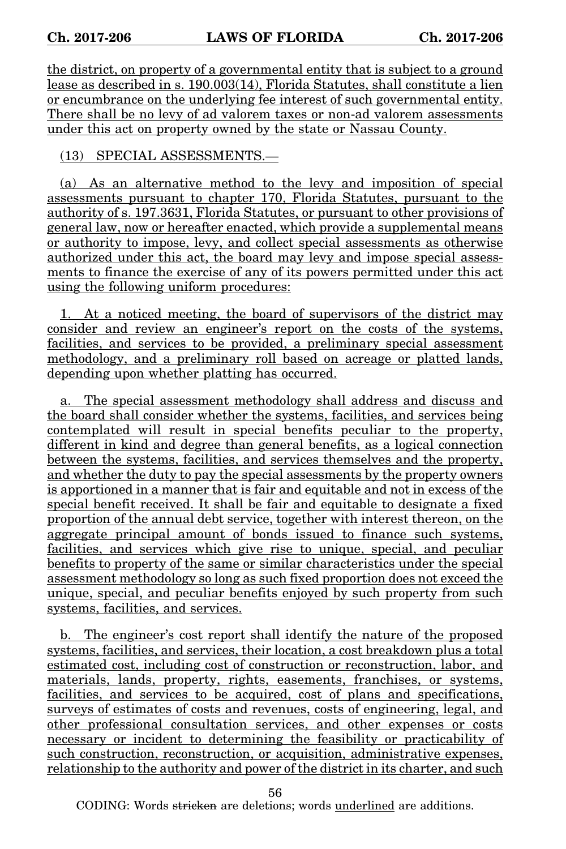the district, on property of a governmental entity that is subject to a ground lease as described in s. 190.003(14), Florida Statutes, shall constitute a lien or encumbrance on the underlying fee interest of such governmental entity. There shall be no levy of ad valorem taxes or non-ad valorem assessments under this act on property owned by the state or Nassau County.

## (13) SPECIAL ASSESSMENTS.—

(a) As an alternative method to the levy and imposition of special assessments pursuant to chapter 170, Florida Statutes, pursuant to the authority of s. 197.3631, Florida Statutes, or pursuant to other provisions of general law, now or hereafter enacted, which provide a supplemental means or authority to impose, levy, and collect special assessments as otherwise authorized under this act, the board may levy and impose special assessments to finance the exercise of any of its powers permitted under this act using the following uniform procedures:

1. At a noticed meeting, the board of supervisors of the district may consider and review an engineer's report on the costs of the systems, facilities, and services to be provided, a preliminary special assessment methodology, and a preliminary roll based on acreage or platted lands, depending upon whether platting has occurred.

a. The special assessment methodology shall address and discuss and the board shall consider whether the systems, facilities, and services being contemplated will result in special benefits peculiar to the property, different in kind and degree than general benefits, as a logical connection between the systems, facilities, and services themselves and the property, and whether the duty to pay the special assessments by the property owners is apportioned in a manner that is fair and equitable and not in excess of the special benefit received. It shall be fair and equitable to designate a fixed proportion of the annual debt service, together with interest thereon, on the aggregate principal amount of bonds issued to finance such systems, facilities, and services which give rise to unique, special, and peculiar benefits to property of the same or similar characteristics under the special assessment methodology so long as such fixed proportion does not exceed the unique, special, and peculiar benefits enjoyed by such property from such systems, facilities, and services.

b. The engineer's cost report shall identify the nature of the proposed systems, facilities, and services, their location, a cost breakdown plus a total estimated cost, including cost of construction or reconstruction, labor, and materials, lands, property, rights, easements, franchises, or systems, facilities, and services to be acquired, cost of plans and specifications, surveys of estimates of costs and revenues, costs of engineering, legal, and other professional consultation services, and other expenses or costs necessary or incident to determining the feasibility or practicability of such construction, reconstruction, or acquisition, administrative expenses, relationship to the authority and power of the district in its charter, and such

56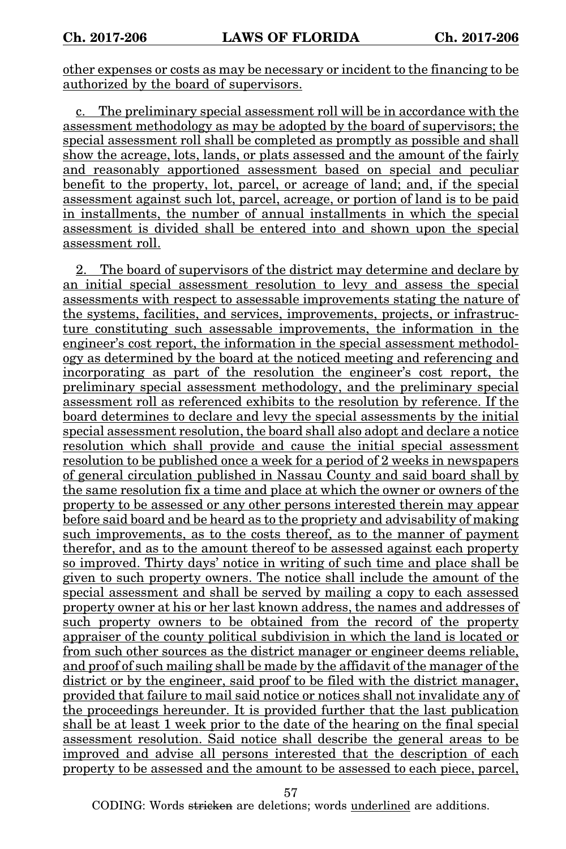other expenses or costs as may be necessary or incident to the financing to be authorized by the board of supervisors.

c. The preliminary special assessment roll will be in accordance with the assessment methodology as may be adopted by the board of supervisors; the special assessment roll shall be completed as promptly as possible and shall show the acreage, lots, lands, or plats assessed and the amount of the fairly and reasonably apportioned assessment based on special and peculiar benefit to the property, lot, parcel, or acreage of land; and, if the special assessment against such lot, parcel, acreage, or portion of land is to be paid in installments, the number of annual installments in which the special assessment is divided shall be entered into and shown upon the special assessment roll.

2. The board of supervisors of the district may determine and declare by an initial special assessment resolution to levy and assess the special assessments with respect to assessable improvements stating the nature of the systems, facilities, and services, improvements, projects, or infrastructure constituting such assessable improvements, the information in the engineer's cost report, the information in the special assessment methodology as determined by the board at the noticed meeting and referencing and incorporating as part of the resolution the engineer's cost report, the preliminary special assessment methodology, and the preliminary special assessment roll as referenced exhibits to the resolution by reference. If the board determines to declare and levy the special assessments by the initial special assessment resolution, the board shall also adopt and declare a notice resolution which shall provide and cause the initial special assessment resolution to be published once a week for a period of 2 weeks in newspapers of general circulation published in Nassau County and said board shall by the same resolution fix a time and place at which the owner or owners of the property to be assessed or any other persons interested therein may appear before said board and be heard as to the propriety and advisability of making such improvements, as to the costs thereof, as to the manner of payment therefor, and as to the amount thereof to be assessed against each property so improved. Thirty days' notice in writing of such time and place shall be given to such property owners. The notice shall include the amount of the special assessment and shall be served by mailing a copy to each assessed property owner at his or her last known address, the names and addresses of such property owners to be obtained from the record of the property appraiser of the county political subdivision in which the land is located or from such other sources as the district manager or engineer deems reliable, and proof of such mailing shall be made by the affidavit of the manager of the district or by the engineer, said proof to be filed with the district manager, provided that failure to mail said notice or notices shall not invalidate any of the proceedings hereunder. It is provided further that the last publication shall be at least 1 week prior to the date of the hearing on the final special assessment resolution. Said notice shall describe the general areas to be improved and advise all persons interested that the description of each property to be assessed and the amount to be assessed to each piece, parcel,

57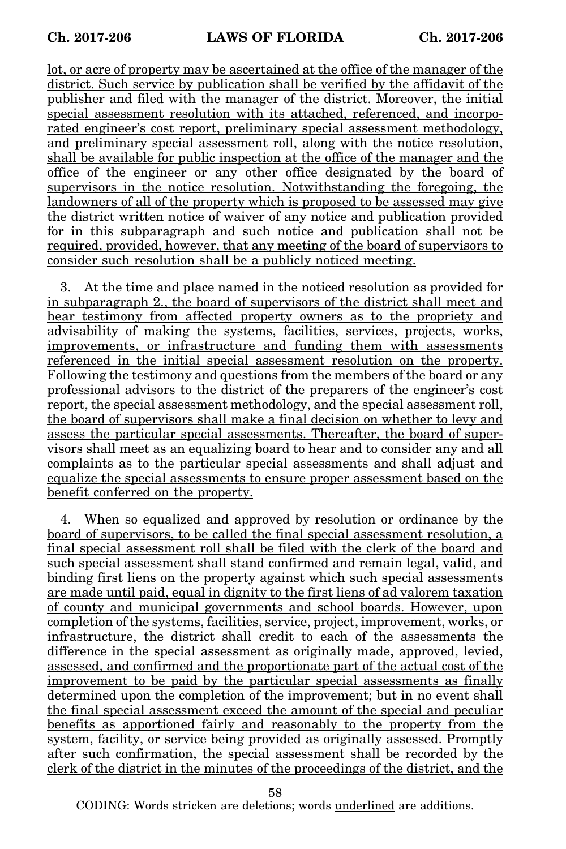lot, or acre of property may be ascertained at the office of the manager of the district. Such service by publication shall be verified by the affidavit of the publisher and filed with the manager of the district. Moreover, the initial special assessment resolution with its attached, referenced, and incorporated engineer's cost report, preliminary special assessment methodology, and preliminary special assessment roll, along with the notice resolution, shall be available for public inspection at the office of the manager and the office of the engineer or any other office designated by the board of supervisors in the notice resolution. Notwithstanding the foregoing, the landowners of all of the property which is proposed to be assessed may give the district written notice of waiver of any notice and publication provided for in this subparagraph and such notice and publication shall not be required, provided, however, that any meeting of the board of supervisors to consider such resolution shall be a publicly noticed meeting.

3. At the time and place named in the noticed resolution as provided for in subparagraph 2., the board of supervisors of the district shall meet and hear testimony from affected property owners as to the propriety and advisability of making the systems, facilities, services, projects, works, improvements, or infrastructure and funding them with assessments referenced in the initial special assessment resolution on the property. Following the testimony and questions from the members of the board or any professional advisors to the district of the preparers of the engineer's cost report, the special assessment methodology, and the special assessment roll, the board of supervisors shall make a final decision on whether to levy and assess the particular special assessments. Thereafter, the board of supervisors shall meet as an equalizing board to hear and to consider any and all complaints as to the particular special assessments and shall adjust and equalize the special assessments to ensure proper assessment based on the benefit conferred on the property.

4. When so equalized and approved by resolution or ordinance by the board of supervisors, to be called the final special assessment resolution, a final special assessment roll shall be filed with the clerk of the board and such special assessment shall stand confirmed and remain legal, valid, and binding first liens on the property against which such special assessments are made until paid, equal in dignity to the first liens of ad valorem taxation of county and municipal governments and school boards. However, upon completion of the systems, facilities, service, project, improvement, works, or infrastructure, the district shall credit to each of the assessments the difference in the special assessment as originally made, approved, levied, assessed, and confirmed and the proportionate part of the actual cost of the improvement to be paid by the particular special assessments as finally determined upon the completion of the improvement; but in no event shall the final special assessment exceed the amount of the special and peculiar benefits as apportioned fairly and reasonably to the property from the system, facility, or service being provided as originally assessed. Promptly after such confirmation, the special assessment shall be recorded by the clerk of the district in the minutes of the proceedings of the district, and the

58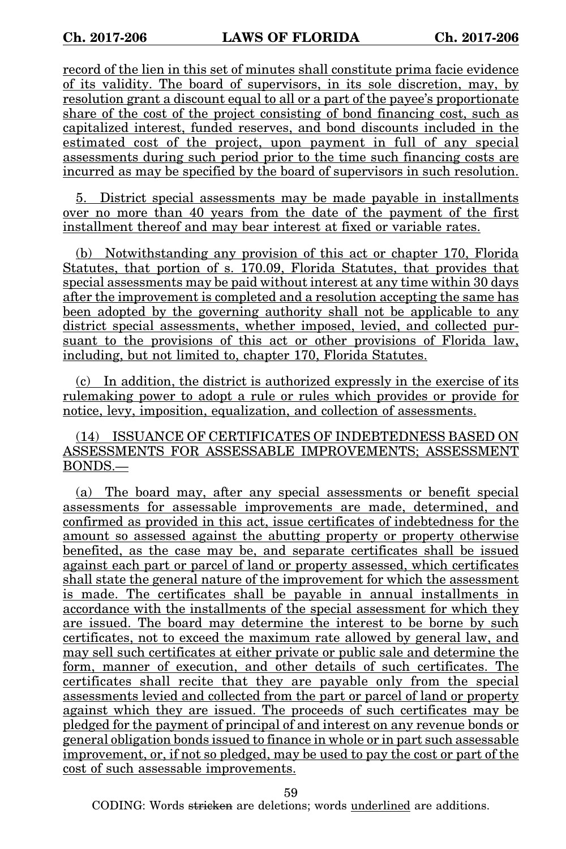record of the lien in this set of minutes shall constitute prima facie evidence of its validity. The board of supervisors, in its sole discretion, may, by resolution grant a discount equal to all or a part of the payee's proportionate share of the cost of the project consisting of bond financing cost, such as capitalized interest, funded reserves, and bond discounts included in the estimated cost of the project, upon payment in full of any special assessments during such period prior to the time such financing costs are incurred as may be specified by the board of supervisors in such resolution.

5. District special assessments may be made payable in installments over no more than 40 years from the date of the payment of the first installment thereof and may bear interest at fixed or variable rates.

(b) Notwithstanding any provision of this act or chapter 170, Florida Statutes, that portion of s. 170.09, Florida Statutes, that provides that special assessments may be paid without interest at any time within 30 days after the improvement is completed and a resolution accepting the same has been adopted by the governing authority shall not be applicable to any district special assessments, whether imposed, levied, and collected pursuant to the provisions of this act or other provisions of Florida law, including, but not limited to, chapter 170, Florida Statutes.

(c) In addition, the district is authorized expressly in the exercise of its rulemaking power to adopt a rule or rules which provides or provide for notice, levy, imposition, equalization, and collection of assessments.

(14) ISSUANCE OF CERTIFICATES OF INDEBTEDNESS BASED ON ASSESSMENTS FOR ASSESSABLE IMPROVEMENTS; ASSESSMENT BONDS.—

(a) The board may, after any special assessments or benefit special assessments for assessable improvements are made, determined, and confirmed as provided in this act, issue certificates of indebtedness for the amount so assessed against the abutting property or property otherwise benefited, as the case may be, and separate certificates shall be issued against each part or parcel of land or property assessed, which certificates shall state the general nature of the improvement for which the assessment is made. The certificates shall be payable in annual installments in accordance with the installments of the special assessment for which they are issued. The board may determine the interest to be borne by such certificates, not to exceed the maximum rate allowed by general law, and may sell such certificates at either private or public sale and determine the form, manner of execution, and other details of such certificates. The certificates shall recite that they are payable only from the special assessments levied and collected from the part or parcel of land or property against which they are issued. The proceeds of such certificates may be pledged for the payment of principal of and interest on any revenue bonds or general obligation bonds issued to finance in whole or in part such assessable improvement, or, if not so pledged, may be used to pay the cost or part of the cost of such assessable improvements.

59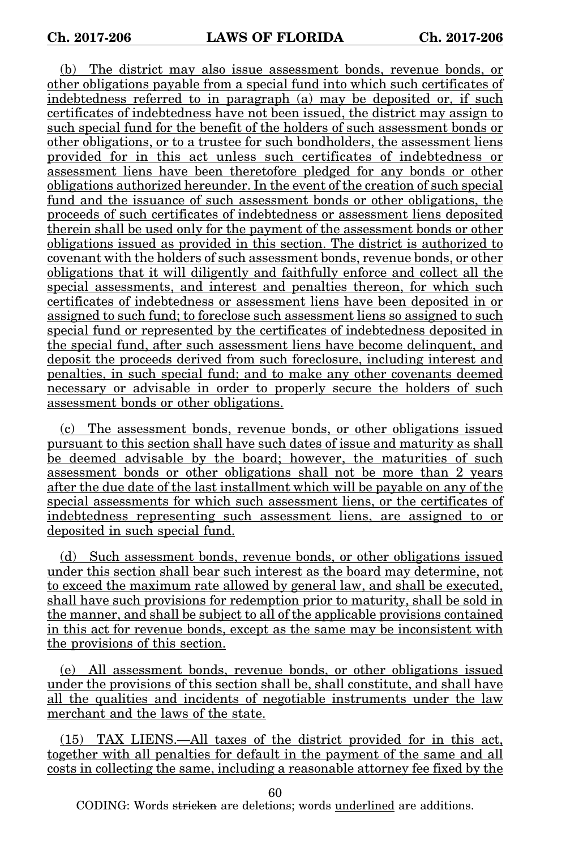(b) The district may also issue assessment bonds, revenue bonds, or other obligations payable from a special fund into which such certificates of indebtedness referred to in paragraph (a) may be deposited or, if such certificates of indebtedness have not been issued, the district may assign to such special fund for the benefit of the holders of such assessment bonds or other obligations, or to a trustee for such bondholders, the assessment liens provided for in this act unless such certificates of indebtedness or assessment liens have been theretofore pledged for any bonds or other obligations authorized hereunder. In the event of the creation of such special fund and the issuance of such assessment bonds or other obligations, the proceeds of such certificates of indebtedness or assessment liens deposited therein shall be used only for the payment of the assessment bonds or other obligations issued as provided in this section. The district is authorized to covenant with the holders of such assessment bonds, revenue bonds, or other obligations that it will diligently and faithfully enforce and collect all the special assessments, and interest and penalties thereon, for which such certificates of indebtedness or assessment liens have been deposited in or assigned to such fund; to foreclose such assessment liens so assigned to such special fund or represented by the certificates of indebtedness deposited in the special fund, after such assessment liens have become delinquent, and deposit the proceeds derived from such foreclosure, including interest and penalties, in such special fund; and to make any other covenants deemed necessary or advisable in order to properly secure the holders of such assessment bonds or other obligations.

(c) The assessment bonds, revenue bonds, or other obligations issued pursuant to this section shall have such dates of issue and maturity as shall be deemed advisable by the board; however, the maturities of such assessment bonds or other obligations shall not be more than 2 years after the due date of the last installment which will be payable on any of the special assessments for which such assessment liens, or the certificates of indebtedness representing such assessment liens, are assigned to or deposited in such special fund.

(d) Such assessment bonds, revenue bonds, or other obligations issued under this section shall bear such interest as the board may determine, not to exceed the maximum rate allowed by general law, and shall be executed, shall have such provisions for redemption prior to maturity, shall be sold in the manner, and shall be subject to all of the applicable provisions contained in this act for revenue bonds, except as the same may be inconsistent with the provisions of this section.

(e) All assessment bonds, revenue bonds, or other obligations issued under the provisions of this section shall be, shall constitute, and shall have all the qualities and incidents of negotiable instruments under the law merchant and the laws of the state.

(15) TAX LIENS.—All taxes of the district provided for in this act, together with all penalties for default in the payment of the same and all costs in collecting the same, including a reasonable attorney fee fixed by the

60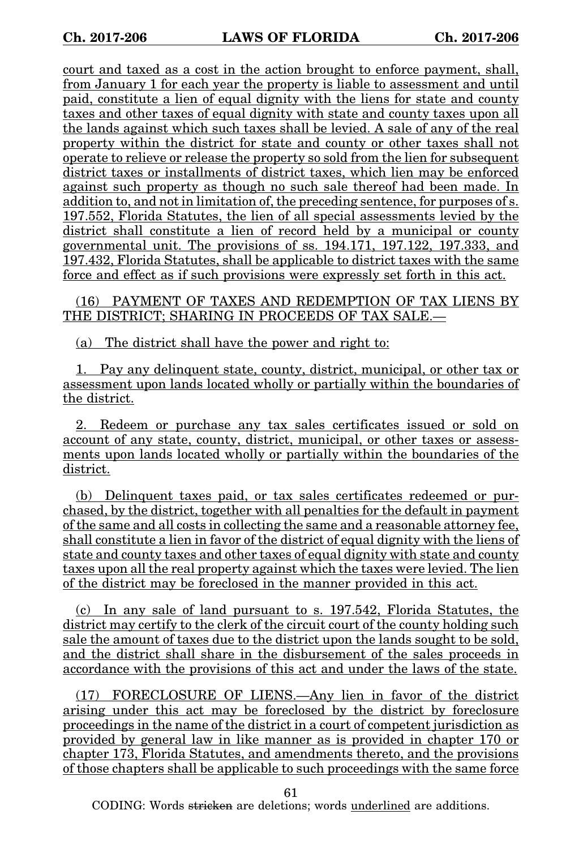court and taxed as a cost in the action brought to enforce payment, shall, from January 1 for each year the property is liable to assessment and until paid, constitute a lien of equal dignity with the liens for state and county taxes and other taxes of equal dignity with state and county taxes upon all the lands against which such taxes shall be levied. A sale of any of the real property within the district for state and county or other taxes shall not operate to relieve or release the property so sold from the lien for subsequent district taxes or installments of district taxes, which lien may be enforced against such property as though no such sale thereof had been made. In addition to, and not in limitation of, the preceding sentence, for purposes of s. 197.552, Florida Statutes, the lien of all special assessments levied by the district shall constitute a lien of record held by a municipal or county governmental unit. The provisions of ss. 194.171, 197.122, 197.333, and 197.432, Florida Statutes, shall be applicable to district taxes with the same force and effect as if such provisions were expressly set forth in this act.

(16) PAYMENT OF TAXES AND REDEMPTION OF TAX LIENS BY THE DISTRICT; SHARING IN PROCEEDS OF TAX SALE.—

(a) The district shall have the power and right to:

1. Pay any delinquent state, county, district, municipal, or other tax or assessment upon lands located wholly or partially within the boundaries of the district.

2. Redeem or purchase any tax sales certificates issued or sold on account of any state, county, district, municipal, or other taxes or assessments upon lands located wholly or partially within the boundaries of the district.

(b) Delinquent taxes paid, or tax sales certificates redeemed or purchased, by the district, together with all penalties for the default in payment of the same and all costs in collecting the same and a reasonable attorney fee, shall constitute a lien in favor of the district of equal dignity with the liens of state and county taxes and other taxes of equal dignity with state and county taxes upon all the real property against which the taxes were levied. The lien of the district may be foreclosed in the manner provided in this act.

(c) In any sale of land pursuant to s. 197.542, Florida Statutes, the district may certify to the clerk of the circuit court of the county holding such sale the amount of taxes due to the district upon the lands sought to be sold, and the district shall share in the disbursement of the sales proceeds in accordance with the provisions of this act and under the laws of the state.

(17) FORECLOSURE OF LIENS.—Any lien in favor of the district arising under this act may be foreclosed by the district by foreclosure proceedings in the name of the district in a court of competent jurisdiction as provided by general law in like manner as is provided in chapter 170 or chapter 173, Florida Statutes, and amendments thereto, and the provisions of those chapters shall be applicable to such proceedings with the same force

61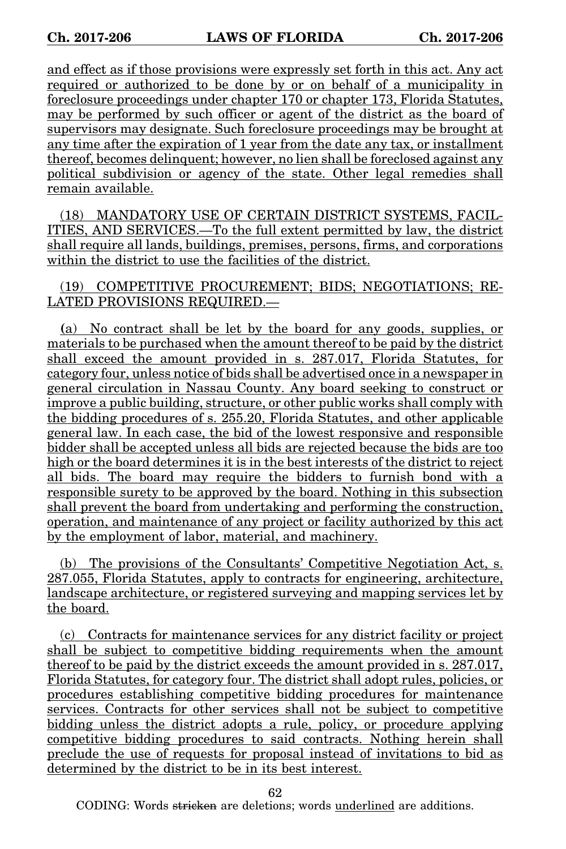and effect as if those provisions were expressly set forth in this act. Any act required or authorized to be done by or on behalf of a municipality in foreclosure proceedings under chapter 170 or chapter 173, Florida Statutes, may be performed by such officer or agent of the district as the board of supervisors may designate. Such foreclosure proceedings may be brought at any time after the expiration of 1 year from the date any tax, or installment thereof, becomes delinquent; however, no lien shall be foreclosed against any political subdivision or agency of the state. Other legal remedies shall remain available.

(18) MANDATORY USE OF CERTAIN DISTRICT SYSTEMS, FACIL-ITIES, AND SERVICES.—To the full extent permitted by law, the district shall require all lands, buildings, premises, persons, firms, and corporations within the district to use the facilities of the district.

(19) COMPETITIVE PROCUREMENT; BIDS; NEGOTIATIONS; RE-LATED PROVISIONS REQUIRED.—

**(**a) No contract shall be let by the board for any goods, supplies, or materials to be purchased when the amount thereof to be paid by the district shall exceed the amount provided in s. 287.017, Florida Statutes, for category four, unless notice of bids shall be advertised once in a newspaper in general circulation in Nassau County. Any board seeking to construct or improve a public building, structure, or other public works shall comply with the bidding procedures of s. 255.20, Florida Statutes, and other applicable general law. In each case, the bid of the lowest responsive and responsible bidder shall be accepted unless all bids are rejected because the bids are too high or the board determines it is in the best interests of the district to reject all bids. The board may require the bidders to furnish bond with a responsible surety to be approved by the board. Nothing in this subsection shall prevent the board from undertaking and performing the construction, operation, and maintenance of any project or facility authorized by this act by the employment of labor, material, and machinery.

(b) The provisions of the Consultants' Competitive Negotiation Act, s. 287.055, Florida Statutes, apply to contracts for engineering, architecture, landscape architecture, or registered surveying and mapping services let by the board.

(c) Contracts for maintenance services for any district facility or project shall be subject to competitive bidding requirements when the amount thereof to be paid by the district exceeds the amount provided in s. 287.017, Florida Statutes, for category four. The district shall adopt rules, policies, or procedures establishing competitive bidding procedures for maintenance services. Contracts for other services shall not be subject to competitive bidding unless the district adopts a rule, policy, or procedure applying competitive bidding procedures to said contracts. Nothing herein shall preclude the use of requests for proposal instead of invitations to bid as determined by the district to be in its best interest.

62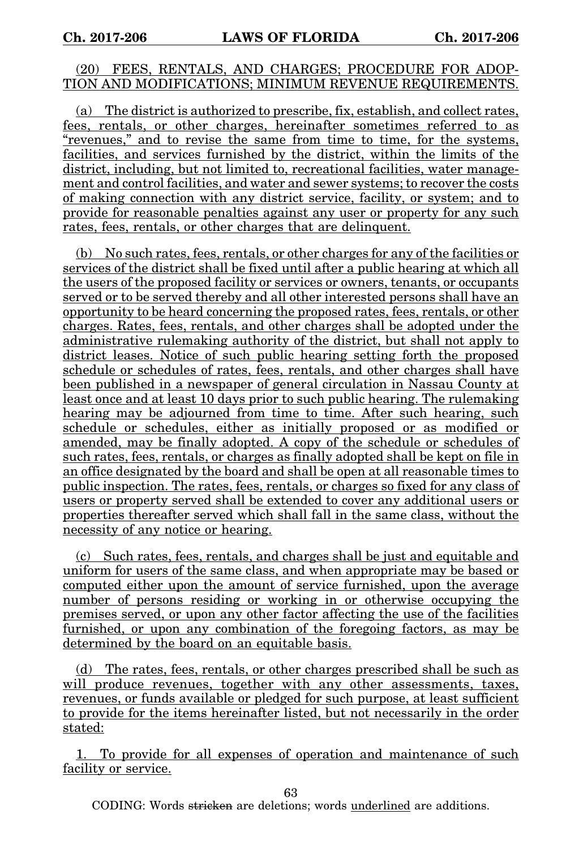### (20) FEES, RENTALS, AND CHARGES; PROCEDURE FOR ADOP-TION AND MODIFICATIONS; MINIMUM REVENUE REQUIREMENTS.

(a) The district is authorized to prescribe, fix, establish, and collect rates, fees, rentals, or other charges, hereinafter sometimes referred to as "revenues," and to revise the same from time to time, for the systems, facilities, and services furnished by the district, within the limits of the district, including, but not limited to, recreational facilities, water management and control facilities, and water and sewer systems; to recover the costs of making connection with any district service, facility, or system; and to provide for reasonable penalties against any user or property for any such rates, fees, rentals, or other charges that are delinquent.

(b) No such rates, fees, rentals, or other charges for any of the facilities or services of the district shall be fixed until after a public hearing at which all the users of the proposed facility or services or owners, tenants, or occupants served or to be served thereby and all other interested persons shall have an opportunity to be heard concerning the proposed rates, fees, rentals, or other charges. Rates, fees, rentals, and other charges shall be adopted under the administrative rulemaking authority of the district, but shall not apply to district leases. Notice of such public hearing setting forth the proposed schedule or schedules of rates, fees, rentals, and other charges shall have been published in a newspaper of general circulation in Nassau County at least once and at least 10 days prior to such public hearing. The rulemaking hearing may be adjourned from time to time. After such hearing, such schedule or schedules, either as initially proposed or as modified or amended, may be finally adopted. A copy of the schedule or schedules of such rates, fees, rentals, or charges as finally adopted shall be kept on file in an office designated by the board and shall be open at all reasonable times to public inspection. The rates, fees, rentals, or charges so fixed for any class of users or property served shall be extended to cover any additional users or properties thereafter served which shall fall in the same class, without the necessity of any notice or hearing.

(c) Such rates, fees, rentals, and charges shall be just and equitable and uniform for users of the same class, and when appropriate may be based or computed either upon the amount of service furnished, upon the average number of persons residing or working in or otherwise occupying the premises served, or upon any other factor affecting the use of the facilities furnished, or upon any combination of the foregoing factors, as may be determined by the board on an equitable basis.

(d) The rates, fees, rentals, or other charges prescribed shall be such as will produce revenues, together with any other assessments, taxes, revenues, or funds available or pledged for such purpose, at least sufficient to provide for the items hereinafter listed, but not necessarily in the order stated:

1. To provide for all expenses of operation and maintenance of such facility or service.

63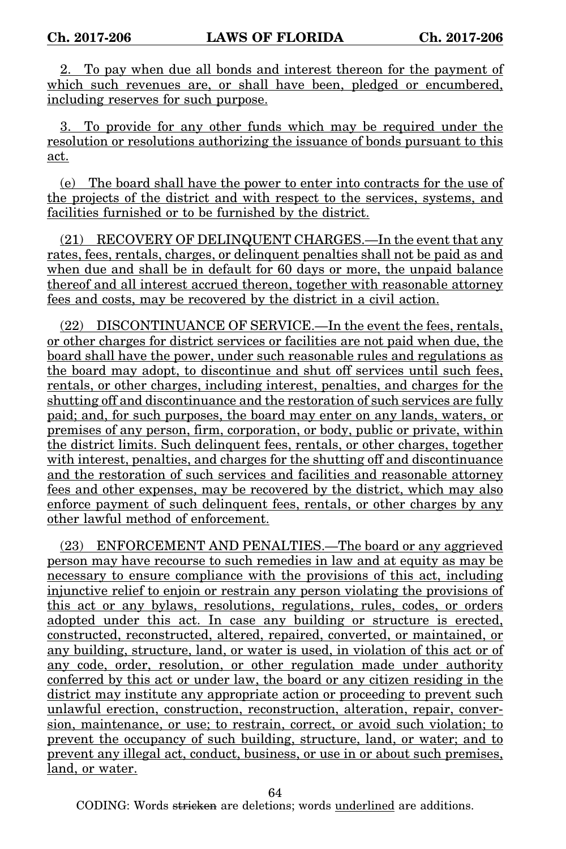2. To pay when due all bonds and interest thereon for the payment of which such revenues are, or shall have been, pledged or encumbered, including reserves for such purpose.

3. To provide for any other funds which may be required under the resolution or resolutions authorizing the issuance of bonds pursuant to this act.

(e) The board shall have the power to enter into contracts for the use of the projects of the district and with respect to the services, systems, and facilities furnished or to be furnished by the district.

(21) RECOVERY OF DELINQUENT CHARGES.—In the event that any rates, fees, rentals, charges, or delinquent penalties shall not be paid as and when due and shall be in default for 60 days or more, the unpaid balance thereof and all interest accrued thereon, together with reasonable attorney fees and costs, may be recovered by the district in a civil action.

(22) DISCONTINUANCE OF SERVICE.—In the event the fees, rentals, or other charges for district services or facilities are not paid when due, the board shall have the power, under such reasonable rules and regulations as the board may adopt, to discontinue and shut off services until such fees, rentals, or other charges, including interest, penalties, and charges for the shutting off and discontinuance and the restoration of such services are fully paid; and, for such purposes, the board may enter on any lands, waters, or premises of any person, firm, corporation, or body, public or private, within the district limits. Such delinquent fees, rentals, or other charges, together with interest, penalties, and charges for the shutting off and discontinuance and the restoration of such services and facilities and reasonable attorney fees and other expenses, may be recovered by the district, which may also enforce payment of such delinquent fees, rentals, or other charges by any other lawful method of enforcement.

(23) ENFORCEMENT AND PENALTIES.—The board or any aggrieved person may have recourse to such remedies in law and at equity as may be necessary to ensure compliance with the provisions of this act, including injunctive relief to enjoin or restrain any person violating the provisions of this act or any bylaws, resolutions, regulations, rules, codes, or orders adopted under this act. In case any building or structure is erected, constructed, reconstructed, altered, repaired, converted, or maintained, or any building, structure, land, or water is used, in violation of this act or of any code, order, resolution, or other regulation made under authority conferred by this act or under law, the board or any citizen residing in the district may institute any appropriate action or proceeding to prevent such unlawful erection, construction, reconstruction, alteration, repair, conversion, maintenance, or use; to restrain, correct, or avoid such violation; to prevent the occupancy of such building, structure, land, or water; and to prevent any illegal act, conduct, business, or use in or about such premises, land, or water.

64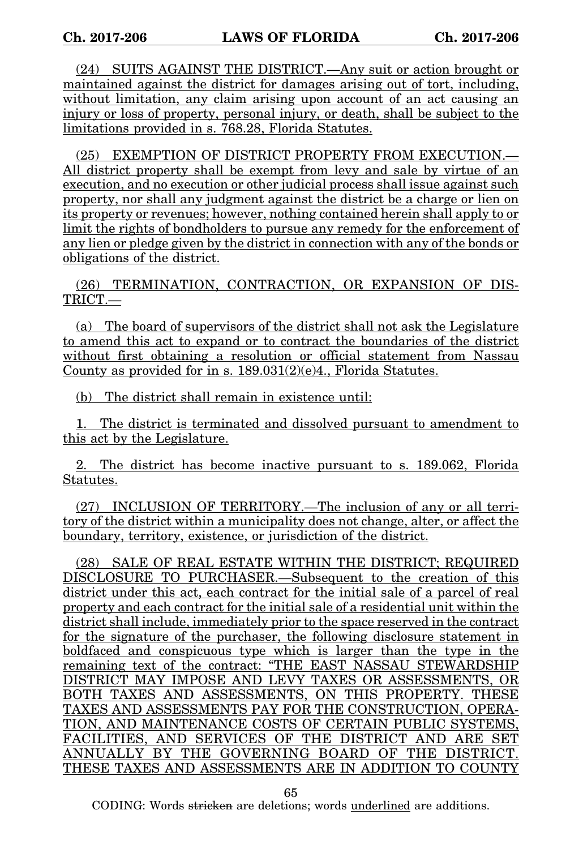(24) SUITS AGAINST THE DISTRICT.—Any suit or action brought or maintained against the district for damages arising out of tort, including, without limitation, any claim arising upon account of an act causing an injury or loss of property, personal injury, or death, shall be subject to the limitations provided in s. 768.28, Florida Statutes.

(25) EXEMPTION OF DISTRICT PROPERTY FROM EXECUTION.— All district property shall be exempt from levy and sale by virtue of an execution, and no execution or other judicial process shall issue against such property, nor shall any judgment against the district be a charge or lien on its property or revenues; however, nothing contained herein shall apply to or limit the rights of bondholders to pursue any remedy for the enforcement of any lien or pledge given by the district in connection with any of the bonds or obligations of the district.

(26) TERMINATION, CONTRACTION, OR EXPANSION OF DIS-TRICT.—

(a) The board of supervisors of the district shall not ask the Legislature to amend this act to expand or to contract the boundaries of the district without first obtaining a resolution or official statement from Nassau County as provided for in s. 189.031(2)(e)4., Florida Statutes.

(b) The district shall remain in existence until:

1. The district is terminated and dissolved pursuant to amendment to this act by the Legislature.

2. The district has become inactive pursuant to s. 189.062, Florida Statutes.

(27) INCLUSION OF TERRITORY.—The inclusion of any or all territory of the district within a municipality does not change, alter, or affect the boundary, territory, existence, or jurisdiction of the district.

(28) SALE OF REAL ESTATE WITHIN THE DISTRICT; REQUIRED DISCLOSURE TO PURCHASER.—Subsequent to the creation of this district under this act, each contract for the initial sale of a parcel of real property and each contract for the initial sale of a residential unit within the district shall include, immediately prior to the space reserved in the contract for the signature of the purchaser, the following disclosure statement in boldfaced and conspicuous type which is larger than the type in the remaining text of the contract: "THE EAST NASSAU STEWARDSHIP DISTRICT MAY IMPOSE AND LEVY TAXES OR ASSESSMENTS, OR BOTH TAXES AND ASSESSMENTS, ON THIS PROPERTY. THESE TAXES AND ASSESSMENTS PAY FOR THE CONSTRUCTION, OPERA-TION, AND MAINTENANCE COSTS OF CERTAIN PUBLIC SYSTEMS, FACILITIES, AND SERVICES OF THE DISTRICT AND ARE SET ANNUALLY BY THE GOVERNING BOARD OF THE DISTRICT. THESE TAXES AND ASSESSMENTS ARE IN ADDITION TO COUNTY

65